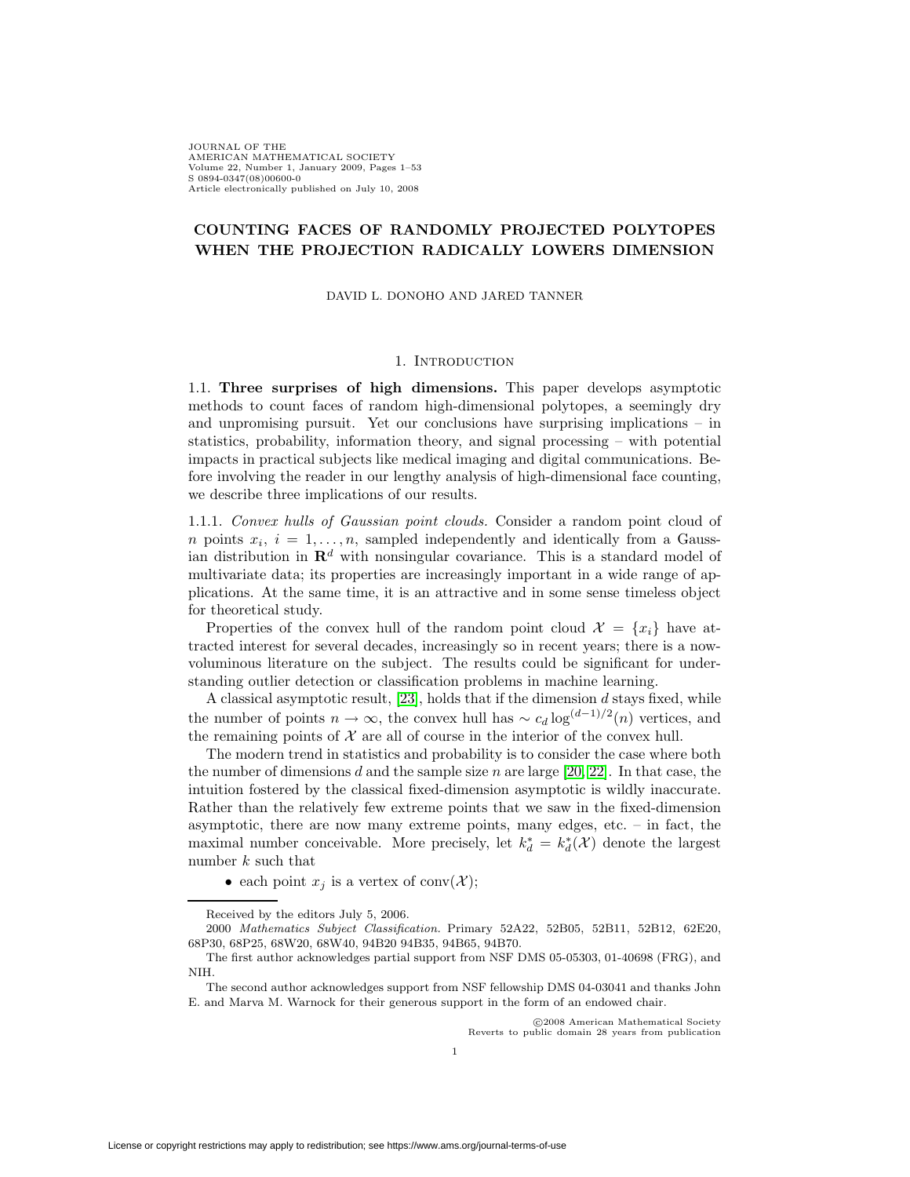JOURNAL OF THE AMERICAN MATHEMATICAL SOCIETY Volume 22, Number 1, January 2009, Pages 1–53 S 0894-0347(08)00600-0 Article electronically published on July 10, 2008

## **COUNTING FACES OF RANDOMLY PROJECTED POLYTOPES WHEN THE PROJECTION RADICALLY LOWERS DIMENSION**

DAVID L. DONOHO AND JARED TANNER

## 1. INTRODUCTION

1.1. **Three surprises of high dimensions.** This paper develops asymptotic methods to count faces of random high-dimensional polytopes, a seemingly dry and unpromising pursuit. Yet our conclusions have surprising implications – in statistics, probability, information theory, and signal processing – with potential impacts in practical subjects like medical imaging and digital communications. Before involving the reader in our lengthy analysis of high-dimensional face counting, we describe three implications of our results.

<span id="page-0-0"></span>1.1.1. Convex hulls of Gaussian point clouds. Consider a random point cloud of *n* points  $x_i$ ,  $i = 1, \ldots, n$ , sampled independently and identically from a Gaussian distribution in  $\mathbb{R}^d$  with nonsingular covariance. This is a standard model of multivariate data; its properties are increasingly important in a wide range of applications. At the same time, it is an attractive and in some sense timeless object for theoretical study.

Properties of the convex hull of the random point cloud  $\mathcal{X} = \{x_i\}$  have attracted interest for several decades, increasingly so in recent years; there is a nowvoluminous literature on the subject. The results could be significant for understanding outlier detection or classification problems in machine learning.

A classical asymptotic result,  $[23]$ , holds that if the dimension  $d$  stays fixed, while the number of points  $n \to \infty$ , the convex hull has  $\sim c_d \log^{(d-1)/2}(n)$  vertices, and the remaining points of  $X$  are all of course in the interior of the convex hull.

The modern trend in statistics and probability is to consider the case where both the number of dimensions d and the sample size n are large [\[20,](#page-51-1) [22\]](#page-51-2). In that case, the intuition fostered by the classical fixed-dimension asymptotic is wildly inaccurate. Rather than the relatively few extreme points that we saw in the fixed-dimension asymptotic, there are now many extreme points, many edges, etc. – in fact, the maximal number conceivable. More precisely, let  $k_d^* = k_d^*(\mathcal{X})$  denote the largest number  $k$  such that

• each point  $x_j$  is a vertex of conv $(\mathcal{X})$ ;

c 2008 American Mathematical Society Reverts to public domain 28 years from publication

Received by the editors July 5, 2006.

<sup>2000</sup> Mathematics Subject Classification. Primary 52A22, 52B05, 52B11, 52B12, 62E20, 68P30, 68P25, 68W20, 68W40, 94B20 94B35, 94B65, 94B70.

The first author acknowledges partial support from NSF DMS 05-05303, 01-40698 (FRG), and NIH.

The second author acknowledges support from NSF fellowship DMS 04-03041 and thanks John E. and Marva M. Warnock for their generous support in the form of an endowed chair.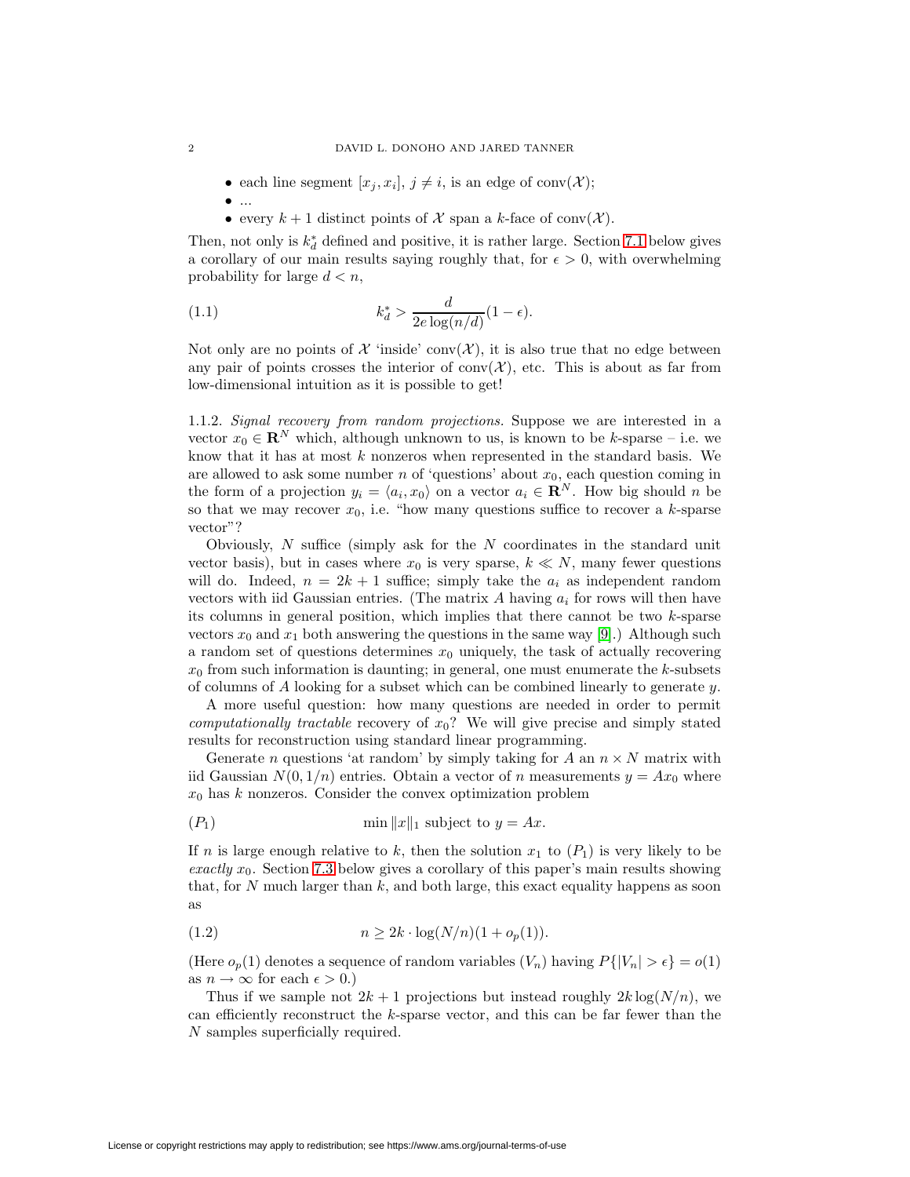- each line segment  $[x_i, x_i], j \neq i$ , is an edge of conv $(X)$ ;
- $\bullet$  ...
- <span id="page-1-1"></span>• every  $k + 1$  distinct points of X span a k-face of conv $(X)$ .

Then, not only is  $k_d^*$  defined and positive, it is rather large. Section [7.1](#page-37-0) below gives a corollary of our main results saying roughly that, for  $\epsilon > 0$ , with overwhelming probability for large  $d < n$ ,

(1.1) 
$$
k_d^* > \frac{d}{2e\log(n/d)}(1-\epsilon).
$$

Not only are no points of  $\mathcal X$  'inside' conv $(\mathcal X)$ , it is also true that no edge between any pair of points crosses the interior of  $conv(X)$ , etc. This is about as far from low-dimensional intuition as it is possible to get!

<span id="page-1-0"></span>1.1.2. Signal recovery from random projections. Suppose we are interested in a vector  $x_0 \in \mathbb{R}^N$  which, although unknown to us, is known to be k-sparse – i.e. we know that it has at most  $k$  nonzeros when represented in the standard basis. We are allowed to ask some number n of 'questions' about  $x_0$ , each question coming in the form of a projection  $y_i = \langle a_i, x_0 \rangle$  on a vector  $a_i \in \mathbb{R}^N$ . How big should n be so that we may recover  $x_0$ , i.e. "how many questions suffice to recover a k-sparse vector"?

Obviously,  $N$  suffice (simply ask for the  $N$  coordinates in the standard unit vector basis), but in cases where  $x_0$  is very sparse,  $k \ll N$ , many fewer questions will do. Indeed,  $n = 2k + 1$  suffice; simply take the  $a_i$  as independent random vectors with iid Gaussian entries. (The matrix A having  $a_i$  for rows will then have its columns in general position, which implies that there cannot be two  $k$ -sparse vectors  $x_0$  and  $x_1$  both answering the questions in the same way [\[9\]](#page-51-3).) Although such a random set of questions determines  $x_0$  uniquely, the task of actually recovering  $x_0$  from such information is daunting; in general, one must enumerate the k-subsets of columns of  $A$  looking for a subset which can be combined linearly to generate  $y$ .

A more useful question: how many questions are needed in order to permit computationally tractable recovery of  $x_0$ ? We will give precise and simply stated results for reconstruction using standard linear programming.

Generate *n* questions 'at random' by simply taking for A an  $n \times N$  matrix with iid Gaussian  $N(0, 1/n)$  entries. Obtain a vector of n measurements  $y = Ax_0$  where  $x_0$  has k nonzeros. Consider the convex optimization problem

$$
(P_1) \tmin ||x||_1 \tsubject to y = Ax.
$$

If n is large enough relative to k, then the solution  $x_1$  to  $(P_1)$  is very likely to be exactly  $x_0$ . Section [7.3](#page-39-0) below gives a corollary of this paper's main results showing that, for  $N$  much larger than  $k$ , and both large, this exact equality happens as soon as

<span id="page-1-2"></span>(1.2) 
$$
n \ge 2k \cdot \log(N/n)(1 + o_p(1)).
$$

(Here  $o_p(1)$  denotes a sequence of random variables  $(V_n)$  having  $P\{|V_n| > \epsilon\} = o(1)$ as  $n \to \infty$  for each  $\epsilon > 0$ .)

Thus if we sample not  $2k + 1$  projections but instead roughly  $2k \log(N/n)$ , we can efficiently reconstruct the k-sparse vector, and this can be far fewer than the N samples superficially required.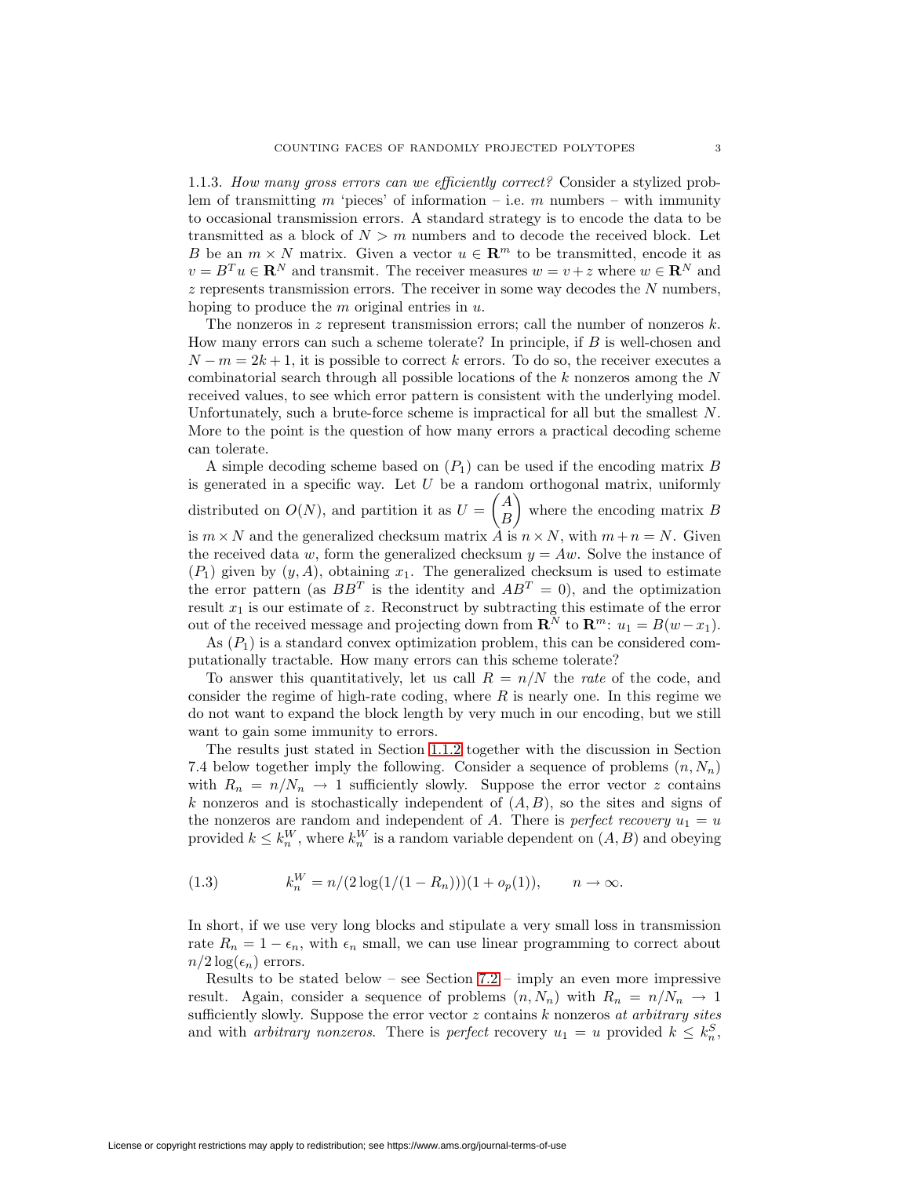<span id="page-2-1"></span>1.1.3. How many gross errors can we efficiently correct? Consider a stylized problem of transmitting m 'pieces' of information – i.e. m numbers – with immunity to occasional transmission errors. A standard strategy is to encode the data to be transmitted as a block of  $N>m$  numbers and to decode the received block. Let B be an  $m \times N$  matrix. Given a vector  $u \in \mathbb{R}^m$  to be transmitted, encode it as  $v = B<sup>T</sup>u \in \mathbb{R}^N$  and transmit. The receiver measures  $w = v + z$  where  $w \in \mathbb{R}^N$  and  $z$  represents transmission errors. The receiver in some way decodes the  $N$  numbers, hoping to produce the  $m$  original entries in  $u$ .

The nonzeros in z represent transmission errors; call the number of nonzeros  $k$ . How many errors can such a scheme tolerate? In principle, if  $B$  is well-chosen and  $N-m=2k+1$ , it is possible to correct k errors. To do so, the receiver executes a combinatorial search through all possible locations of the  $k$  nonzeros among the  $N$ received values, to see which error pattern is consistent with the underlying model. Unfortunately, such a brute-force scheme is impractical for all but the smallest N. More to the point is the question of how many errors a practical decoding scheme can tolerate.

A simple decoding scheme based on  $(P_1)$  can be used if the encoding matrix B is generated in a specific way. Let  $U$  be a random orthogonal matrix, uniformly distributed on  $O(N)$ , and partition it as  $U =$  $\sqrt{A}$ B where the encoding matrix  $\overrightarrow{B}$ is  $m \times N$  and the generalized checksum matrix  $\hat{A}$  is  $n \times N$ , with  $m + n = N$ . Given the received data w, form the generalized checksum  $y = Aw$ . Solve the instance of  $(P_1)$  given by  $(y, A)$ , obtaining  $x_1$ . The generalized checksum is used to estimate the error pattern (as  $BB<sup>T</sup>$  is the identity and  $AB<sup>T</sup> = 0$ ), and the optimization result  $x_1$  is our estimate of z. Reconstruct by subtracting this estimate of the error out of the received message and projecting down from  $\mathbb{R}^N$  to  $\mathbb{R}^m$ :  $u_1 = B(w-x_1)$ .

As  $(P_1)$  is a standard convex optimization problem, this can be considered computationally tractable. How many errors can this scheme tolerate?

To answer this quantitatively, let us call  $R = n/N$  the rate of the code, and consider the regime of high-rate coding, where  $R$  is nearly one. In this regime we do not want to expand the block length by very much in our encoding, but we still want to gain some immunity to errors.

The results just stated in Section [1.1.2](#page-1-0) together with the discussion in Section 7.4 below together imply the following. Consider a sequence of problems  $(n, N_n)$ with  $R_n = n/N_n \rightarrow 1$  sufficiently slowly. Suppose the error vector z contains k nonzeros and is stochastically independent of  $(A, B)$ , so the sites and signs of the nonzeros are random and independent of A. There is perfect recovery  $u_1 = u$ provided  $k \leq k_n^W$ , where  $k_n^W$  is a random variable dependent on  $(A, B)$  and obeying

<span id="page-2-0"></span>(1.3) 
$$
k_n^W = n/(2\log(1/(1 - R_n)))(1 + o_p(1)), \qquad n \to \infty.
$$

In short, if we use very long blocks and stipulate a very small loss in transmission rate  $R_n = 1 - \epsilon_n$ , with  $\epsilon_n$  small, we can use linear programming to correct about  $n/2 \log(\epsilon_n)$  errors.

Results to be stated below – see Section [7.2](#page-38-0) – imply an even more impressive result. Again, consider a sequence of problems  $(n, N_n)$  with  $R_n = n/N_n \rightarrow 1$ sufficiently slowly. Suppose the error vector  $z$  contains  $k$  nonzeros at arbitrary sites and with *arbitrary nonzeros*. There is *perfect* recovery  $u_1 = u$  provided  $k \leq k_n^S$ ,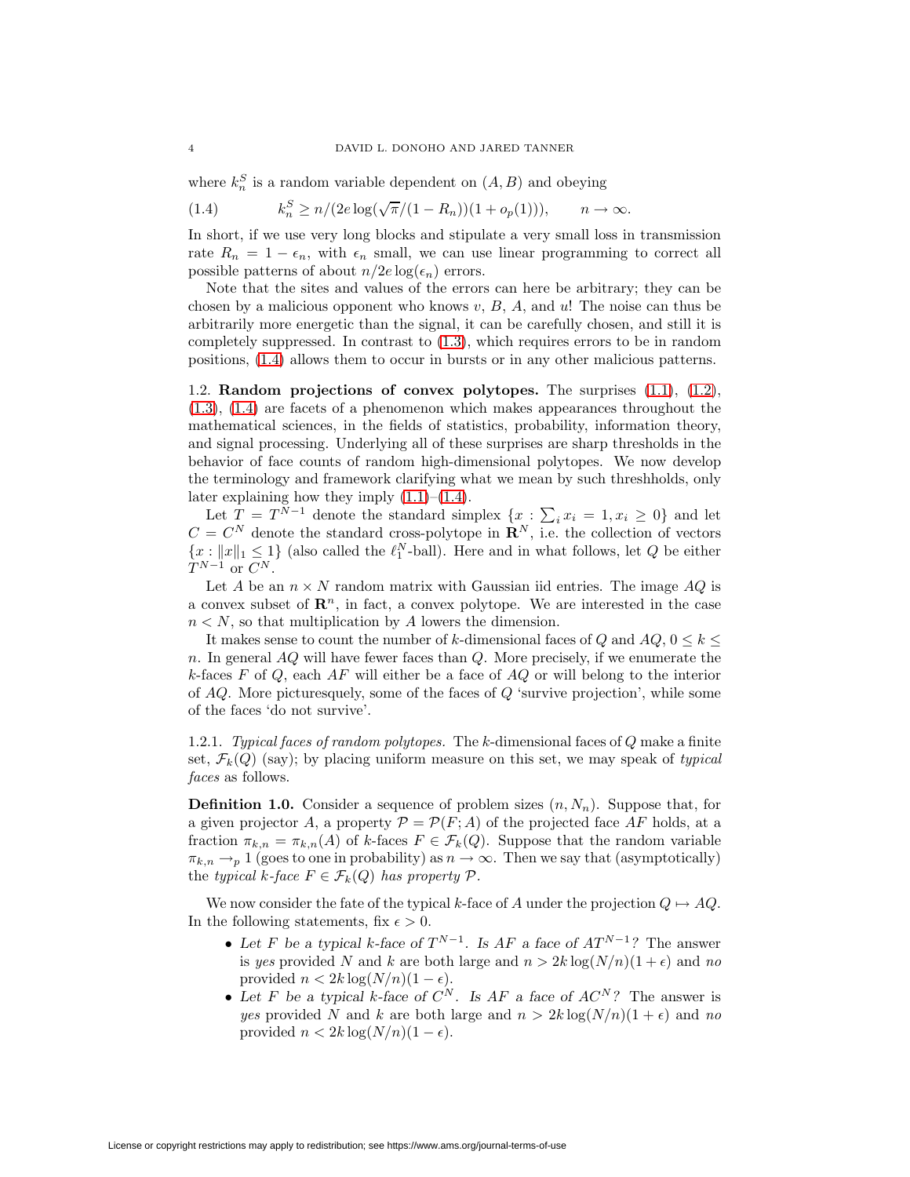<span id="page-3-0"></span>where  $k_n^S$  is a random variable dependent on  $(A, B)$  and obeying

(1.4) 
$$
k_n^S \ge n/(2e \log(\sqrt{\pi}/(1 - R_n))(1 + o_p(1))), \quad n \to \infty.
$$

In short, if we use very long blocks and stipulate a very small loss in transmission rate  $R_n = 1 - \epsilon_n$ , with  $\epsilon_n$  small, we can use linear programming to correct all possible patterns of about  $n/2e \log(\epsilon_n)$  errors.

Note that the sites and values of the errors can here be arbitrary; they can be chosen by a malicious opponent who knows  $v, B, A$ , and  $u$ ! The noise can thus be arbitrarily more energetic than the signal, it can be carefully chosen, and still it is completely suppressed. In contrast to [\(1.3\)](#page-2-0), which requires errors to be in random positions, [\(1.4\)](#page-3-0) allows them to occur in bursts or in any other malicious patterns.

1.2. **Random projections of convex polytopes.** The surprises [\(1.1\)](#page-1-1), [\(1.2\)](#page-1-2), [\(1.3\)](#page-2-0), [\(1.4\)](#page-3-0) are facets of a phenomenon which makes appearances throughout the mathematical sciences, in the fields of statistics, probability, information theory, and signal processing. Underlying all of these surprises are sharp thresholds in the behavior of face counts of random high-dimensional polytopes. We now develop the terminology and framework clarifying what we mean by such threshholds, only later explaining how they imply  $(1.1)$ – $(1.4)$ .

Let  $T = T^{N-1}$  denote the standard simplex  $\{x : \sum_i x_i = 1, x_i \geq 0\}$  and let  $C = C^N$  denote the standard cross-polytope in  $\mathbf{R}^N$ , i.e. the collection of vectors  ${x : ||x||_1 \leq 1}$  (also called the  $\ell_1^N$ -ball). Here and in what follows, let Q be either  $T^{N-1}$  or  $C^N$ .

Let A be an  $n \times N$  random matrix with Gaussian iid entries. The image AQ is a convex subset of  $\mathbb{R}^n$ , in fact, a convex polytope. We are interested in the case  $n < N$ , so that multiplication by A lowers the dimension.

It makes sense to count the number of k-dimensional faces of Q and  $AQ$ ,  $0 \le k \le$ n. In general  $AQ$  will have fewer faces than  $Q$ . More precisely, if we enumerate the k-faces F of Q, each  $AF$  will either be a face of  $AQ$  or will belong to the interior of  $AQ$ . More picturesquely, some of the faces of  $Q$  'survive projection', while some of the faces 'do not survive'.

1.2.1. Typical faces of random polytopes. The k-dimensional faces of Q make a finite set,  $\mathcal{F}_k(Q)$  (say); by placing uniform measure on this set, we may speak of typical faces as follows.

**Definition 1.0.** Consider a sequence of problem sizes  $(n, N_n)$ . Suppose that, for a given projector A, a property  $\mathcal{P} = \mathcal{P}(F; A)$  of the projected face AF holds, at a fraction  $\pi_{k,n} = \pi_{k,n}(A)$  of k-faces  $F \in \mathcal{F}_k(Q)$ . Suppose that the random variable  $\pi_{k,n} \to p 1$  (goes to one in probability) as  $n \to \infty$ . Then we say that (asymptotically) the typical k-face  $F \in \mathcal{F}_k(Q)$  has property  $\mathcal{P}$ .

We now consider the fate of the typical k-face of A under the projection  $Q \mapsto AQ$ . In the following statements, fix  $\epsilon > 0$ .

- Let F be a typical k-face of  $T^{N-1}$ . Is  $AF$  a face of  $AT^{N-1}$ ? The answer is yes provided N and k are both large and  $n > 2k \log(N/n)(1+\epsilon)$  and no provided  $n < 2k \log(N/n)(1 - \epsilon)$ .
- Let F be a typical k-face of  $C^N$ . Is AF a face of  $AC^N$ ? The answer is yes provided N and k are both large and  $n > 2k \log(N/n)(1 + \epsilon)$  and no provided  $n < 2k \log(N/n)(1 - \epsilon)$ .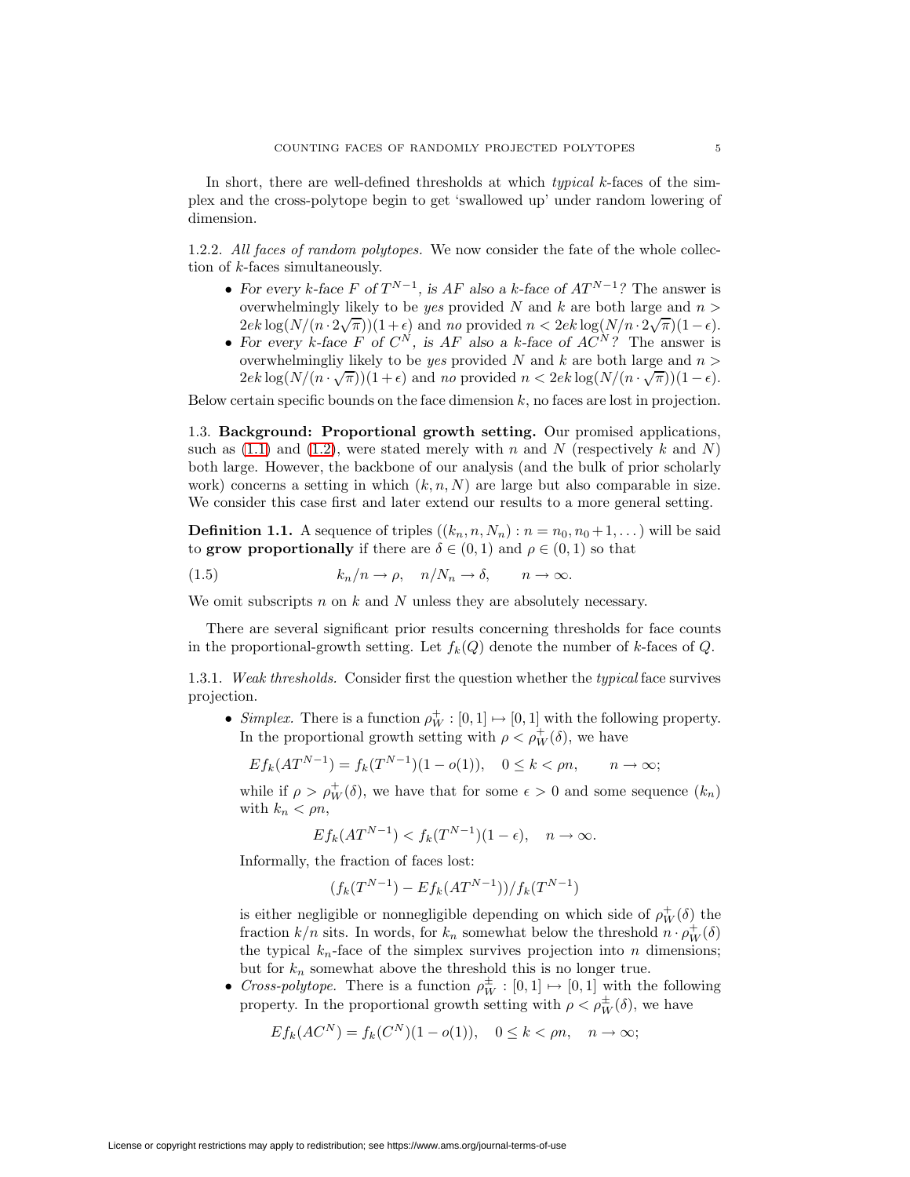In short, there are well-defined thresholds at which *typical k*-faces of the simplex and the cross-polytope begin to get 'swallowed up' under random lowering of dimension.

1.2.2. All faces of random polytopes. We now consider the fate of the whole collection of k-faces simultaneously.

- For every k-face F of  $T^{N-1}$ , is AF also a k-face of  $AT^{N-1}$ ? The answer is overwhelmingly likely to be *yes* provided N and k are both large and  $n >$  $2ek \log(N/(n \cdot 2\sqrt{\pi}))(1+\epsilon)$  and no provided  $n < 2ek \log(N/n \cdot 2\sqrt{\pi})(1-\epsilon)$ .
- For every  $k$ -face  $F$  of  $C^N$ , is  $AF$  also a  $k$ -face of  $AC^N$ ? The answer is overwhelmingliy likely to be *yes* provided N and k are both large and  $n >$  $2ek \log(N/(n \cdot \sqrt{\pi}))(1+\epsilon)$  and no provided  $n < 2ek \log(N/(n \cdot \sqrt{\pi}))(1-\epsilon)$ .

Below certain specific bounds on the face dimension  $k$ , no faces are lost in projection.

1.3. **Background: Proportional growth setting.** Our promised applications, such as  $(1.1)$  and  $(1.2)$ , were stated merely with n and N (respectively k and N) both large. However, the backbone of our analysis (and the bulk of prior scholarly work) concerns a setting in which  $(k, n, N)$  are large but also comparable in size. We consider this case first and later extend our results to a more general setting.

<span id="page-4-0"></span>**Definition 1.1.** A sequence of triples  $((k_n, n, N_n) : n = n_0, n_0 + 1, \dots)$  will be said to **grow proportionally** if there are  $\delta \in (0,1)$  and  $\rho \in (0,1)$  so that

(1.5)  $k_n/n \to \rho, \quad n/N_n \to \delta, \quad n \to \infty.$ 

We omit subscripts  $n$  on  $k$  and  $N$  unless they are absolutely necessary.

There are several significant prior results concerning thresholds for face counts in the proportional-growth setting. Let  $f_k(Q)$  denote the number of k-faces of Q.

1.3.1. Weak thresholds. Consider first the question whether the typical face survives projection.

• Simplex. There is a function  $\rho_W^+ : [0,1] \mapsto [0,1]$  with the following property. In the proportional growth setting with  $\rho < \rho_W^+(\delta)$ , we have

$$
E f_k(AT^{N-1}) = f_k(T^{N-1})(1 - o(1)), \quad 0 \le k < \rho n, \quad n \to \infty;
$$

while if  $\rho > \rho_W^+(\delta)$ , we have that for some  $\epsilon > 0$  and some sequence  $(k_n)$ with  $k_n < \rho n$ ,

$$
Ef_k(AT^{N-1}) < f_k(T^{N-1})(1 - \epsilon), \quad n \to \infty.
$$

Informally, the fraction of faces lost:

$$
(f_k(T^{N-1}) - Ef_k(AT^{N-1}))/f_k(T^{N-1})
$$

is either negligible or nonnegligible depending on which side of  $\rho_W^+(\delta)$  the fraction  $k/n$  sits. In words, for  $k_n$  somewhat below the threshold  $n \cdot \rho_W^+(\delta)$ the typical  $k_n$ -face of the simplex survives projection into n dimensions; but for  $k_n$  somewhat above the threshold this is no longer true.

• Cross-polytope. There is a function  $\rho_W^{\pm} : [0,1] \mapsto [0,1]$  with the following property. In the proportional growth setting with  $\rho < \rho_W^{\pm}(\delta)$ , we have

$$
Ef_k(AC^N) = f_k(C^N)(1 - o(1)), \quad 0 \le k < \rho n, \quad n \to \infty;
$$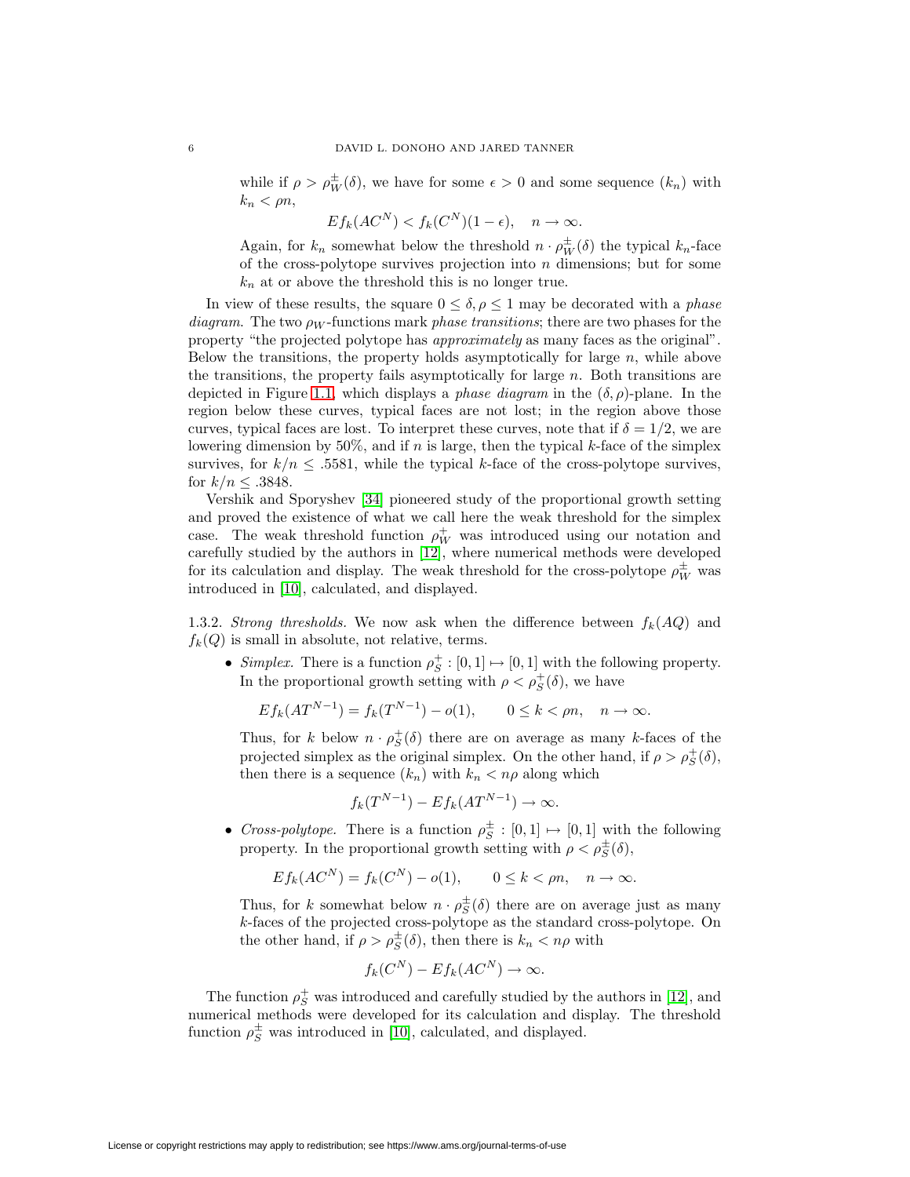while if  $\rho > \rho_W^{\pm}(\delta)$ , we have for some  $\epsilon > 0$  and some sequence  $(k_n)$  with  $k_n < \rho n$ ,

$$
E f_k(AC^N) < f_k(C^N)(1 - \epsilon), \quad n \to \infty.
$$

Again, for  $k_n$  somewhat below the threshold  $n \cdot \rho_W^{\pm}(\delta)$  the typical  $k_n$ -face of the cross-polytope survives projection into  $n$  dimensions; but for some  $k_n$  at or above the threshold this is no longer true.

In view of these results, the square  $0 \le \delta, \rho \le 1$  may be decorated with a phase diagram. The two  $\rho_W$ -functions mark phase transitions; there are two phases for the property "the projected polytope has approximately as many faces as the original". Below the transitions, the property holds asymptotically for large  $n$ , while above the transitions, the property fails asymptotically for large  $n$ . Both transitions are depicted in Figure [1.1,](#page-6-0) which displays a *phase diagram* in the  $(\delta, \rho)$ -plane. In the region below these curves, typical faces are not lost; in the region above those curves, typical faces are lost. To interpret these curves, note that if  $\delta = 1/2$ , we are lowering dimension by 50%, and if n is large, then the typical k-face of the simplex survives, for  $k/n \leq 0.5581$ , while the typical k-face of the cross-polytope survives, for  $k/n \leq .3848$ .

Vershik and Sporyshev [\[34\]](#page-52-0) pioneered study of the proportional growth setting and proved the existence of what we call here the weak threshold for the simplex case. The weak threshold function  $\rho_W^+$  was introduced using our notation and carefully studied by the authors in [\[12\]](#page-51-4), where numerical methods were developed for its calculation and display. The weak threshold for the cross-polytope  $\rho_W^{\pm}$  was introduced in [\[10\]](#page-51-5), calculated, and displayed.

1.3.2. Strong thresholds. We now ask when the difference between  $f_k(AQ)$  and  $f_k(Q)$  is small in absolute, not relative, terms.

• Simplex. There is a function  $\rho_S^+ : [0,1] \mapsto [0,1]$  with the following property. In the proportional growth setting with  $\rho < \rho_S^+(\delta)$ , we have

$$
E f_k(AT^{N-1}) = f_k(T^{N-1}) - o(1), \qquad 0 \le k < \rho n, \quad n \to \infty.
$$

Thus, for k below  $n \cdot \rho_S^+(\delta)$  there are on average as many k-faces of the projected simplex as the original simplex. On the other hand, if  $\rho > \rho_S^+(\delta)$ , then there is a sequence  $(k_n)$  with  $k_n < n\rho$  along which

$$
f_k(T^{N-1}) - Ef_k(AT^{N-1}) \to \infty.
$$

• Cross-polytope. There is a function  $\rho_S^{\pm} : [0,1] \mapsto [0,1]$  with the following property. In the proportional growth setting with  $\rho < \rho_S^{\pm}(\delta)$ ,

$$
Ef_k(AC^N) = f_k(C^N) - o(1), \qquad 0 \le k < \rho n, \quad n \to \infty.
$$

Thus, for k somewhat below  $n \cdot \rho_S^{\pm}(\delta)$  there are on average just as many k-faces of the projected cross-polytope as the standard cross-polytope. On the other hand, if  $\rho > \rho_S^{\pm}(\delta)$ , then there is  $k_n < n\rho$  with

$$
f_k(C^N) - Ef_k(AC^N) \to \infty.
$$

The function  $\rho_S^+$  was introduced and carefully studied by the authors in [\[12\]](#page-51-4), and numerical methods were developed for its calculation and display. The threshold function  $\rho_S^{\pm}$  was introduced in [\[10\]](#page-51-5), calculated, and displayed.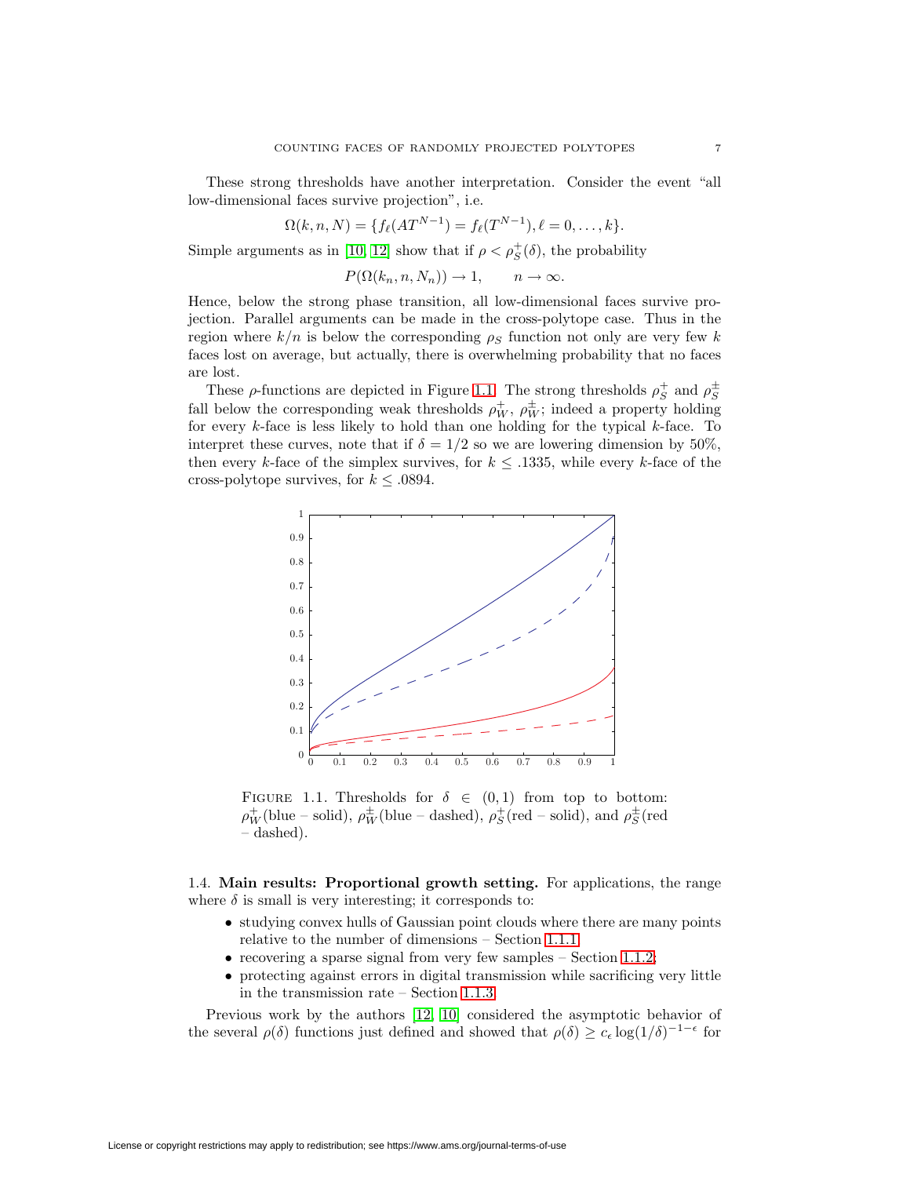These strong thresholds have another interpretation. Consider the event "all low-dimensional faces survive projection", i.e.

$$
\Omega(k, n, N) = \{ f_{\ell}(AT^{N-1}) = f_{\ell}(T^{N-1}), \ell = 0, \ldots, k \}.
$$

Simple arguments as in [\[10,](#page-51-5) [12\]](#page-51-4) show that if  $\rho < \rho_S^+(\delta)$ , the probability

 $P(\Omega(k_n,n,N_n)) \to 1, \quad n \to \infty.$ 

Hence, below the strong phase transition, all low-dimensional faces survive projection. Parallel arguments can be made in the cross-polytope case. Thus in the region where  $k/n$  is below the corresponding  $\rho_s$  function not only are very few k faces lost on average, but actually, there is overwhelming probability that no faces are lost.

These  $\rho$ -functions are depicted in Figure [1.1.](#page-6-0) The strong thresholds  $\rho_S^+$  and  $\rho_S^{\pm}$ fall below the corresponding weak thresholds  $\rho_W^+$ ,  $\rho_W^{\pm}$ ; indeed a property holding for every  $k$ -face is less likely to hold than one holding for the typical  $k$ -face. To interpret these curves, note that if  $\delta = 1/2$  so we are lowering dimension by 50%, then every k-face of the simplex survives, for  $k \leq 0.1335$ , while every k-face of the cross-polytope survives, for  $k \leq .0894.$ 



<span id="page-6-0"></span>FIGURE 1.1. Thresholds for  $\delta \in (0,1)$  from top to bottom:  $\rho_W^+$ (blue – solid),  $\rho_W^{\pm}$ (blue – dashed),  $\rho_S^+$ (red – solid), and  $\rho_S^{\pm}$ (red – dashed).

1.4. **Main results: Proportional growth setting.** For applications, the range where  $\delta$  is small is very interesting; it corresponds to:

- studying convex hulls of Gaussian point clouds where there are many points relative to the number of dimensions – Section [1.1.1;](#page-0-0)
- recovering a sparse signal from very few samples  $-$  Section [1.1.2;](#page-1-0)
- protecting against errors in digital transmission while sacrificing very little in the transmission rate – Section [1.1.3.](#page-2-1)

Previous work by the authors [\[12,](#page-51-4) [10\]](#page-51-5) considered the asymptotic behavior of the several  $\rho(\delta)$  functions just defined and showed that  $\rho(\delta) \geq c_{\epsilon} \log(1/\delta)^{-1-\epsilon}$  for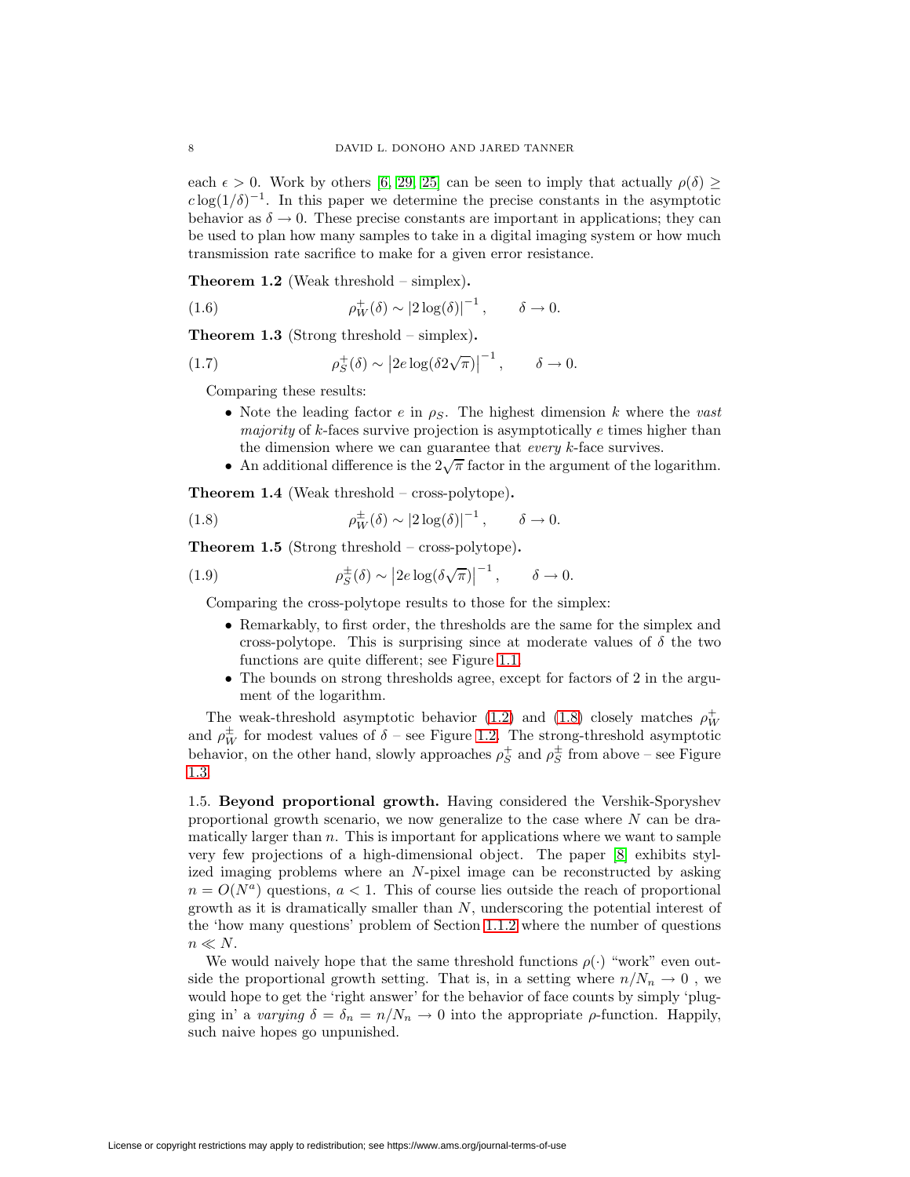each  $\epsilon > 0$ . Work by others [\[6,](#page-51-6) [29,](#page-51-7) [25\]](#page-51-8) can be seen to imply that actually  $\rho(\delta) \ge$  $c \log(1/\delta)^{-1}$ . In this paper we determine the precise constants in the asymptotic behavior as  $\delta \to 0$ . These precise constants are important in applications; they can be used to plan how many samples to take in a digital imaging system or how much transmission rate sacrifice to make for a given error resistance.

<span id="page-7-0"></span>**Theorem 1.2** (Weak threshold – simplex)**.**

(1.6) 
$$
\rho_W^+(\delta) \sim |2\log(\delta)|^{-1}, \qquad \delta \to 0.
$$

<span id="page-7-4"></span>**Theorem 1.3** (Strong threshold – simplex)**.**

(1.7) 
$$
\rho_S^+(\delta) \sim |2e \log(\delta 2\sqrt{\pi})|^{-1}, \qquad \delta \to 0.
$$

Comparing these results:

- Note the leading factor e in  $\rho_S$ . The highest dimension k where the vast majority of k-faces survive projection is asymptotically  $e$  times higher than the dimension where we can guarantee that *every* k-face survives.
- An additional difference is the  $2\sqrt{\pi}$  factor in the argument of the logarithm.

<span id="page-7-2"></span><span id="page-7-1"></span>**Theorem 1.4** (Weak threshold – cross-polytope)**.**

(1.8) 
$$
\rho_W^{\pm}(\delta) \sim |2\log(\delta)|^{-1}, \qquad \delta \to 0.
$$

<span id="page-7-3"></span>**Theorem 1.5** (Strong threshold – cross-polytope)**.**

(1.9) 
$$
\rho_S^{\pm}(\delta) \sim \left|2e \log(\delta\sqrt{\pi})\right|^{-1}, \quad \delta \to 0.
$$

Comparing the cross-polytope results to those for the simplex:

- Remarkably, to first order, the thresholds are the same for the simplex and cross-polytope. This is surprising since at moderate values of  $\delta$  the two functions are quite different; see Figure [1.1.](#page-6-0)
- The bounds on strong thresholds agree, except for factors of 2 in the argument of the logarithm.

The weak-threshold asymptotic behavior [\(1.2\)](#page-7-0) and [\(1.8\)](#page-7-1) closely matches  $\rho_W^+$ and  $\rho_W^{\pm}$  for modest values of  $\delta$  – see Figure [1.2.](#page-8-0) The strong-threshold asymptotic behavior, on the other hand, slowly approaches  $\rho_S^+$  and  $\rho_S^{\pm}$  from above – see Figure [1.3.](#page-8-1)

1.5. **Beyond proportional growth.** Having considered the Vershik-Sporyshev proportional growth scenario, we now generalize to the case where  $N$  can be dramatically larger than  $n$ . This is important for applications where we want to sample very few projections of a high-dimensional object. The paper [\[8\]](#page-51-9) exhibits stylized imaging problems where an N-pixel image can be reconstructed by asking  $n = O(N<sup>a</sup>)$  questions,  $a < 1$ . This of course lies outside the reach of proportional growth as it is dramatically smaller than  $N$ , underscoring the potential interest of the 'how many questions' problem of Section [1.1.2](#page-1-0) where the number of questions  $n \ll N$ .

We would naively hope that the same threshold functions  $\rho(\cdot)$  "work" even outside the proportional growth setting. That is, in a setting where  $n/N_n \to 0$ , we would hope to get the 'right answer' for the behavior of face counts by simply 'plugging in' a varying  $\delta = \delta_n = n/N_n \to 0$  into the appropriate  $\rho$ -function. Happily, such naive hopes go unpunished.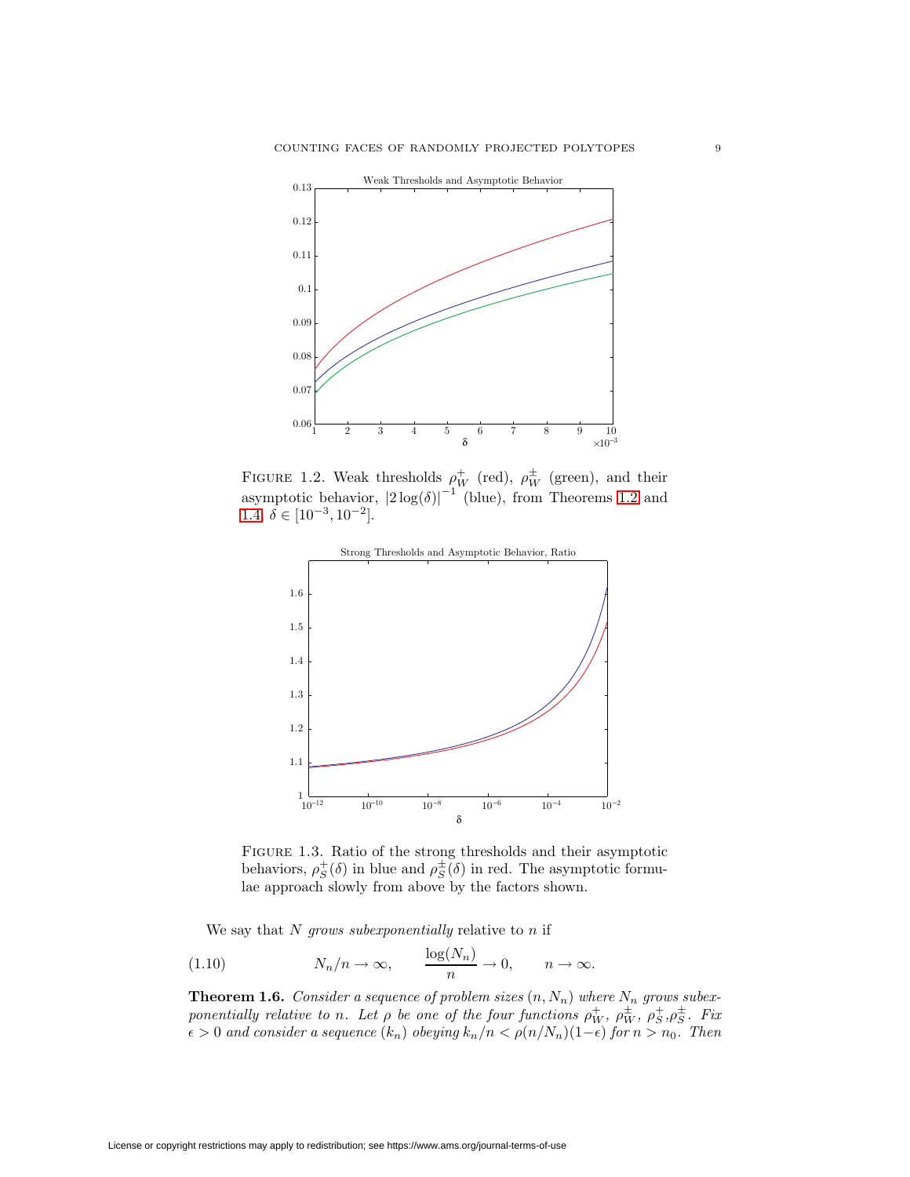

<span id="page-8-0"></span>FIGURE 1.2. Weak thresholds  $\rho_W^+$  (red),  $\rho_W^{\pm}$  (green), and their asymptotic behavior,  $|2 \log(\delta)|^{-1}$  (blue), from Theorems [1.2](#page-7-0) and [1.4,](#page-7-2)  $\delta \in [10^{-3}, 10^{-2}]$ .



<span id="page-8-1"></span>Figure 1.3. Ratio of the strong thresholds and their asymptotic behaviors,  $\rho_S^+(\delta)$  in blue and  $\rho_S^{\pm}(\delta)$  in red. The asymptotic formulae approach slowly from above by the factors shown.

We say that  $N$  grows subexponentially relative to  $n$  if

(1.10) 
$$
N_n/n \to \infty
$$
,  $\frac{\log(N_n)}{n} \to 0$ ,  $n \to \infty$ .

<span id="page-8-2"></span>**Theorem 1.6.** Consider a sequence of problem sizes  $(n, N_n)$  where  $N_n$  grows subexponentially relative to n. Let  $\rho$  be one of the four functions  $\rho_W^+$ ,  $\rho_W^{\pm}$ ,  $\rho_S^{\pm}$ ,  $\rho_S^{\pm}$ . Fix  $\epsilon > 0$  and consider a sequence  $(k_n)$  obeying  $k_n/n < \rho(n/N_n)(1-\epsilon)$  for  $n > n_0$ . Then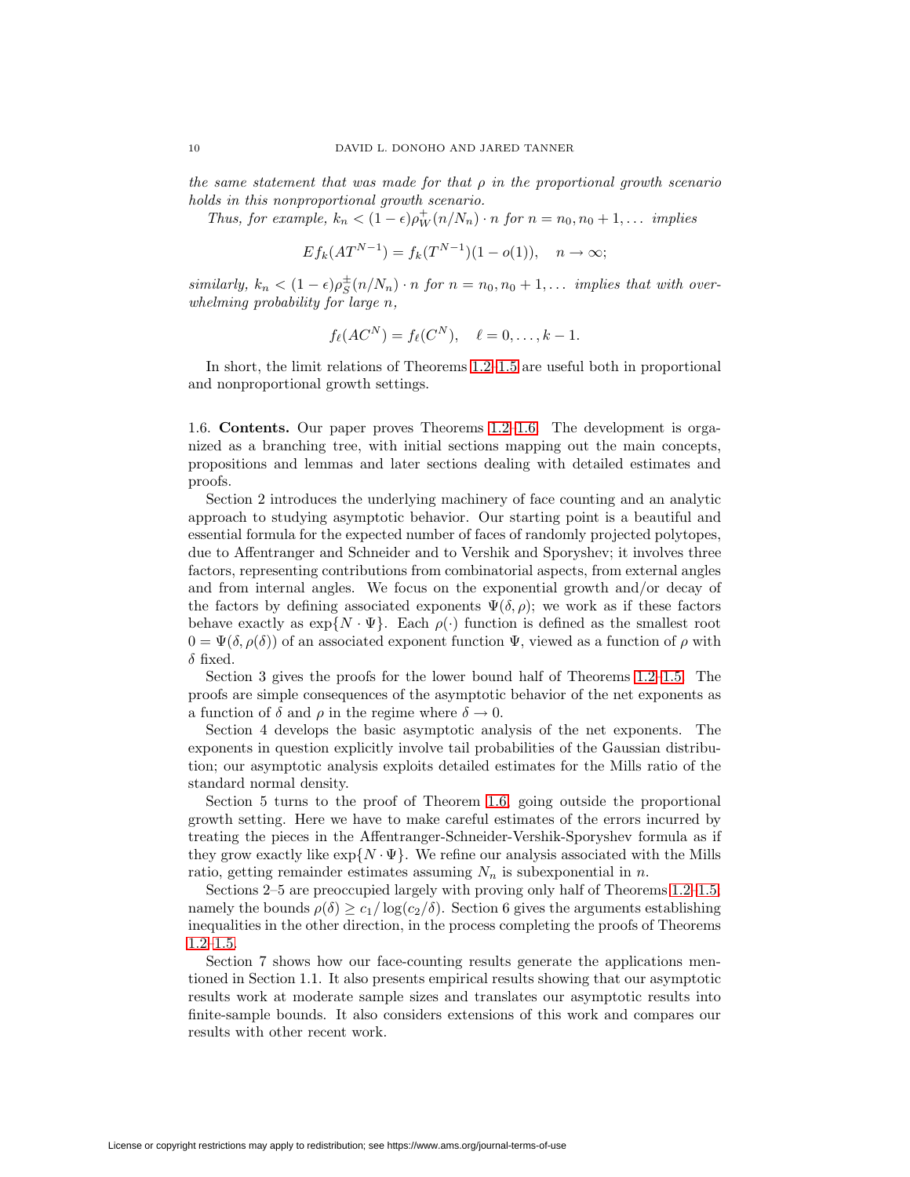the same statement that was made for that  $\rho$  in the proportional growth scenario holds in this nonproportional growth scenario.

Thus, for example,  $k_n < (1 - \epsilon) \rho_W^+(n/N_n) \cdot n$  for  $n = n_0, n_0 + 1, \ldots$  implies

$$
E f_k(AT^{N-1}) = f_k(T^{N-1})(1 - o(1)), \quad n \to \infty;
$$

similarly,  $k_n < (1 - \epsilon)\rho_S^{\pm}(n/N_n) \cdot n$  for  $n = n_0, n_0 + 1, \ldots$  implies that with overwhelming probability for large n,

$$
f_{\ell}(AC^N) = f_{\ell}(C^N), \quad \ell = 0, \ldots, k-1.
$$

In short, the limit relations of Theorems [1.2](#page-7-0)[–1.5](#page-7-3) are useful both in proportional and nonproportional growth settings.

1.6. **Contents.** Our paper proves Theorems [1.2–](#page-7-0)[1.6.](#page-8-2) The development is organized as a branching tree, with initial sections mapping out the main concepts, propositions and lemmas and later sections dealing with detailed estimates and proofs.

Section 2 introduces the underlying machinery of face counting and an analytic approach to studying asymptotic behavior. Our starting point is a beautiful and essential formula for the expected number of faces of randomly projected polytopes, due to Affentranger and Schneider and to Vershik and Sporyshev; it involves three factors, representing contributions from combinatorial aspects, from external angles and from internal angles. We focus on the exponential growth and/or decay of the factors by defining associated exponents  $\Psi(\delta, \rho)$ ; we work as if these factors behave exactly as  $\exp\{N \cdot \Psi\}$ . Each  $\rho(\cdot)$  function is defined as the smallest root  $0 = \Psi(\delta, \rho(\delta))$  of an associated exponent function  $\Psi$ , viewed as a function of  $\rho$  with  $\delta$  fixed.

Section 3 gives the proofs for the lower bound half of Theorems [1.2](#page-7-0)[–1.5.](#page-7-3) The proofs are simple consequences of the asymptotic behavior of the net exponents as a function of  $\delta$  and  $\rho$  in the regime where  $\delta \to 0$ .

Section 4 develops the basic asymptotic analysis of the net exponents. The exponents in question explicitly involve tail probabilities of the Gaussian distribution; our asymptotic analysis exploits detailed estimates for the Mills ratio of the standard normal density.

Section 5 turns to the proof of Theorem [1.6,](#page-8-2) going outside the proportional growth setting. Here we have to make careful estimates of the errors incurred by treating the pieces in the Affentranger-Schneider-Vershik-Sporyshev formula as if they grow exactly like  $\exp\{N \cdot \Psi\}$ . We refine our analysis associated with the Mills ratio, getting remainder estimates assuming  $N_n$  is subexponential in n.

Sections 2–5 are preoccupied largely with proving only half of Theorems [1.2–](#page-7-0)[1.5;](#page-7-3) namely the bounds  $\rho(\delta) \geq c_1/\log(c_2/\delta)$ . Section 6 gives the arguments establishing inequalities in the other direction, in the process completing the proofs of Theorems [1.2](#page-7-0)[–1.5.](#page-7-3)

Section 7 shows how our face-counting results generate the applications mentioned in Section 1.1. It also presents empirical results showing that our asymptotic results work at moderate sample sizes and translates our asymptotic results into finite-sample bounds. It also considers extensions of this work and compares our results with other recent work.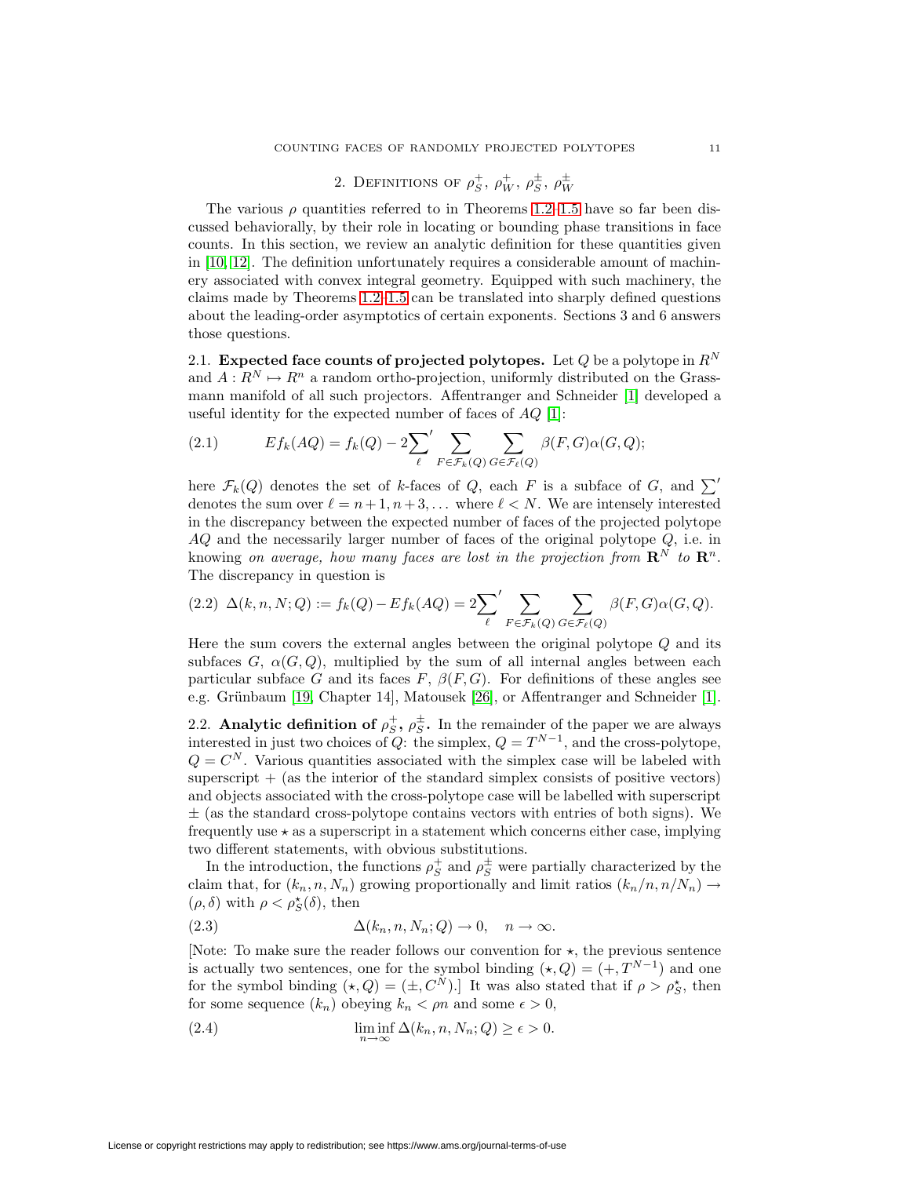# 2. DEFINITIONS OF  $\rho_S^+$ ,  $\rho_W^+$ ,  $\rho_S^{\pm}$ ,  $\rho_W^{\pm}$

The various  $\rho$  quantities referred to in Theorems [1.2–](#page-7-0)[1.5](#page-7-3) have so far been discussed behaviorally, by their role in locating or bounding phase transitions in face counts. In this section, we review an analytic definition for these quantities given in [\[10,](#page-51-5) [12\]](#page-51-4). The definition unfortunately requires a considerable amount of machinery associated with convex integral geometry. Equipped with such machinery, the claims made by Theorems [1.2–](#page-7-0)[1.5](#page-7-3) can be translated into sharply defined questions about the leading-order asymptotics of certain exponents. Sections 3 and 6 answers those questions.

2.1. **Expected face counts of projected polytopes.** Let  $Q$  be a polytope in  $R^N$ and  $A: \mathbb{R}^N \mapsto \mathbb{R}^n$  a random ortho-projection, uniformly distributed on the Grassmann manifold of all such projectors. Affentranger and Schneider [\[1\]](#page-50-0) developed a useful identity for the expected number of faces of  $AQ$  [\[1\]](#page-50-0):

(2.1) 
$$
Ef_k(AQ) = f_k(Q) - 2\sum_{\ell} \sum_{F \in \mathcal{F}_k(Q)} \sum_{G \in \mathcal{F}_{\ell}(Q)} \beta(F, G) \alpha(G, Q);
$$

here  $\mathcal{F}_k(Q)$  denotes the set of k-faces of Q, each F is a subface of G, and  $\sum'$ denotes the sum over  $\ell = n+1, n+3,...$  where  $\ell < N$ . We are intensely interested in the discrepancy between the expected number of faces of the projected polytope  $AQ$  and the necessarily larger number of faces of the original polytope  $Q$ , i.e. in knowing on average, how many faces are lost in the projection from  $\mathbb{R}^N$  to  $\mathbb{R}^n$ . The discrepancy in question is

<span id="page-10-2"></span>
$$
(2.2)\ \Delta(k,n,N;Q) := f_k(Q) - Ef_k(AQ) = 2\sum_{\ell} \sum_{F \in \mathcal{F}_k(Q)} \sum_{G \in \mathcal{F}_{\ell}(Q)} \beta(F,G)\alpha(G,Q).
$$

Here the sum covers the external angles between the original polytope  $Q$  and its subfaces  $G, \alpha(G, Q)$ , multiplied by the sum of all internal angles between each particular subface G and its faces F,  $\beta(F,G)$ . For definitions of these angles see e.g. Grünbaum [\[19,](#page-51-10) Chapter 14], Matousek [\[26\]](#page-51-11), or Affentranger and Schneider [\[1\]](#page-50-0).

2.2. **Analytic definition of**  $\rho_S^+$ **,**  $\rho_S^{\pm}$ **.** In the remainder of the paper we are always interested in just two choices of Q: the simplex,  $Q = T^{N-1}$ , and the cross-polytope,  $Q = C^N$ . Various quantities associated with the simplex case will be labeled with superscript  $+$  (as the interior of the standard simplex consists of positive vectors) and objects associated with the cross-polytope case will be labelled with superscript  $\pm$  (as the standard cross-polytope contains vectors with entries of both signs). We frequently use  $\star$  as a superscript in a statement which concerns either case, implying two different statements, with obvious substitutions.

In the introduction, the functions  $\rho_S^+$  and  $\rho_S^{\pm}$  were partially characterized by the claim that, for  $(k_n,n,N_n)$  growing proportionally and limit ratios  $(k_n/n, n/N_n) \rightarrow$  $(\rho,\delta)$  with  $\rho<\rho_S^\star(\delta),$  then

<span id="page-10-0"></span>(2.3) 
$$
\Delta(k_n, n, N_n; Q) \to 0, \quad n \to \infty.
$$

[Note: To make sure the reader follows our convention for  $\star$ , the previous sentence is actually two sentences, one for the symbol binding  $(\star, Q) = (+, T^{N-1})$  and one for the symbol binding  $(\star, Q) = (\pm, C^N)$ . It was also stated that if  $\rho > \rho_S^*$ , then for some sequence  $(k_n)$  obeying  $k_n < \rho n$  and some  $\epsilon > 0$ ,

<span id="page-10-1"></span>(2.4) 
$$
\liminf_{n \to \infty} \Delta(k_n, n, N_n; Q) \ge \epsilon > 0.
$$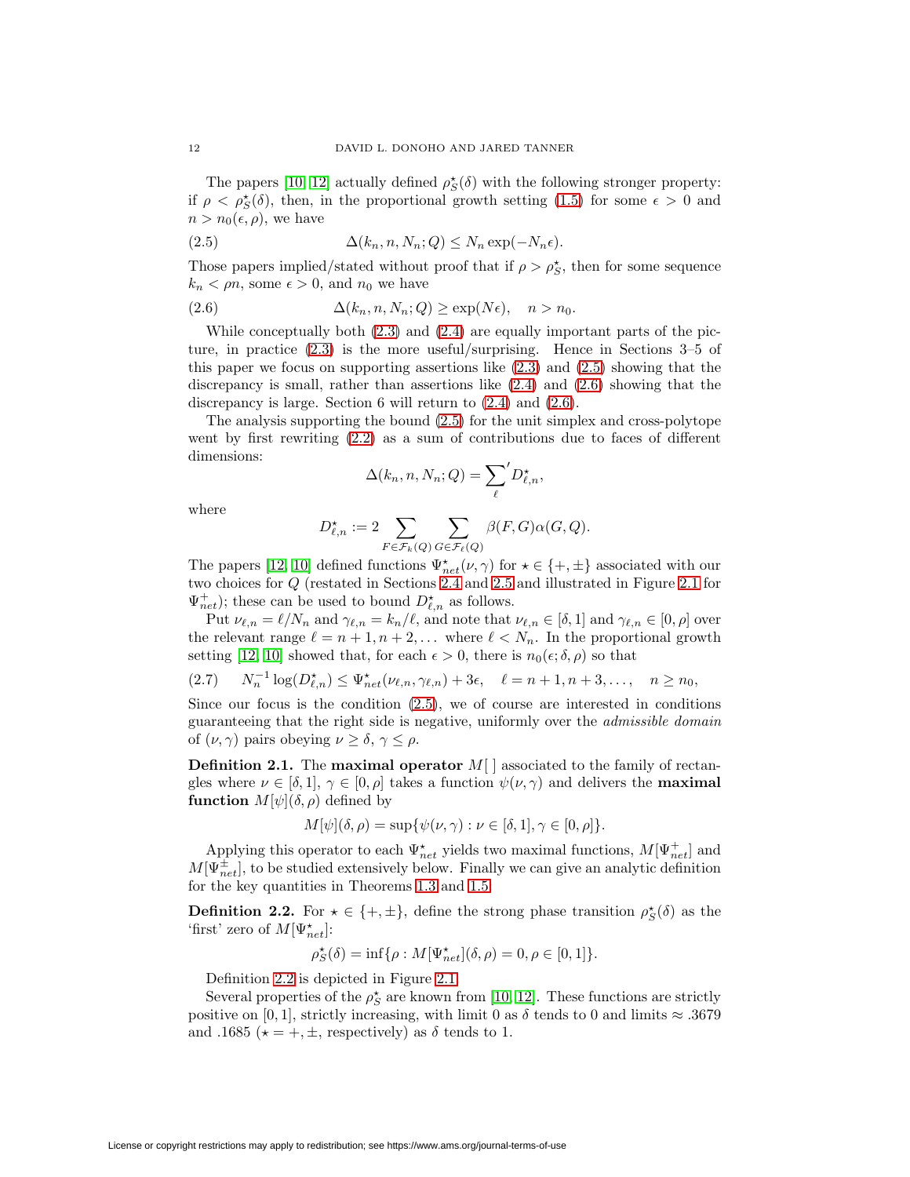The papers [\[10,](#page-51-5) [12\]](#page-51-4) actually defined  $\rho_S^{\star}(\delta)$  with the following stronger property: if  $\rho < \rho_{S}^{\star}(\delta)$ , then, in the proportional growth setting [\(1.5\)](#page-4-0) for some  $\epsilon > 0$  and  $n>n_0(\epsilon, \rho)$ , we have

<span id="page-11-0"></span>(2.5) 
$$
\Delta(k_n, n, N_n; Q) \le N_n \exp(-N_n \epsilon).
$$

<span id="page-11-1"></span>Those papers implied/stated without proof that if  $\rho > \rho_S^*$ , then for some sequence  $k_n < \rho n$ , some  $\epsilon > 0$ , and  $n_0$  we have

(2.6) 
$$
\Delta(k_n, n, N_n; Q) \ge \exp(N\epsilon), \quad n > n_0.
$$

While conceptually both  $(2.3)$  and  $(2.4)$  are equally important parts of the picture, in practice [\(2.3\)](#page-10-0) is the more useful/surprising. Hence in Sections 3–5 of this paper we focus on supporting assertions like [\(2.3\)](#page-10-0) and [\(2.5\)](#page-11-0) showing that the discrepancy is small, rather than assertions like [\(2.4\)](#page-10-1) and [\(2.6\)](#page-11-1) showing that the discrepancy is large. Section 6 will return to [\(2.4\)](#page-10-1) and [\(2.6\)](#page-11-1).

The analysis supporting the bound [\(2.5\)](#page-11-0) for the unit simplex and cross-polytope went by first rewriting [\(2.2\)](#page-10-2) as a sum of contributions due to faces of different dimensions:

<span id="page-11-3"></span>
$$
\Delta(k_n, n, N_n; Q) = \sum_{\ell}^{\prime} D_{\ell,n}^{\star},
$$

where

$$
D_{\ell,n}^* := 2 \sum_{F \in \mathcal{F}_k(Q)} \sum_{G \in \mathcal{F}_\ell(Q)} \beta(F,G) \alpha(G,Q).
$$

The papers [\[12,](#page-51-4) [10\]](#page-51-5) defined functions  $\Psi_{net}^{\star}(\nu, \gamma)$  for  $\star \in \{+, \pm\}$  associated with our two choices for Q (restated in Sections [2.4](#page-13-0) and [2.5](#page-15-0) and illustrated in Figure [2.1](#page-12-0) for  $\Psi_{net}^{+}$ ); these can be used to bound  $D_{\ell,n}^{\star}$  as follows.

Put  $\nu_{\ell,n} = \ell/N_n$  and  $\gamma_{\ell,n} = k_n/\ell$ , and note that  $\nu_{\ell,n} \in [\delta,1]$  and  $\gamma_{\ell,n} \in [0,\rho]$  over the relevant range  $\ell = n + 1, n + 2, \ldots$  where  $\ell < N_n$ . In the proportional growth setting [\[12,](#page-51-4) [10\]](#page-51-5) showed that, for each  $\epsilon > 0$ , there is  $n_0(\epsilon; \delta, \rho)$  so that

$$
(2.7) \t N_n^{-1} \log(D_{\ell,n}^{\star}) \leq \Psi_{net}^{\star}(\nu_{\ell,n}, \gamma_{\ell,n}) + 3\epsilon, \quad \ell = n+1, n+3, \dots, \quad n \geq n_0,
$$

Since our focus is the condition  $(2.5)$ , we of course are interested in conditions guaranteeing that the right side is negative, uniformly over the admissible domain of  $(\nu, \gamma)$  pairs obeying  $\nu \geq \delta, \gamma \leq \rho$ .

**Definition 2.1.** The **maximal operator** M[ ] associated to the family of rectangles where  $\nu \in [\delta, 1], \gamma \in [0, \rho]$  takes a function  $\psi(\nu, \gamma)$  and delivers the **maximal function**  $M[\psi](\delta, \rho)$  defined by

$$
M[\psi](\delta,\rho)=\sup{\{\psi(\nu,\gamma): \nu\in [\delta,1], \gamma\in [0,\rho]\}}.
$$

Applying this operator to each  $\Psi_{net}^{\star}$  yields two maximal functions,  $M[\Psi_{net}^{+}]$  and  $M[\Psi_{net}^{\pm}]$ , to be studied extensively below. Finally we can give an analytic definition for the key quantities in Theorems [1.3](#page-7-4) and [1.5:](#page-7-3)

<span id="page-11-2"></span>**Definition 2.2.** For  $\star \in \{+, \pm\}$ , define the strong phase transition  $\rho_S^{\star}(\delta)$  as the 'first' zero of  $M[\Psi^{\star}_{net}]$ :

$$
\rho_S^\star(\delta) = \inf \{ \rho : M[\Psi^\star_{net}](\delta, \rho) = 0, \rho \in [0,1] \}.
$$

Definition [2.2](#page-11-2) is depicted in Figure [2.1.](#page-12-0)

Several properties of the  $\rho_S^{\star}$  are known from [\[10,](#page-51-5) [12\]](#page-51-4). These functions are strictly positive on [0, 1], strictly increasing, with limit 0 as  $\delta$  tends to 0 and limits  $\approx .3679$ and .1685 ( $\star = +, \pm$ , respectively) as  $\delta$  tends to 1.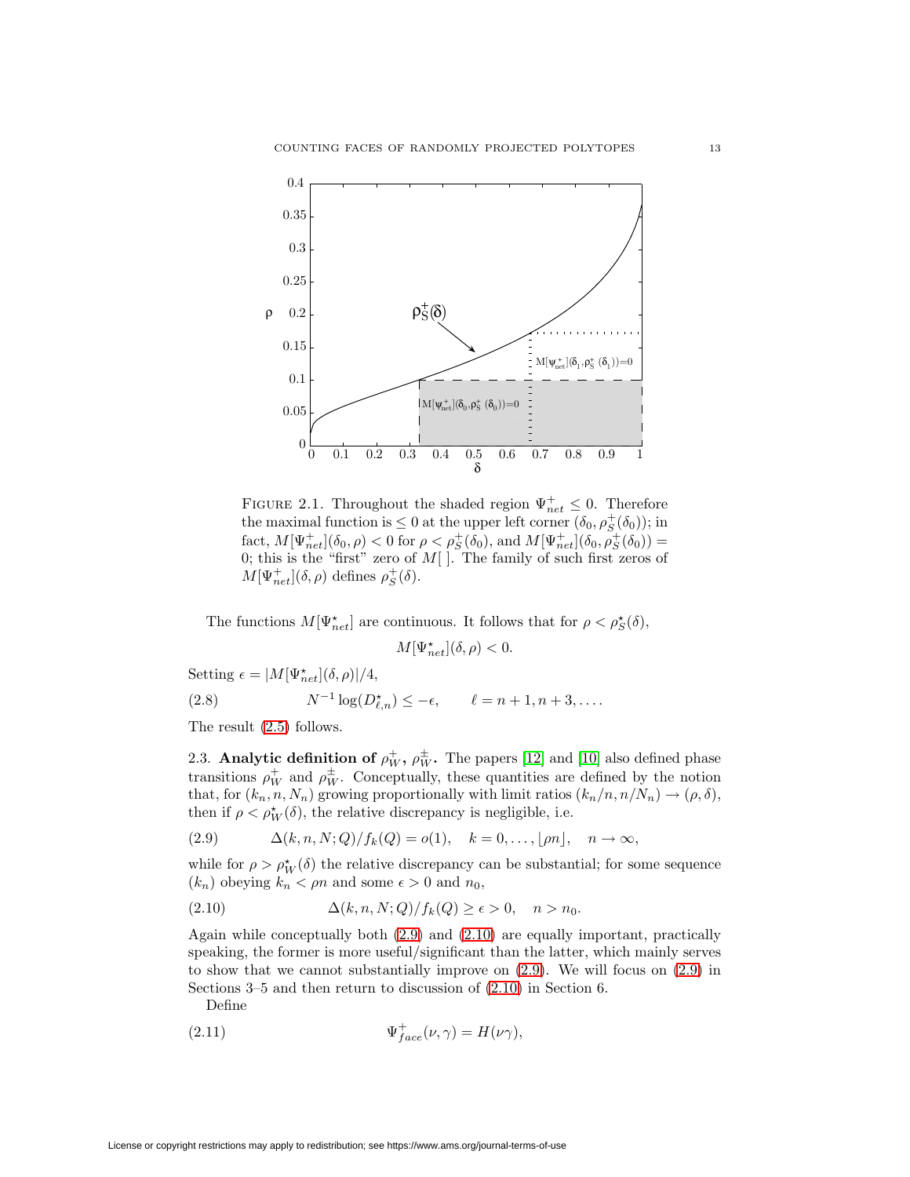

<span id="page-12-0"></span>FIGURE 2.1. Throughout the shaded region  $\Psi_{net}^{+} \leq 0$ . Therefore the maximal function is  $\leq 0$  at the upper left corner  $(\delta_0, \rho_S^+(\delta_0))$ ; in fact,  $M[\Psi_{net}^{+}](\delta_0, \rho) < 0$  for  $\rho < \rho_S^+(\delta_0)$ , and  $M[\Psi_{net}^{+}](\delta_0, \rho_S^{+}(\delta_0)) =$ 0; this is the "first" zero of  $M[$ ]. The family of such first zeros of  $M[\Psi_{net}^+] (\delta, \rho)$  defines  $\rho_S^+ (\delta)$ .

The functions  $M[\Psi_{net}^{\star}]$  are continuous. It follows that for  $\rho < \rho_{S}^{\star}(\delta)$ ,

<span id="page-12-1"></span>
$$
M[\Psi^{\star}_{net}](\delta,\rho)<0.
$$

Setting  $\epsilon = |M[\Psi_{net}^{\star}](\delta, \rho)|/4,$ 

(2.8) 
$$
N^{-1}\log(D_{\ell,n}^*) \le -\epsilon, \qquad \ell = n+1, n+3, \dots
$$

The result [\(2.5\)](#page-11-0) follows.

2.3. **Analytic definition of**  $\rho_W^+$ **,**  $\rho_W^{\pm}$ **. The papers [\[12\]](#page-51-4) and [\[10\]](#page-51-5) also defined phase** transitions  $\rho_W^+$  and  $\rho_W^{\pm}$ . Conceptually, these quantities are defined by the notion that, for  $(k_n,n,N_n)$  growing proportionally with limit ratios  $(k_n/n, n/N_n) \rightarrow (\rho, \delta)$ , then if  $\rho < \rho_W^*(\delta)$ , the relative discrepancy is negligible, i.e.

(2.9) 
$$
\Delta(k,n,N;Q)/f_k(Q) = o(1), \quad k = 0,\ldots, \lfloor \rho n \rfloor, \quad n \to \infty,
$$

while for  $\rho > \rho_W^{\star}(\delta)$  the relative discrepancy can be substantial; for some sequence  $(k_n)$  obeying  $k_n < \rho n$  and some  $\epsilon > 0$  and  $n_0$ ,

<span id="page-12-2"></span>
$$
(2.10) \qquad \Delta(k, n, N; Q)/f_k(Q) \ge \epsilon > 0, \quad n > n_0.
$$

Again while conceptually both [\(2.9\)](#page-12-1) and [\(2.10\)](#page-12-2) are equally important, practically speaking, the former is more useful/significant than the latter, which mainly serves to show that we cannot substantially improve on [\(2.9\)](#page-12-1). We will focus on [\(2.9\)](#page-12-1) in Sections 3–5 and then return to discussion of [\(2.10\)](#page-12-2) in Section 6.

Define

<span id="page-12-3"></span>(2.11) 
$$
\Psi_{face}^{+}(\nu, \gamma) = H(\nu \gamma),
$$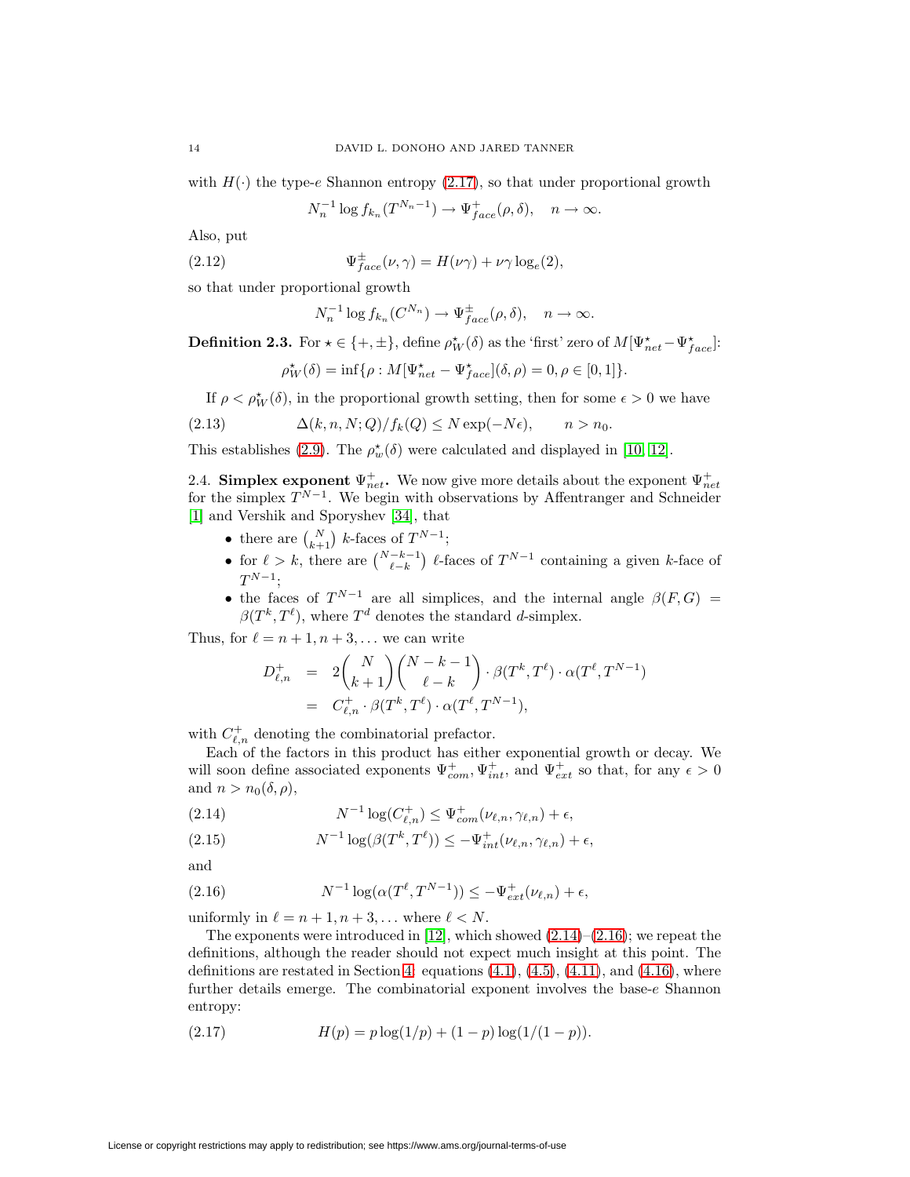with  $H(\cdot)$  the type-e Shannon entropy [\(2.17\)](#page-13-1), so that under proportional growth

$$
N_n^{-1}\log f_{k_n}(T^{N_n-1}) \to \Psi_{face}^+(\rho, \delta), \quad n \to \infty.
$$

<span id="page-13-4"></span>Also, put

(2.12) 
$$
\Psi_{face}^{\pm}(\nu, \gamma) = H(\nu\gamma) + \nu\gamma \log_e(2),
$$

so that under proportional growth

$$
N_n^{-1} \log f_{k_n}(C^{N_n}) \to \Psi_{face}^{\pm}(\rho, \delta), \quad n \to \infty.
$$

**Definition 2.3.** For  $\star \in \{+, \pm\}$ , define  $\rho_W^{\star}(\delta)$  as the 'first' zero of  $M[\Psi_{net}^{\star} - \Psi_{face}^{\star}]$ :

$$
\rho_W^{\star}(\delta) = \inf \{ \rho : M[\Psi_{net}^{\star} - \Psi_{face}^{\star}](\delta, \rho) = 0, \rho \in [0, 1] \}.
$$

If  $\rho < \rho_W^{\star}(\delta)$ , in the proportional growth setting, then for some  $\epsilon > 0$  we have

(2.13) 
$$
\Delta(k, n, N; Q)/f_k(Q) \le N \exp(-N\epsilon), \qquad n > n_0.
$$

This establishes [\(2.9\)](#page-12-1). The  $\rho_w^{\star}(\delta)$  were calculated and displayed in [\[10,](#page-51-5) [12\]](#page-51-4).

<span id="page-13-0"></span>2.4. **Simplex exponent**  $\Psi_{net}^+$ . We now give more details about the exponent  $\Psi_{net}^+$  for the simplex  $T^{N-1}$ . We begin with observations by Affentranger and Schneider [\[1\]](#page-50-0) and Vershik and Sporyshev [\[34\]](#page-52-0), that

- there are  $\binom{N}{k+1}$  k-faces of  $T^{N-1}$ ;
- for  $\ell > k$ , there are  $\binom{N-k-1}{\ell-k}$   $\ell$ -faces of  $T^{N-1}$  containing a given k-face of  $T^{N-1};$
- the faces of  $T^{N-1}$  are all simplices, and the internal angle  $\beta(F,G)$  $\beta(T^k, T^{\ell})$ , where  $T^d$  denotes the standard d-simplex.

Thus, for  $\ell = n + 1, n + 3, \ldots$  we can write

$$
D_{\ell,n}^+ = 2 {N \choose k+1} {N-k-1 \choose \ell-k} \cdot \beta(T^k, T^{\ell}) \cdot \alpha(T^{\ell}, T^{N-1})
$$
  
=  $C_{\ell,n}^+ \cdot \beta(T^k, T^{\ell}) \cdot \alpha(T^{\ell}, T^{N-1}),$ 

with  $C_{\ell,n}^+$  denoting the combinatorial prefactor.

Each of the factors in this product has either exponential growth or decay. We will soon define associated exponents  $\Psi_{com}^+$ ,  $\Psi_{int}^+$ , and  $\Psi_{ext}^+$  so that, for any  $\epsilon > 0$ and  $n>n_0(\delta, \rho)$ ,

<span id="page-13-2"></span>(2.14) 
$$
N^{-1}\log(C_{\ell,n}^+) \leq \Psi_{com}^+(\nu_{\ell,n},\gamma_{\ell,n}) + \epsilon,
$$

<span id="page-13-5"></span>(2.15) 
$$
N^{-1}\log(\beta(T^k,T^{\ell})) \leq -\Psi_{int}^+(\nu_{\ell,n},\gamma_{\ell,n}) + \epsilon,
$$

<span id="page-13-3"></span>and

(2.16) 
$$
N^{-1} \log(\alpha(T^{\ell}, T^{N-1})) \leq -\Psi_{ext}^{+}(\nu_{\ell,n}) + \epsilon,
$$

uniformly in  $\ell = n + 1, n + 3, \ldots$  where  $\ell < N$ .

The exponents were introduced in [\[12\]](#page-51-4), which showed  $(2.14)$ – $(2.16)$ ; we repeat the definitions, although the reader should not expect much insight at this point. The definitions are restated in Section [4:](#page-19-0) equations  $(4.1)$ ,  $(4.5)$ ,  $(4.11)$ , and  $(4.16)$ , where further details emerge. The combinatorial exponent involves the base- $e$  Shannon entropy:

<span id="page-13-1"></span>(2.17) 
$$
H(p) = p \log(1/p) + (1-p) \log(1/(1-p)).
$$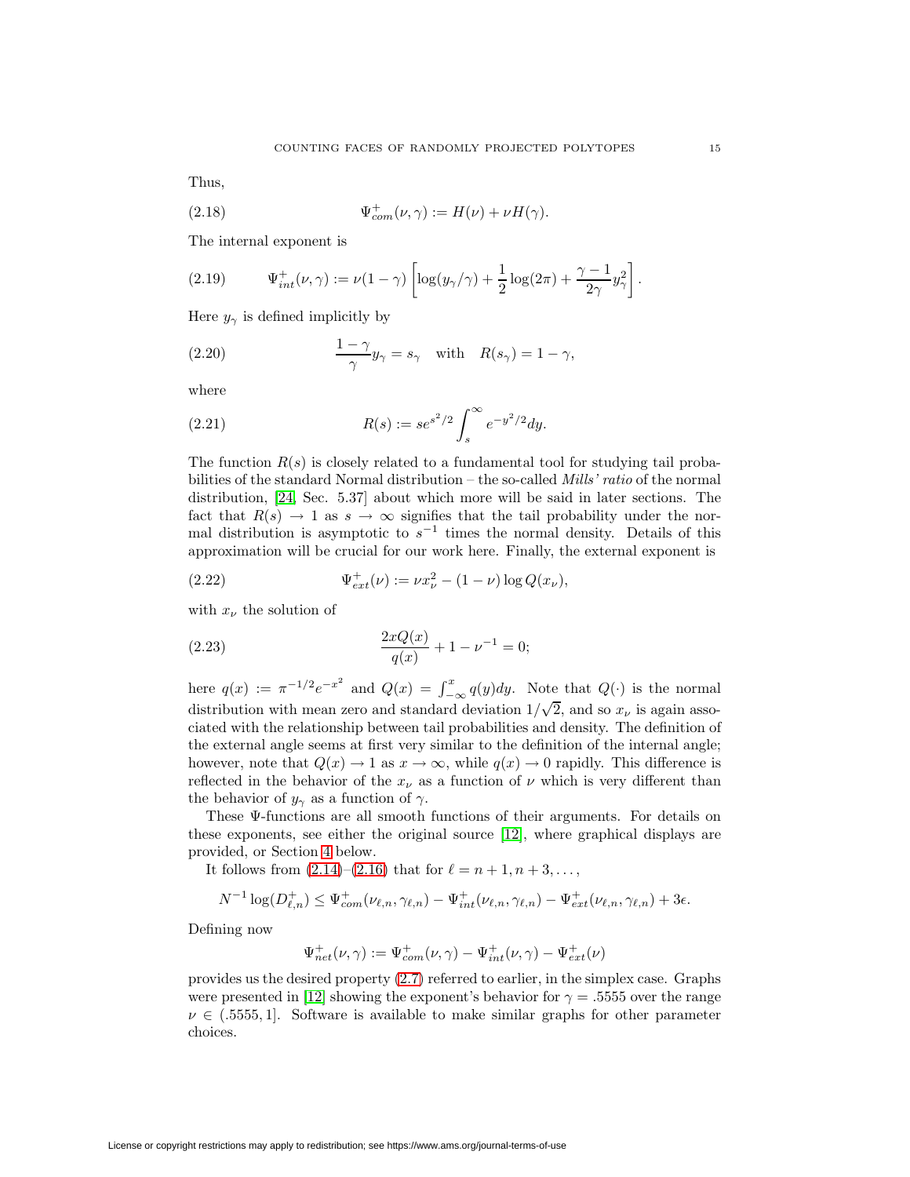<span id="page-14-0"></span>Thus,

(2.18) 
$$
\Psi_{com}^+(\nu, \gamma) := H(\nu) + \nu H(\gamma).
$$

<span id="page-14-1"></span>The internal exponent is

(2.19) 
$$
\Psi_{int}^{+}(\nu,\gamma) := \nu(1-\gamma) \left[ \log(y_{\gamma}/\gamma) + \frac{1}{2} \log(2\pi) + \frac{\gamma - 1}{2\gamma} y_{\gamma}^{2} \right].
$$

<span id="page-14-4"></span>Here  $y_{\gamma}$  is defined implicitly by

(2.20) 
$$
\frac{1-\gamma}{\gamma}y_{\gamma} = s_{\gamma} \text{ with } R(s_{\gamma}) = 1 - \gamma,
$$

<span id="page-14-2"></span>where

(2.21) 
$$
R(s) := s e^{s^2/2} \int_s^{\infty} e^{-y^2/2} dy.
$$

The function  $R(s)$  is closely related to a fundamental tool for studying tail probabilities of the standard Normal distribution – the so-called *Mills' ratio* of the normal distribution, [\[24,](#page-51-12) Sec. 5.37] about which more will be said in later sections. The fact that  $R(s) \to 1$  as  $s \to \infty$  signifies that the tail probability under the normal distribution is asymptotic to  $s^{-1}$  times the normal density. Details of this approximation will be crucial for our work here. Finally, the external exponent is

<span id="page-14-3"></span>(2.22) 
$$
\Psi_{ext}^+(\nu) := \nu x_\nu^2 - (1-\nu) \log Q(x_\nu),
$$

with  $x_\nu$  the solution of

(2.23) 
$$
\frac{2xQ(x)}{q(x)} + 1 - \nu^{-1} = 0;
$$

here  $q(x) := \pi^{-1/2} e^{-x^2}$  and  $Q(x) = \int_{-\infty}^x q(y) dy$ . Note that  $Q(\cdot)$  is the normal distribution with mean zero and standard deviation  $1/\sqrt{2}$ , and so  $x_{\nu}$  is again associated with the relationship between tail probabilities and density. The definition of the external angle seems at first very similar to the definition of the internal angle; however, note that  $Q(x) \to 1$  as  $x \to \infty$ , while  $q(x) \to 0$  rapidly. This difference is reflected in the behavior of the  $x_{\nu}$  as a function of  $\nu$  which is very different than the behavior of  $y_{\gamma}$  as a function of  $\gamma$ .

These Ψ-functions are all smooth functions of their arguments. For details on these exponents, see either the original source [\[12\]](#page-51-4), where graphical displays are provided, or Section [4](#page-19-0) below.

It follows from  $(2.14)$ – $(2.16)$  that for  $\ell = n + 1, n + 3, \ldots$ ,

$$
N^{-1}\log(D_{\ell,n}^+) \leq \Psi_{com}^+(\nu_{\ell,n},\gamma_{\ell,n}) - \Psi_{int}^+(\nu_{\ell,n},\gamma_{\ell,n}) - \Psi_{ext}^+(\nu_{\ell,n},\gamma_{\ell,n}) + 3\epsilon.
$$

Defining now

$$
\Psi^+_{net}(\nu,\gamma):=\Psi^+_{com}(\nu,\gamma)-\Psi^+_{int}(\nu,\gamma)-\Psi^+_{ext}(\nu)
$$

provides us the desired property [\(2.7\)](#page-11-3) referred to earlier, in the simplex case. Graphs were presented in [\[12\]](#page-51-4) showing the exponent's behavior for  $\gamma = 0.5555$  over the range  $\nu \in (0.5555, 1]$ . Software is available to make similar graphs for other parameter choices.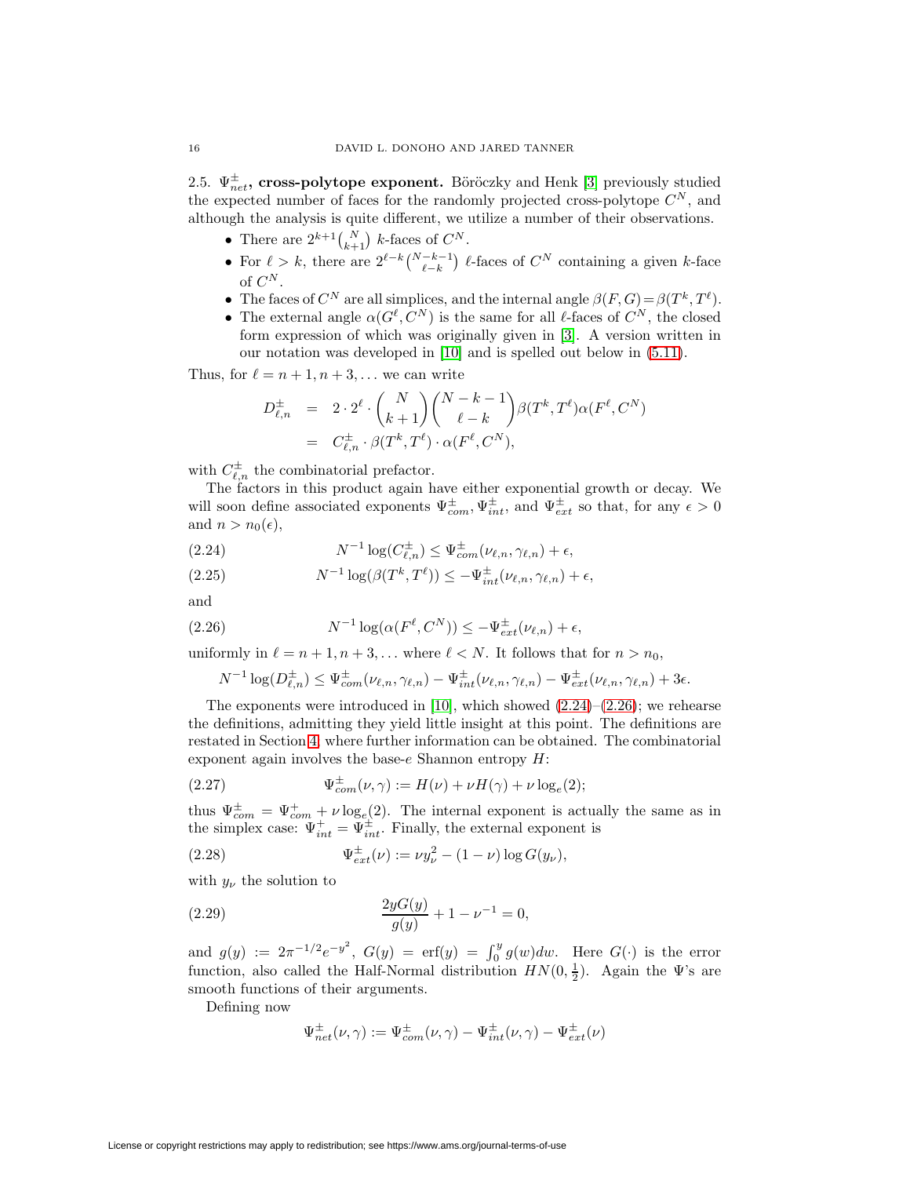<span id="page-15-0"></span>2.5.  $\Psi_{net}^{\pm}$ , cross-polytope exponent. Böröczky and Henk [\[3\]](#page-50-1) previously studied the expected number of faces for the randomly projected cross-polytope  $C^N$ , and although the analysis is quite different, we utilize a number of their observations.

- There are  $2^{k+1} {N \choose k+1}$  k-faces of  $C^N$ .
- For  $\ell > k$ , there are  $2^{\ell-k}\binom{N-k-1}{\ell-k}$   $\ell$ -faces of  $C^N$  containing a given k-face of  $C^N$ .
- The faces of  $C^N$  are all simplices, and the internal angle  $\beta(F, G) = \beta(T^k, T^{\ell})$ .
- The external angle  $\alpha(G^{\ell}, C^N)$  is the same for all  $\ell$ -faces of  $C^N$ , the closed form expression of which was originally given in [\[3\]](#page-50-1). A version written in our notation was developed in [\[10\]](#page-51-5) and is spelled out below in [\(5.11\)](#page-25-0).

Thus, for  $\ell = n + 1, n + 3, \ldots$  we can write

$$
D_{\ell,n}^{\pm} = 2 \cdot 2^{\ell} \cdot {N \choose k+1} {N-k-1 \choose \ell-k} \beta(T^k, T^{\ell}) \alpha(F^{\ell}, C^N)
$$
  
=  $C_{\ell,n}^{\pm} \cdot \beta(T^k, T^{\ell}) \cdot \alpha(F^{\ell}, C^N),$ 

with  $C_{\ell,n}^{\pm}$  the combinatorial prefactor.

The factors in this product again have either exponential growth or decay. We will soon define associated exponents  $\Psi_{com}^{\pm}, \Psi_{int}^{\pm}$ , and  $\Psi_{ext}^{\pm}$  so that, for any  $\epsilon > 0$ and  $n>n_0(\epsilon)$ ,

<span id="page-15-1"></span>(2.24) 
$$
N^{-1}\log(C_{\ell,n}^{\pm}) \leq \Psi_{com}^{\pm}(\nu_{\ell,n},\gamma_{\ell,n}) + \epsilon,
$$

<span id="page-15-5"></span>(2.25) 
$$
N^{-1}\log(\beta(T^k,T^{\ell})) \leq -\Psi^{\pm}_{int}(\nu_{\ell,n},\gamma_{\ell,n}) + \epsilon,
$$

<span id="page-15-2"></span>and

(2.26) 
$$
N^{-1}\log(\alpha(F^{\ell}, C^N)) \leq -\Psi_{ext}^{\pm}(\nu_{\ell,n}) + \epsilon,
$$

uniformly in  $\ell = n + 1, n + 3, \ldots$  where  $\ell < N$ . It follows that for  $n > n_0$ ,

<span id="page-15-3"></span>
$$
N^{-1}\log(D_{\ell,n}^{\pm}) \leq \Psi_{com}^{\pm}(\nu_{\ell,n},\gamma_{\ell,n}) - \Psi_{int}^{\pm}(\nu_{\ell,n},\gamma_{\ell,n}) - \Psi_{ext}^{\pm}(\nu_{\ell,n},\gamma_{\ell,n}) + 3\epsilon.
$$

The exponents were introduced in [\[10\]](#page-51-5), which showed  $(2.24)$ – $(2.26)$ ; we rehearse the definitions, admitting they yield little insight at this point. The definitions are restated in Section [4;](#page-19-0) where further information can be obtained. The combinatorial exponent again involves the base- $e$  Shannon entropy  $H$ :

(2.27) 
$$
\Psi_{com}^{\pm}(\nu, \gamma) := H(\nu) + \nu H(\gamma) + \nu \log_e(2);
$$

thus  $\Psi_{com}^{\pm} = \Psi_{com}^{+} + \nu \log_e(2)$ . The internal exponent is actually the same as in the simplex case:  $\Psi_{int}^{+} = \Psi_{int}^{\pm}$ . Finally, the external exponent is

(2.28) 
$$
\Psi_{ext}^{\pm}(\nu) := \nu y_{\nu}^{2} - (1 - \nu) \log G(y_{\nu}),
$$

with  $y_{\nu}$  the solution to

(2.29) 
$$
\frac{2yG(y)}{g(y)} + 1 - \nu^{-1} = 0,
$$

and  $g(y) := 2\pi^{-1/2}e^{-y^2}$ ,  $G(y) = erf(y) = \int_0^y g(w)dw$ . Here  $G(\cdot)$  is the error function, also called the Half-Normal distribution  $HN(0, \frac{1}{2})$ . Again the  $\Psi$ 's are smooth functions of their arguments.

Defining now

<span id="page-15-4"></span>
$$
\Psi_{net}^{\pm}(\nu,\gamma) := \Psi_{com}^{\pm}(\nu,\gamma) - \Psi_{int}^{\pm}(\nu,\gamma) - \Psi_{ext}^{\pm}(\nu)
$$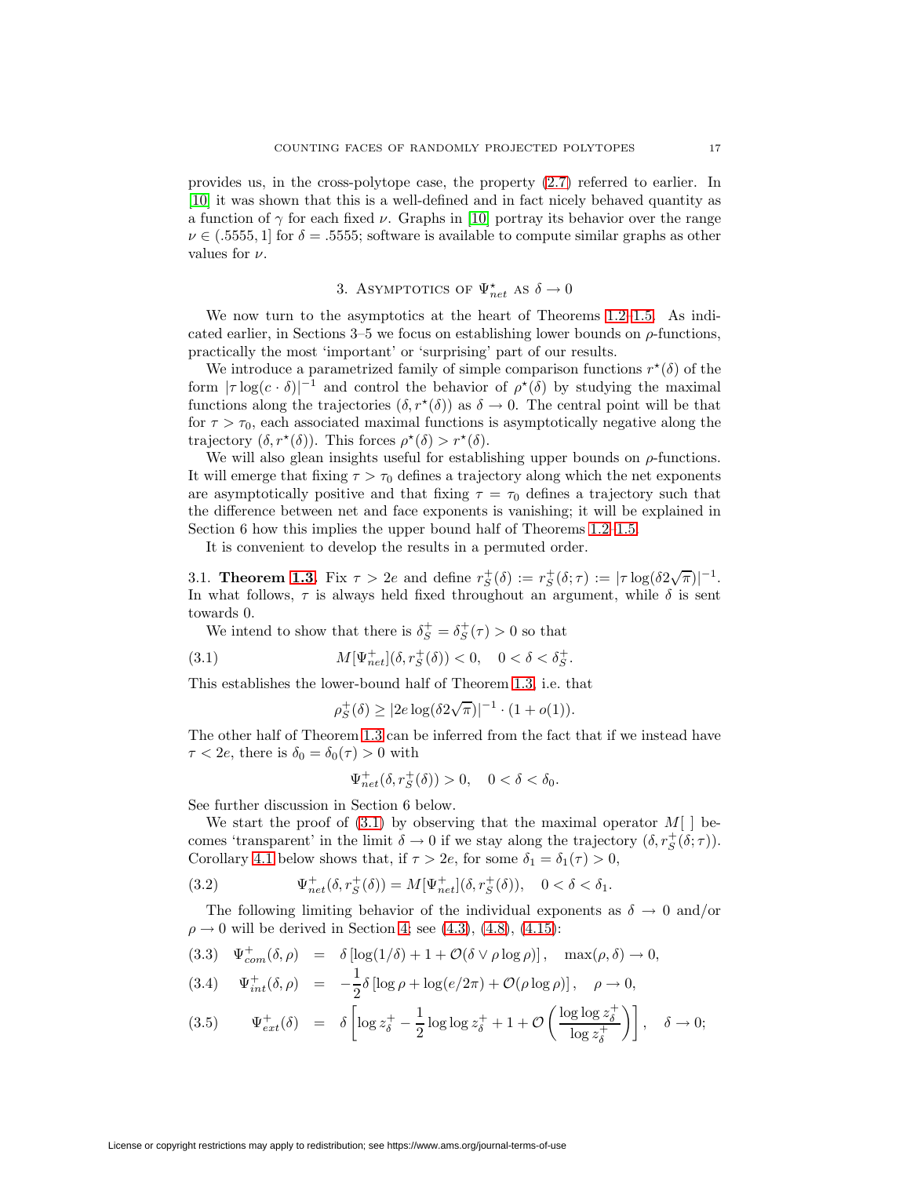provides us, in the cross-polytope case, the property [\(2.7\)](#page-11-3) referred to earlier. In [\[10\]](#page-51-5) it was shown that this is a well-defined and in fact nicely behaved quantity as a function of  $\gamma$  for each fixed  $\nu$ . Graphs in [\[10\]](#page-51-5) portray its behavior over the range  $\nu \in (0.5555, 1]$  for  $\delta = 0.5555$ ; software is available to compute similar graphs as other values for  $\nu$ .

## 3. ASYMPTOTICS OF  $\Psi_{net}^{\star}$  as  $\delta \rightarrow 0$

We now turn to the asymptotics at the heart of Theorems [1.2](#page-7-0)[–1.5.](#page-7-3) As indicated earlier, in Sections 3–5 we focus on establishing lower bounds on  $\rho$ -functions, practically the most 'important' or 'surprising' part of our results.

We introduce a parametrized family of simple comparison functions  $r^{\star}(\delta)$  of the form  $|\tau \log(c \cdot \delta)|^{-1}$  and control the behavior of  $\rho^{\star}(\delta)$  by studying the maximal functions along the trajectories  $(\delta, r^*(\delta))$  as  $\delta \to 0$ . The central point will be that for  $\tau > \tau_0$ , each associated maximal functions is asymptotically negative along the trajectory  $(\delta, r^*(\delta))$ . This forces  $\rho^*(\delta) > r^*(\delta)$ .

We will also glean insights useful for establishing upper bounds on  $\rho$ -functions. It will emerge that fixing  $\tau > \tau_0$  defines a trajectory along which the net exponents are asymptotically positive and that fixing  $\tau = \tau_0$  defines a trajectory such that the difference between net and face exponents is vanishing; it will be explained in Section 6 how this implies the upper bound half of Theorems [1.2](#page-7-0)[–1.5.](#page-7-3)

It is convenient to develop the results in a permuted order.

3.1. **Theorem [1.3.](#page-7-4)** Fix  $\tau > 2e$  and define  $r_S^+(\delta) := r_S^+(\delta; \tau) := |\tau \log(\delta 2\sqrt{\pi})|^{-1}$ . In what follows,  $\tau$  is always held fixed throughout an argument, while  $\delta$  is sent towards 0.

We intend to show that there is  $\delta_S^+ = \delta_S^+(\tau) > 0$  so that

(3.1) 
$$
M[\Psi_{net}^{+}](\delta, r_{S}^{+}(\delta)) < 0, \quad 0 < \delta < \delta_{S}^{+}.
$$

This establishes the lower-bound half of Theorem [1.3,](#page-7-4) i.e. that

<span id="page-16-0"></span>
$$
\rho_S^+(\delta) \ge |2e \log(\delta 2\sqrt{\pi})|^{-1} \cdot (1+o(1)).
$$

The other half of Theorem [1.3](#page-7-4) can be inferred from the fact that if we instead have  $\tau < 2e$ , there is  $\delta_0 = \delta_0(\tau) > 0$  with

<span id="page-16-2"></span>
$$
\Psi_{net}^{+}(\delta, r_{S}^{+}(\delta)) > 0, \quad 0 < \delta < \delta_{0}.
$$

See further discussion in Section 6 below.

We start the proof of  $(3.1)$  by observing that the maximal operator  $M[\ ]$  becomes 'transparent' in the limit  $\delta \to 0$  if we stay along the trajectory  $(\delta, r_S^+(\delta; \tau))$ . Corollary [4.1](#page-22-1) below shows that, if  $\tau > 2e$ , for some  $\delta_1 = \delta_1(\tau) > 0$ ,

(3.2) 
$$
\Psi_{net}^+(\delta, r_S^+(\delta)) = M[\Psi_{net}^+](\delta, r_S^+(\delta)), \quad 0 < \delta < \delta_1.
$$

The following limiting behavior of the individual exponents as  $\delta \to 0$  and/or  $\rho \to 0$  will be derived in Section [4;](#page-19-0) see [\(4.3\)](#page-19-3), [\(4.8\)](#page-20-0), [\(4.15\)](#page-21-1):

<span id="page-16-1"></span>(3.3) 
$$
\Psi_{com}^+(\delta, \rho) = \delta [\log(1/\delta) + 1 + \mathcal{O}(\delta \vee \rho \log \rho)], \max(\rho, \delta) \to 0,
$$

(3.4) 
$$
\Psi_{int}^{+}(\delta, \rho) = -\frac{1}{2}\delta \left[ \log \rho + \log(e/2\pi) + \mathcal{O}(\rho \log \rho) \right], \quad \rho \to 0,
$$

$$
(3.5) \qquad \Psi_{ext}^+(\delta) \quad = \quad \delta \left[ \log z_\delta^+ - \frac{1}{2} \log \log z_\delta^+ + 1 + \mathcal{O}\left(\frac{\log \log z_\delta^+}{\log z_\delta^+}\right) \right], \quad \delta \to 0;
$$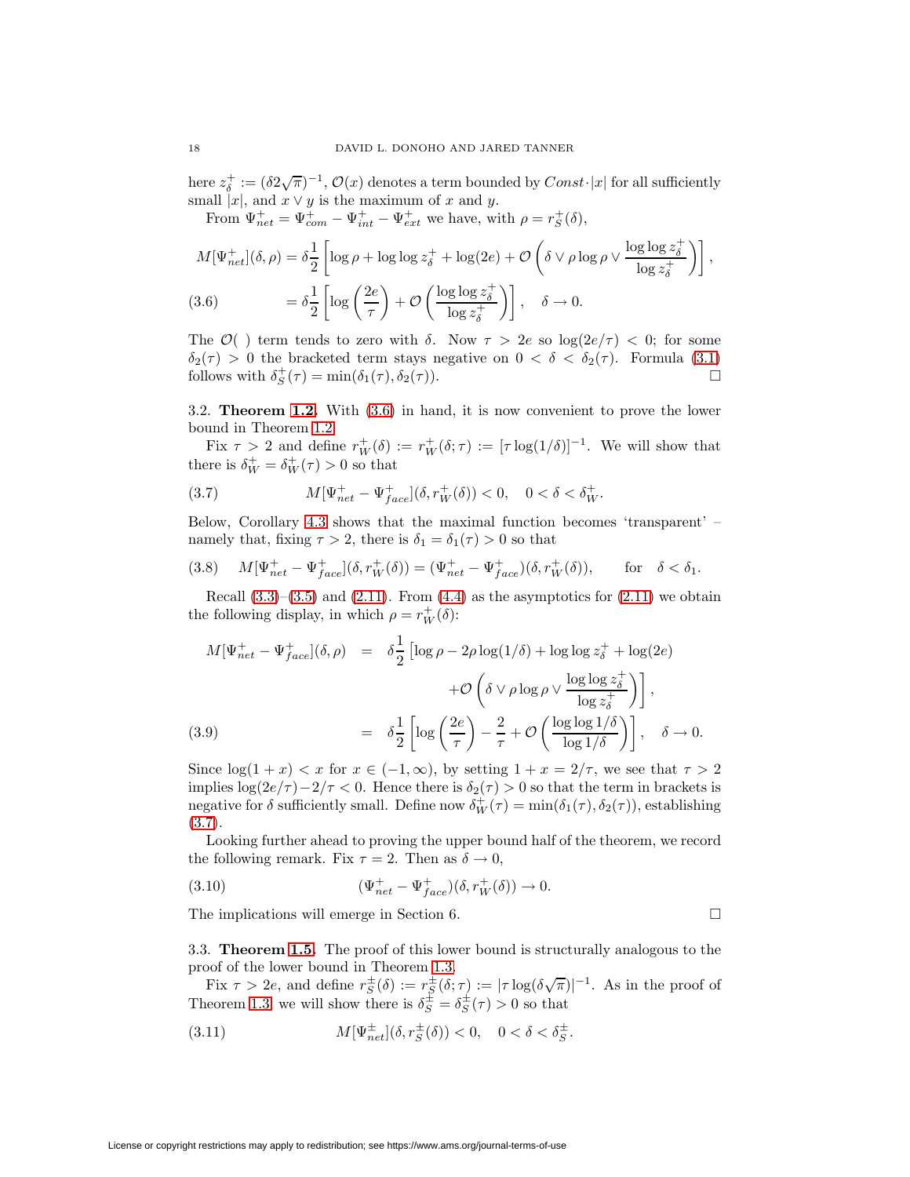here  $z_{\delta}^+ := (\delta 2\sqrt{\pi})^{-1}$ ,  $\mathcal{O}(x)$  denotes a term bounded by  $Const\cdot |x|$  for all sufficiently small  $|x|$ , and  $x \vee y$  is the maximum of x and y.

From 
$$
\Psi_{net}^+ = \Psi_{com}^+ - \Psi_{int}^+ - \Psi_{ext}^+
$$
 we have, with  $\rho = r_S^+(\delta)$ ,  
\n
$$
M[\Psi_{net}^+](\delta, \rho) = \delta \frac{1}{2} \left[ \log \rho + \log \log z_{\delta}^+ + \log(2e) + \mathcal{O}\left(\delta \vee \rho \log \rho \vee \frac{\log \log z_{\delta}^+}{\log z_{\delta}^+}\right) \right],
$$
\n(3.6) 
$$
= \delta \frac{1}{2} \left[ \log \left(\frac{2e}{\tau}\right) + \mathcal{O}\left(\frac{\log \log z_{\delta}^+}{\log z_{\delta}^+}\right) \right], \quad \delta \to 0.
$$

<span id="page-17-0"></span>The  $\mathcal{O}(x)$  term tends to zero with  $\delta$ . Now  $\tau > 2e$  so  $\log(2e/\tau) < 0$ ; for some  $\delta_2(\tau) > 0$  the bracketed term stays negative on  $0 < \delta < \delta_2(\tau)$ . Formula [\(3.1\)](#page-16-0) follows with  $\delta_2^+(\tau) = \min(\delta_1(\tau), \delta_2(\tau))$ . follows with  $\delta_S^+(\tau) = \min(\delta_1(\tau), \delta_2(\tau))$ .

3.2. **Theorem [1.2.](#page-7-0)** With [\(3.6\)](#page-17-0) in hand, it is now convenient to prove the lower bound in Theorem [1.2.](#page-7-0)

<span id="page-17-1"></span>Fix  $\tau > 2$  and define  $r_W^+(\delta) := r_W^+(\delta; \tau) := [\tau \log(1/\delta)]^{-1}$ . We will show that there is  $\delta_W^+ = \delta_W^+(\tau) > 0$  so that

(3.7) 
$$
M[\Psi_{net}^{+} - \Psi_{face}^{+}](\delta, r_W^{+}(\delta)) < 0, \quad 0 < \delta < \delta_W^{+}.
$$

<span id="page-17-3"></span>Below, Corollary [4.3](#page-23-0) shows that the maximal function becomes 'transparent' – namely that, fixing  $\tau > 2$ , there is  $\delta_1 = \delta_1(\tau) > 0$  so that

(3.8) 
$$
M[\Psi_{net}^+ - \Psi_{face}^+](\delta, r_W^+(\delta)) = (\Psi_{net}^+ - \Psi_{face}^+)(\delta, r_W^+(\delta)), \quad \text{for } \delta < \delta_1.
$$

Recall  $(3.3)$ – $(3.5)$  and  $(2.11)$ . From  $(4.4)$  as the asymptotics for  $(2.11)$  we obtain the following display, in which  $\rho = r_W^+(\delta)$ :

<span id="page-17-4"></span>
$$
M[\Psi_{net}^{+} - \Psi_{face}^{+}](\delta, \rho) = \delta \frac{1}{2} \left[ \log \rho - 2\rho \log(1/\delta) + \log \log z_{\delta}^{+} + \log(2e) + \mathcal{O}\left(\delta \vee \rho \log \rho \vee \frac{\log \log z_{\delta}^{+}}{\log z_{\delta}^{+}}\right) \right],
$$
\n(3.9) 
$$
= \delta \frac{1}{2} \left[ \log \left(\frac{2e}{\tau}\right) - \frac{2}{\tau} + \mathcal{O}\left(\frac{\log \log 1/\delta}{\log 1/\delta}\right) \right], \quad \delta \to 0.
$$

Since  $\log(1+x) < x$  for  $x \in (-1,\infty)$ , by setting  $1+x = 2/\tau$ , we see that  $\tau > 2$ implies  $\log(2e/\tau) - 2/\tau < 0$ . Hence there is  $\delta_2(\tau) > 0$  so that the term in brackets is negative for  $\delta$  sufficiently small. Define now  $\delta_W^+(\tau) = \min(\delta_1(\tau), \delta_2(\tau))$ , establishing [\(3.7\)](#page-17-1).

Looking further ahead to proving the upper bound half of the theorem, we record the following remark. Fix  $\tau = 2$ . Then as  $\delta \to 0$ ,

(3.10) 
$$
(\Psi_{net}^+ - \Psi_{face}^+) (\delta, r_W^+ (\delta)) \to 0.
$$

The implications will emerge in Section 6.  $\Box$ 

3.3. **Theorem [1.5.](#page-7-3)** The proof of this lower bound is structurally analogous to the proof of the lower bound in Theorem [1.3.](#page-7-4)

Fix  $\tau > 2e$ , and define  $r^{\pm}_{S}(\delta) := r^{\pm}_{S}(\delta; \tau) := |\tau \log(\delta \sqrt{\pi})|^{-1}$ . As in the proof of Theorem [1.3,](#page-7-4) we will show there is  $\delta_S^{\pm} = \delta_S^{\pm}(\tau) > 0$  so that

(3.11) 
$$
M[\Psi_{net}^{\pm}](\delta, r_S^{\pm}(\delta)) < 0, \quad 0 < \delta < \delta_S^{\pm}.
$$

License or copyright restrictions may apply to redistribution; see https://www.ams.org/journal-terms-of-use

<span id="page-17-2"></span>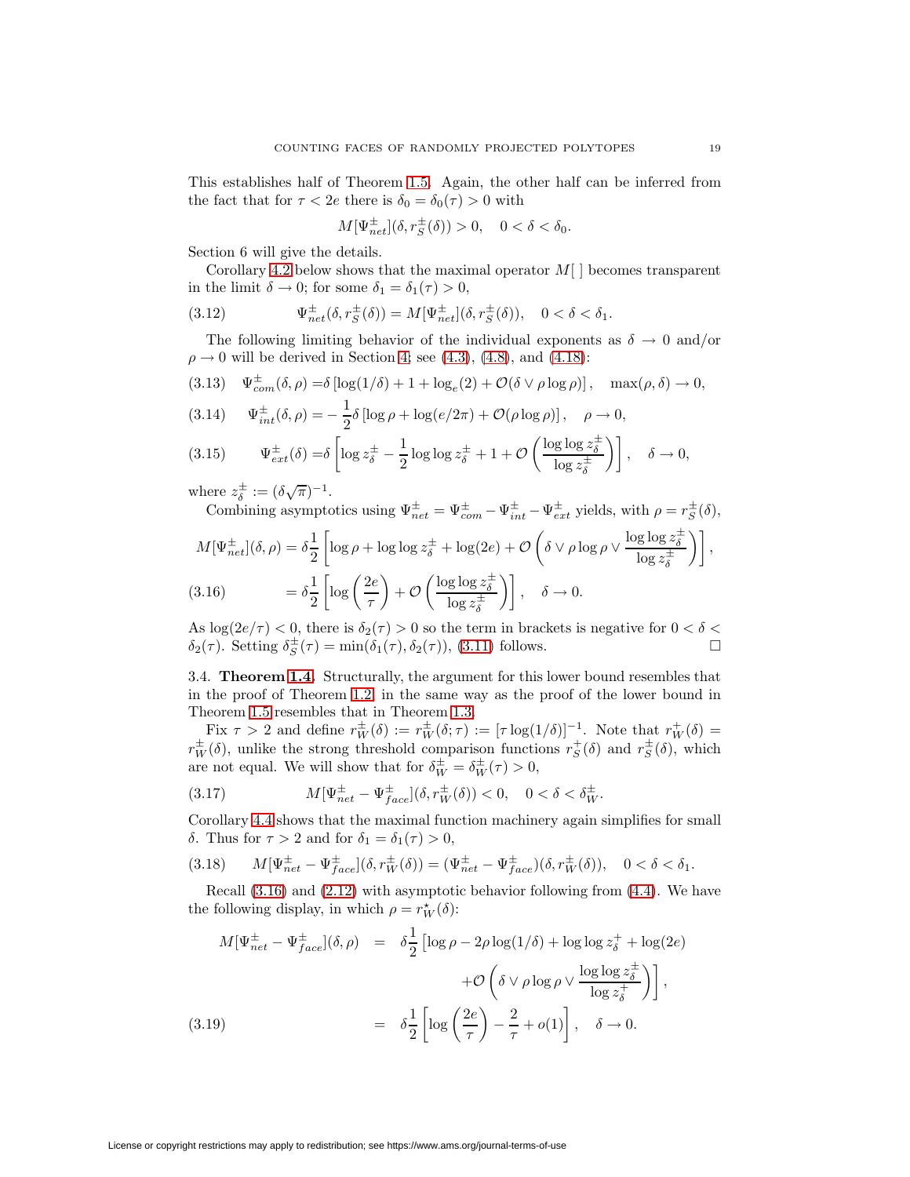This establishes half of Theorem [1.5.](#page-7-3) Again, the other half can be inferred from the fact that for  $\tau < 2e$  there is  $\delta_0 = \delta_0(\tau) > 0$  with

$$
M[\Psi_{net}^{\pm}](\delta, r_S^{\pm}(\delta)) > 0, \quad 0 < \delta < \delta_0.
$$

Section 6 will give the details.

Corollary [4.2](#page-22-2) below shows that the maximal operator  $M[\ ]$  becomes transparent in the limit  $\delta \to 0$ ; for some  $\delta_1 = \delta_1(\tau) > 0$ ,

(3.12) 
$$
\Psi_{net}^{\pm}(\delta, r_S^{\pm}(\delta)) = M[\Psi_{net}^{\pm}](\delta, r_S^{\pm}(\delta)), \quad 0 < \delta < \delta_1.
$$

The following limiting behavior of the individual exponents as  $\delta \to 0$  and/or  $\rho \rightarrow 0$  will be derived in Section [4;](#page-19-0) see [\(4.3\)](#page-19-3), [\(4.8\)](#page-20-0), and [\(4.18\)](#page-22-3):

$$
(3.13) \quad \Psi_{com}^{\pm}(\delta,\rho) = \delta \left[ \log(1/\delta) + 1 + \log_e(2) + \mathcal{O}(\delta \vee \rho \log \rho) \right], \quad \max(\rho,\delta) \to 0,
$$

(3.14) 
$$
\Psi_{int}^{\pm}(\delta,\rho) = -\frac{1}{2}\delta \left[ \log \rho + \log(e/2\pi) + \mathcal{O}(\rho \log \rho) \right], \quad \rho \to 0,
$$

$$
(3.15) \qquad \Psi_{ext}^{\pm}(\delta) = \delta \left[ \log z_{\delta}^{\pm} - \frac{1}{2} \log \log z_{\delta}^{\pm} + 1 + \mathcal{O}\left(\frac{\log \log z_{\delta}^{\pm}}{\log z_{\delta}^{\pm}}\right) \right], \quad \delta \to 0,
$$

where  $z_{\delta}^{\pm} := (\delta \sqrt{\pi})^{-1}$ .

Combining asymptotics using  $\Psi_{net}^{\pm} = \Psi_{com}^{\pm} - \Psi_{int}^{\pm} - \Psi_{ext}^{\pm}$  yields, with  $\rho = r_S^{\pm}(\delta)$ ,

$$
M[\Psi_{net}^{\pm}](\delta,\rho) = \delta \frac{1}{2} \left[ \log \rho + \log \log z_{\delta}^{\pm} + \log(2e) + \mathcal{O}\left(\delta \vee \rho \log \rho \vee \frac{\log \log z_{\delta}^{\pm}}{\log z_{\delta}^{\pm}}\right) \right],
$$
  
(3.16) 
$$
= \delta \frac{1}{2} \left[ \log \left(\frac{2e}{\tau}\right) + \mathcal{O}\left(\frac{\log \log z_{\delta}^{\pm}}{\log z_{\delta}^{\pm}}\right) \right], \quad \delta \to 0.
$$

<span id="page-18-0"></span>As  $\log(2e/\tau) < 0$ , there is  $\delta_2(\tau) > 0$  so the term in brackets is negative for  $0 < \delta <$  $\delta_2(\tau)$ . Setting  $\delta_S^{\pm}(\tau) = \min(\delta_1(\tau), \delta_2(\tau))$ , [\(3.11\)](#page-17-2) follows.

3.4. **Theorem [1.4.](#page-7-2)** Structurally, the argument for this lower bound resembles that in the proof of Theorem [1.2,](#page-7-0) in the same way as the proof of the lower bound in Theorem [1.5](#page-7-3) resembles that in Theorem [1.3.](#page-7-4)

Fix  $\tau > 2$  and define  $r_W^{\pm}(\delta) := r_W^{\pm}(\delta; \tau) := [\tau \log(1/\delta)]^{-1}$ . Note that  $r_W^+(\delta) =$  $r_W^{\pm}(\delta)$ , unlike the strong threshold comparison functions  $r_S^+(\delta)$  and  $r_S^{\pm}(\delta)$ , which are not equal. We will show that for  $\delta_W^{\pm} = \delta_W^{\pm}(\tau) > 0$ ,

<span id="page-18-1"></span>(3.17) 
$$
M[\Psi_{net}^{\pm} - \Psi_{face}^{\pm}](\delta, r_W^{\pm}(\delta)) < 0, \quad 0 < \delta < \delta_W^{\pm}.
$$

Corollary [4.4](#page-23-1) shows that the maximal function machinery again simplifies for small δ. Thus for  $τ > 2$  and for  $δ<sub>1</sub> = δ<sub>1</sub>(τ) > 0$ ,

(3.18) 
$$
M[\Psi_{net}^{\pm} - \Psi_{face}^{\pm}](\delta, r_W^{\pm}(\delta)) = (\Psi_{net}^{\pm} - \Psi_{face}^{\pm})(\delta, r_W^{\pm}(\delta)), \quad 0 < \delta < \delta_1.
$$

Recall [\(3.16\)](#page-18-0) and [\(2.12\)](#page-13-4) with asymptotic behavior following from [\(4.4\)](#page-19-4). We have the following display, in which  $\rho = r_W^{\star}(\delta)$ :

<span id="page-18-2"></span>
$$
M[\Psi_{net}^{\pm} - \Psi_{face}^{\pm}](\delta, \rho) = \delta \frac{1}{2} \left[ \log \rho - 2\rho \log(1/\delta) + \log \log z_{\delta}^{+} + \log(2e) + \mathcal{O}\left(\delta \vee \rho \log \rho \vee \frac{\log \log z_{\delta}^{\pm}}{\log z_{\delta}^{+}}\right) \right],
$$
\n(3.19) 
$$
= \delta \frac{1}{2} \left[ \log \left(\frac{2e}{\tau}\right) - \frac{2}{\tau} + o(1) \right], \quad \delta \to 0.
$$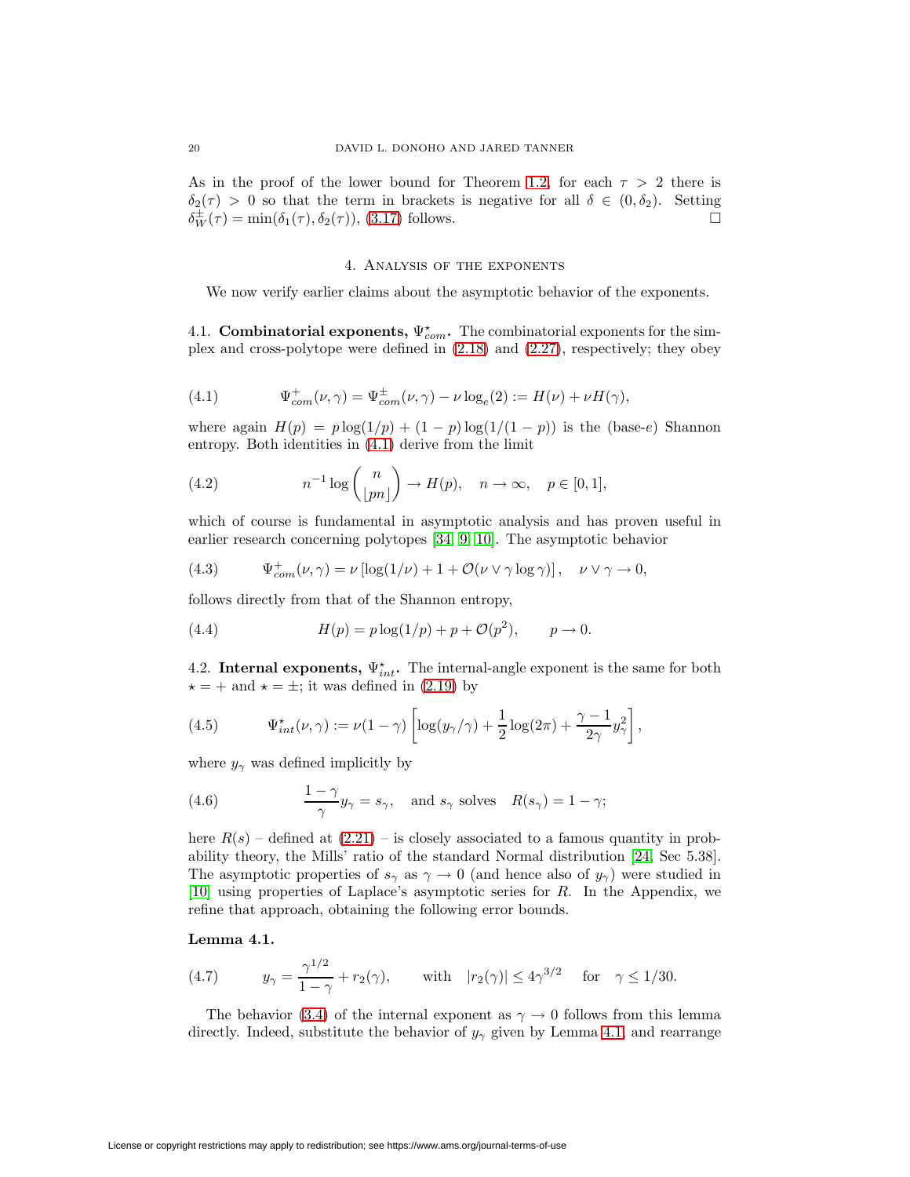<span id="page-19-0"></span>As in the proof of the lower bound for Theorem [1.2,](#page-7-0) for each  $\tau > 2$  there is  $\delta_2(\tau) > 0$  so that the term in brackets is negative for all  $\delta \in (0, \delta_2)$ . Setting  $\delta^{\pm}_W(\tau) = \min(\delta_1(\tau), \delta_2(\tau)),$  [\(3.17\)](#page-18-1) follows.

#### <span id="page-19-3"></span>4. Analysis of the exponents

We now verify earlier claims about the asymptotic behavior of the exponents.

4.1. **Combinatorial exponents,**  $\Psi_{com}^*$ . The combinatorial exponents for the simplex and cross-polytope were defined in [\(2.18\)](#page-14-0) and [\(2.27\)](#page-15-3), respectively; they obey

<span id="page-19-1"></span>(4.1) 
$$
\Psi_{com}^{+}(\nu, \gamma) = \Psi_{com}^{+}(\nu, \gamma) - \nu \log_e(2) := H(\nu) + \nu H(\gamma),
$$

where again  $H(p) = p \log(1/p) + (1-p) \log(1/(1-p))$  is the (base-e) Shannon entropy. Both identities in [\(4.1\)](#page-19-1) derive from the limit

(4.2) 
$$
n^{-1}\log\binom{n}{\lfloor pn\rfloor} \to H(p), \quad n \to \infty, \quad p \in [0,1],
$$

which of course is fundamental in asymptotic analysis and has proven useful in earlier research concerning polytopes [\[34,](#page-52-0) [9,](#page-51-3) [10\]](#page-51-5). The asymptotic behavior

(4.3) 
$$
\Psi_{com}^+(\nu, \gamma) = \nu \left[ \log(1/\nu) + 1 + \mathcal{O}(\nu \vee \gamma \log \gamma) \right], \quad \nu \vee \gamma \to 0,
$$

<span id="page-19-4"></span>follows directly from that of the Shannon entropy,

(4.4) 
$$
H(p) = p \log(1/p) + p + \mathcal{O}(p^2), \qquad p \to 0.
$$

<span id="page-19-2"></span>4.2. **Internal exponents,**  $\Psi_{int}^{\star}$ . The internal-angle exponent is the same for both  $\star = +$  and  $\star = \pm$ ; it was defined in [\(2.19\)](#page-14-1) by

(4.5) 
$$
\Psi_{int}^{\star}(\nu,\gamma) := \nu(1-\gamma)\left[\log(y_{\gamma}/\gamma) + \frac{1}{2}\log(2\pi) + \frac{\gamma-1}{2\gamma}y_{\gamma}^{2}\right],
$$

where  $y_{\gamma}$  was defined implicitly by

(4.6) 
$$
\frac{1-\gamma}{\gamma}y_{\gamma} = s_{\gamma}, \text{ and } s_{\gamma} \text{ solves } R(s_{\gamma}) = 1 - \gamma;
$$

here  $R(s)$  – defined at  $(2.21)$  – is closely associated to a famous quantity in probability theory, the Mills' ratio of the standard Normal distribution [\[24,](#page-51-12) Sec 5.38]. The asymptotic properties of  $s_\gamma$  as  $\gamma \to 0$  (and hence also of  $y_\gamma$ ) were studied in [\[10\]](#page-51-5) using properties of Laplace's asymptotic series for R. In the Appendix, we refine that approach, obtaining the following error bounds.

## <span id="page-19-6"></span><span id="page-19-5"></span>**Lemma 4.1.**

(4.7) 
$$
y_{\gamma} = \frac{\gamma^{1/2}}{1 - \gamma} + r_2(\gamma)
$$
, with  $|r_2(\gamma)| \le 4\gamma^{3/2}$  for  $\gamma \le 1/30$ .

The behavior [\(3.4\)](#page-16-1) of the internal exponent as  $\gamma \to 0$  follows from this lemma directly. Indeed, substitute the behavior of  $y_{\gamma}$  given by Lemma [4.1,](#page-19-5) and rearrange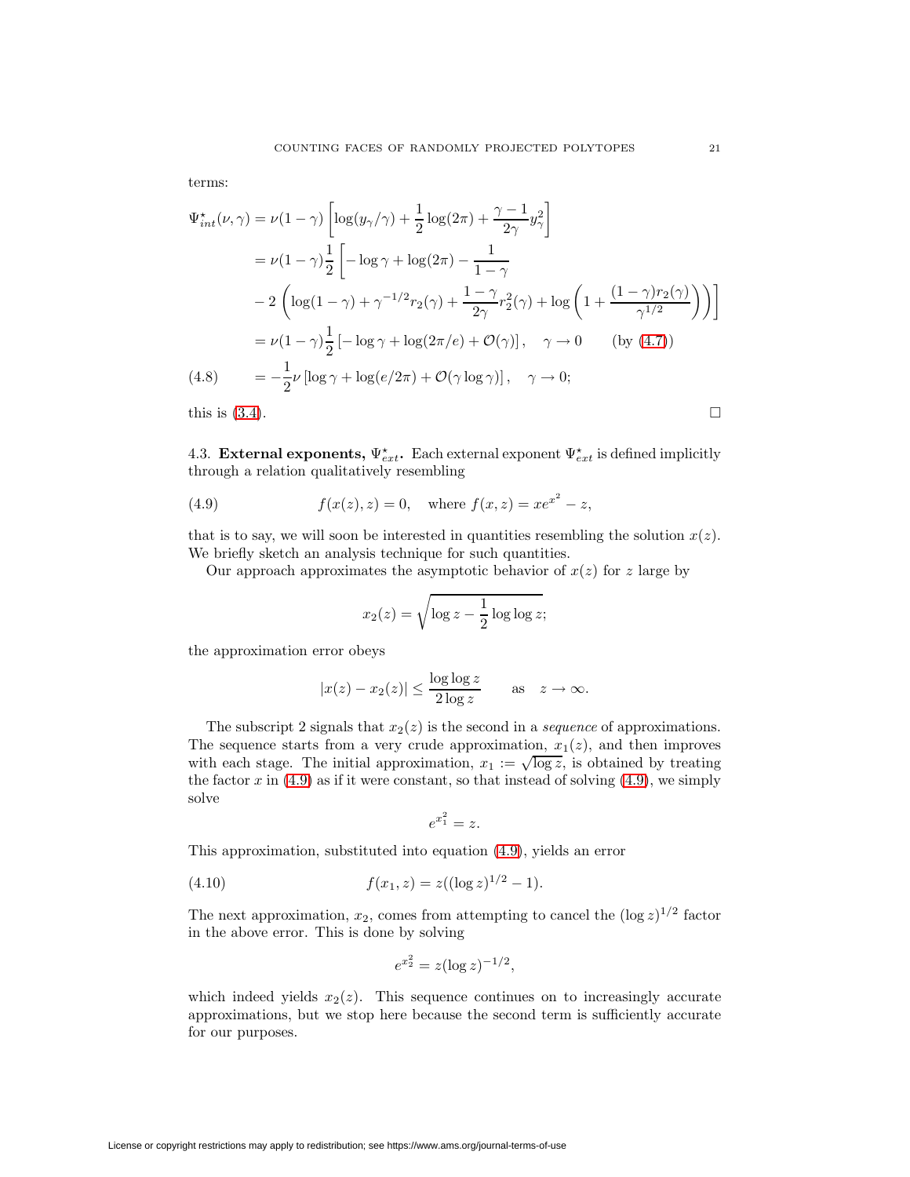terms:

$$
\Psi_{int}^{\star}(\nu,\gamma) = \nu(1-\gamma)\left[\log(y_{\gamma}/\gamma) + \frac{1}{2}\log(2\pi) + \frac{\gamma-1}{2\gamma}y_{\gamma}^{2}\right]
$$
  
\n
$$
= \nu(1-\gamma)\frac{1}{2}\left[-\log\gamma + \log(2\pi) - \frac{1}{1-\gamma}\right]
$$
  
\n
$$
-2\left(\log(1-\gamma) + \gamma^{-1/2}r_{2}(\gamma) + \frac{1-\gamma}{2\gamma}r_{2}^{2}(\gamma) + \log\left(1 + \frac{(1-\gamma)r_{2}(\gamma)}{\gamma^{1/2}}\right)\right)\right]
$$
  
\n
$$
= \nu(1-\gamma)\frac{1}{2}\left[-\log\gamma + \log(2\pi/e) + \mathcal{O}(\gamma)\right], \quad \gamma \to 0 \quad \text{(by (4.7))}
$$
  
\n(4.8) 
$$
= -\frac{1}{2}\nu\left[\log\gamma + \log(e/2\pi) + \mathcal{O}(\gamma\log\gamma)\right], \quad \gamma \to 0;
$$
  
\nthis is (3.4).

<span id="page-20-0"></span>

4.3. **External exponents,**  $\Psi_{ext}^{\star}$ . Each external exponent  $\Psi_{ext}^{\star}$  is defined implicitly through a relation qualitatively resembling

(4.9) 
$$
f(x(z), z) = 0
$$
, where  $f(x, z) = xe^{x^2} - z$ ,

that is to say, we will soon be interested in quantities resembling the solution  $x(z)$ . We briefly sketch an analysis technique for such quantities.

Our approach approximates the asymptotic behavior of  $x(z)$  for z large by

<span id="page-20-1"></span>
$$
x_2(z) = \sqrt{\log z - \frac{1}{2}\log \log z};
$$

the approximation error obeys

$$
|x(z) - x_2(z)| \le \frac{\log \log z}{2 \log z} \quad \text{as} \quad z \to \infty.
$$

The subscript 2 signals that  $x_2(z)$  is the second in a *sequence* of approximations. The sequence starts from a very crude approximation,  $x_1(z)$ , and then improves with each stage. The initial approximation,  $x_1 := \sqrt{\log z}$ , is obtained by treating the factor  $x$  in [\(4.9\)](#page-20-1) as if it were constant, so that instead of solving (4.9), we simply solve

$$
e^{x_1^2} = z.
$$

This approximation, substituted into equation [\(4.9\)](#page-20-1), yields an error

(4.10) 
$$
f(x_1, z) = z((\log z)^{1/2} - 1).
$$

The next approximation,  $x_2$ , comes from attempting to cancel the  $(\log z)^{1/2}$  factor in the above error. This is done by solving

$$
e^{x_2^2} = z(\log z)^{-1/2},
$$

which indeed yields  $x_2(z)$ . This sequence continues on to increasingly accurate approximations, but we stop here because the second term is sufficiently accurate for our purposes.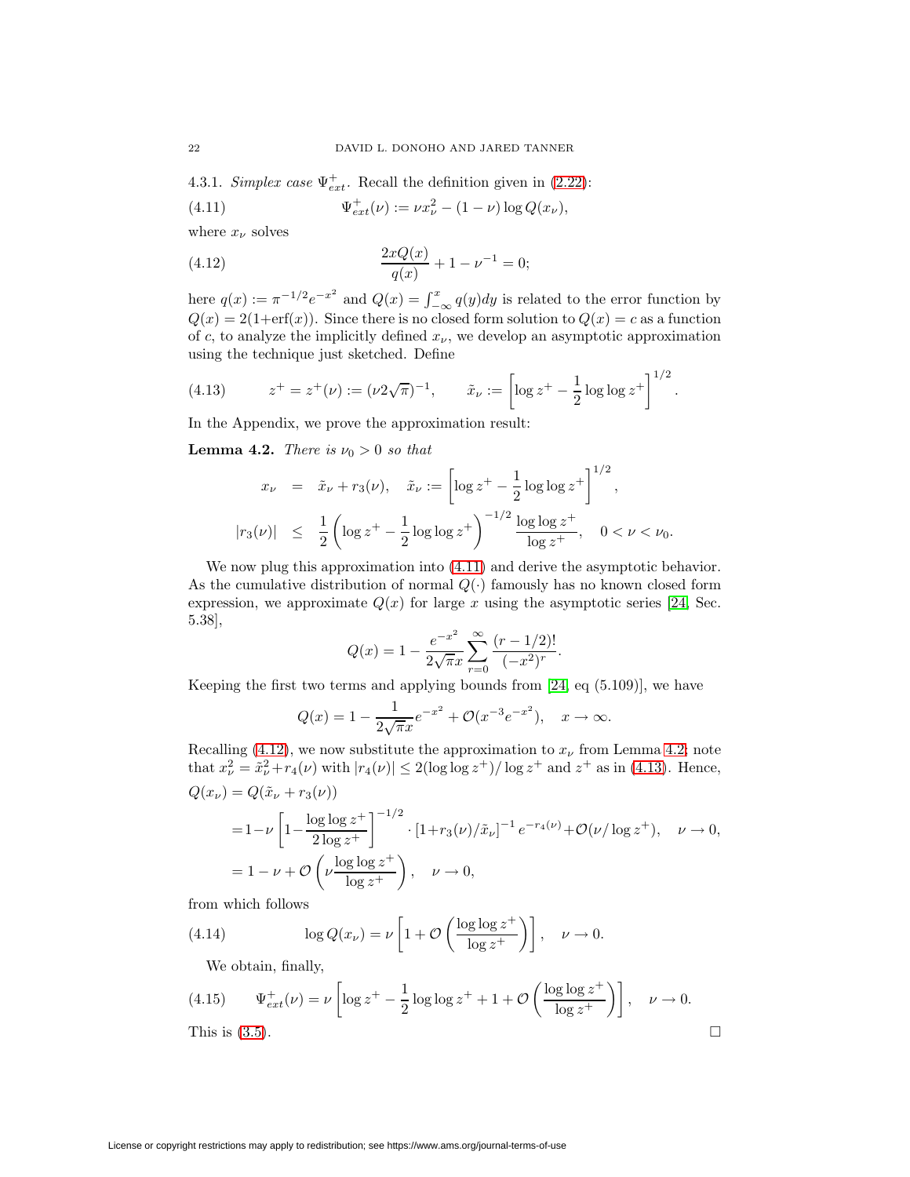<span id="page-21-5"></span><span id="page-21-0"></span>4.3.1. Simplex case  $\Psi_{ext}^+$ . Recall the definition given in [\(2.22\)](#page-14-3):

(4.11) 
$$
\Psi_{ext}^+(\nu) := \nu x_\nu^2 - (1 - \nu) \log Q(x_\nu),
$$

<span id="page-21-2"></span>where  $x_{\nu}$  solves

(4.12) 
$$
\frac{2xQ(x)}{q(x)} + 1 - \nu^{-1} = 0;
$$

here  $q(x) := \pi^{-1/2} e^{-x^2}$  and  $Q(x) = \int_{-\infty}^x q(y) dy$  is related to the error function by  $Q(x) = 2(1 + erf(x))$ . Since there is no closed form solution to  $Q(x) = c$  as a function of c, to analyze the implicitly defined  $x_{\nu}$ , we develop an asymptotic approximation using the technique just sketched. Define

<span id="page-21-4"></span>(4.13) 
$$
z^+ = z^+(\nu) := (\nu 2\sqrt{\pi})^{-1}, \qquad \tilde{x}_\nu := \left[\log z^+ - \frac{1}{2}\log\log z^+\right]^{1/2}.
$$

<span id="page-21-3"></span>In the Appendix, we prove the approximation result:

**Lemma 4.2.** There is  $\nu_0 > 0$  so that

$$
x_{\nu} = \tilde{x}_{\nu} + r_3(\nu), \quad \tilde{x}_{\nu} := \left[ \log z^{+} - \frac{1}{2} \log \log z^{+} \right]^{1/2},
$$
  

$$
|r_3(\nu)| \leq \frac{1}{2} \left( \log z^{+} - \frac{1}{2} \log \log z^{+} \right)^{-1/2} \frac{\log \log z^{+}}{\log z^{+}}, \quad 0 < \nu < \nu_0.
$$

We now plug this approximation into [\(4.11\)](#page-21-0) and derive the asymptotic behavior. As the cumulative distribution of normal  $Q(\cdot)$  famously has no known closed form expression, we approximate  $Q(x)$  for large x using the asymptotic series [\[24,](#page-51-12) Sec. 5.38],

$$
Q(x) = 1 - \frac{e^{-x^2}}{2\sqrt{\pi}x} \sum_{r=0}^{\infty} \frac{(r - 1/2)!}{(-x^2)^r}.
$$

Keeping the first two terms and applying bounds from [\[24,](#page-51-12) eq (5.109)], we have

$$
Q(x) = 1 - \frac{1}{2\sqrt{\pi}x}e^{-x^2} + \mathcal{O}(x^{-3}e^{-x^2}), \quad x \to \infty.
$$

Recalling [\(4.12\)](#page-21-2), we now substitute the approximation to  $x_{\nu}$  from Lemma [4.2;](#page-21-3) note that  $x_{\nu}^2 = \tilde{x}_{\nu}^2 + r_4(\nu)$  with  $|r_4(\nu)| \leq 2(\log \log z^+) / \log z^+$  and  $z^+$  as in [\(4.13\)](#page-21-4). Hence,  $Q(x_{\nu}) = Q(\tilde{x}_{\nu} + r_3(\nu))$ 

$$
= 1 - \nu \left[ 1 - \frac{\log \log z^{+}}{2 \log z^{+}} \right]^{-1/2} \cdot \left[ 1 + r_{3}(\nu) / \tilde{x}_{\nu} \right]^{-1} e^{-r_{4}(\nu)} + \mathcal{O}(\nu / \log z^{+}), \quad \nu \to 0,
$$
  
= 1 - \nu + \mathcal{O} \left( \nu \frac{\log \log z^{+}}{\log z^{+}} \right), \quad \nu \to 0,

from which follows

(4.14) 
$$
\log Q(x_{\nu}) = \nu \left[ 1 + \mathcal{O}\left( \frac{\log \log z^{+}}{\log z^{+}} \right) \right], \quad \nu \to 0.
$$

<span id="page-21-1"></span>We obtain, finally,

(4.15) 
$$
\Psi_{ext}^+(\nu) = \nu \left[ \log z^+ - \frac{1}{2} \log \log z^+ + 1 + \mathcal{O}\left(\frac{\log \log z^+}{\log z^+}\right) \right], \quad \nu \to 0.
$$
 This is (3.5).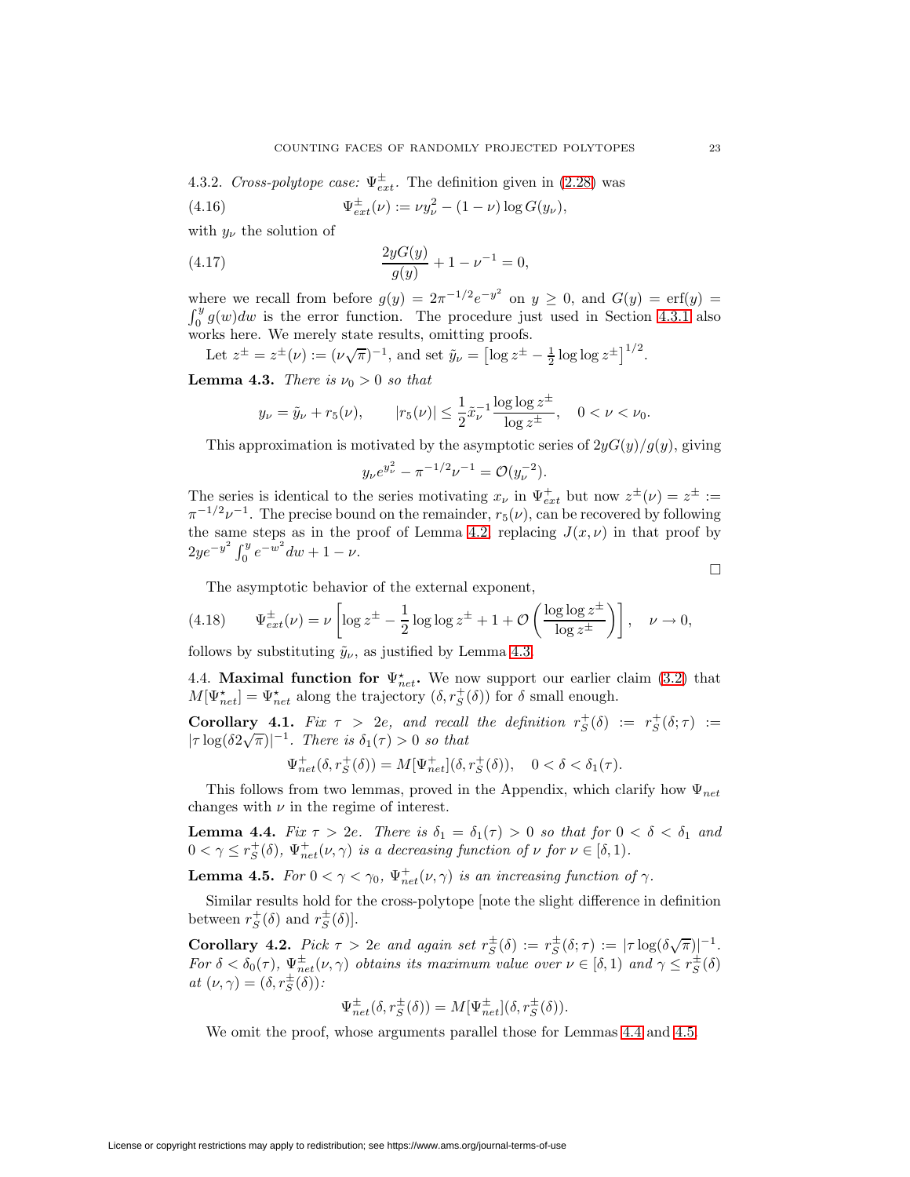4.3.2. Cross-polytope case:  $\Psi_{ext}^{\pm}$ . The definition given in [\(2.28\)](#page-15-4) was

(4.16) 
$$
\Psi_{ext}^{\pm}(\nu) := \nu y_{\nu}^{2} - (1 - \nu) \log G(y_{\nu}),
$$

with  $y_{\nu}$  the solution of

(4.17) 
$$
\frac{2yG(y)}{g(y)} + 1 - \nu^{-1} = 0,
$$

where we recall from before  $g(y)=2\pi^{-1/2}e^{-y^2}$  on  $y\geq 0$ , and  $G(y)=\text{erf}(y)$  $\int_0^y g(w)dw$  is the error function. The procedure just used in Section [4.3.1](#page-21-5) also

works here. We merely state results, omitting proofs.  
Let 
$$
z^{\pm} = z^{\pm}(\nu) := (\nu \sqrt{\pi})^{-1}
$$
, and set  $\tilde{y}_{\nu} = [\log z^{\pm} - \frac{1}{2} \log \log z^{\pm}]^{1/2}$ .

<span id="page-22-4"></span>**Lemma 4.3.** There is  $\nu_0 > 0$  so that

$$
y_{\nu} = \tilde{y}_{\nu} + r_5(\nu),
$$
  $|r_5(\nu)| \le \frac{1}{2} \tilde{x}_{\nu}^{-1} \frac{\log \log z^{\pm}}{\log z^{\pm}}, \quad 0 < \nu < \nu_0.$ 

This approximation is motivated by the asymptotic series of  $2yG(y)/g(y)$ , giving

<span id="page-22-3"></span><span id="page-22-0"></span>
$$
y_{\nu}e^{y_{\nu}^2} - \pi^{-1/2}\nu^{-1} = \mathcal{O}(y_{\nu}^{-2}).
$$

The series is identical to the series motivating  $x_{\nu}$  in  $\Psi_{ext}^{+}$  but now  $z^{\pm}(\nu) = z^{\pm}$  :=  $\pi^{-1/2}\nu^{-1}$ . The precise bound on the remainder,  $r_5(\nu)$ , can be recovered by following the same steps as in the proof of Lemma [4.2,](#page-21-3) replacing  $J(x, \nu)$  in that proof by  $2ye^{-y^2}\int_0^y e^{-w^2}dw + 1 - \nu.$ 

 $\Box$ 

The asymptotic behavior of the external exponent,

(4.18) 
$$
\Psi_{ext}^{\pm}(\nu) = \nu \left[ \log z^{\pm} - \frac{1}{2} \log \log z^{\pm} + 1 + \mathcal{O}\left( \frac{\log \log z^{\pm}}{\log z^{\pm}} \right) \right], \quad \nu \to 0,
$$

follows by substituting  $\tilde{y}_{\nu}$ , as justified by Lemma [4.3.](#page-22-4)

4.4. **Maximal function for**  $\Psi_{net}^*$ . We now support our earlier claim [\(3.2\)](#page-16-2) that  $M[\Psi_{net}^{\star}] = \Psi_{net}^{\star}$  along the trajectory  $(\delta, r_S^+(\delta))$  for  $\delta$  small enough.

<span id="page-22-1"></span>**Corollary 4.1.** Fix  $\tau > 2e$ , and recall the definition  $r_S^+(\delta) := r_S^+(\delta; \tau) :=$  $|\tau \log(\delta 2\sqrt{\pi})|^{-1}$ . There is  $\delta_1(\tau) > 0$  so that

$$
\Psi_{net}^{+}(\delta, r_S^+(\delta)) = M[\Psi_{net}^{+}](\delta, r_S^+(\delta)), \quad 0 < \delta < \delta_1(\tau).
$$

<span id="page-22-5"></span>This follows from two lemmas, proved in the Appendix, which clarify how  $\Psi_{net}$ changes with  $\nu$  in the regime of interest.

**Lemma 4.4.** Fix  $\tau > 2e$ . There is  $\delta_1 = \delta_1(\tau) > 0$  so that for  $0 < \delta < \delta_1$  and  $0 < \gamma \leq r_S^+(\delta)$ ,  $\Psi_{net}^+(\nu, \gamma)$  is a decreasing function of  $\nu$  for  $\nu \in [\delta, 1)$ .

<span id="page-22-6"></span>**Lemma 4.5.** For  $0 < \gamma < \gamma_0$ ,  $\Psi_{net}^+(\nu, \gamma)$  is an increasing function of  $\gamma$ .

Similar results hold for the cross-polytope [note the slight difference in definition between  $r_S^+(\delta)$  and  $r_S^{\pm}(\delta)$ .

<span id="page-22-2"></span>**Corollary 4.2.** Pick  $\tau > 2e$  and again set  $r_S^{\pm}(\delta) := r_S^{\pm}(\delta; \tau) := |\tau \log(\delta \sqrt{\pi})|^{-1}$ . For  $\delta < \delta_0(\tau)$ ,  $\Psi_{net}^{\pm}(\nu, \gamma)$  obtains its maximum value over  $\nu \in [\delta, 1)$  and  $\gamma \leq r_S^{\pm}(\delta)$ at  $(\nu, \gamma) = (\delta, r_S^{\pm}(\delta))$ :

$$
\Psi_{net}^{\pm}(\delta, r_S^{\pm}(\delta)) = M[\Psi_{net}^{\pm}](\delta, r_S^{\pm}(\delta)).
$$

We omit the proof, whose arguments parallel those for Lemmas [4.4](#page-22-5) and [4.5.](#page-22-6)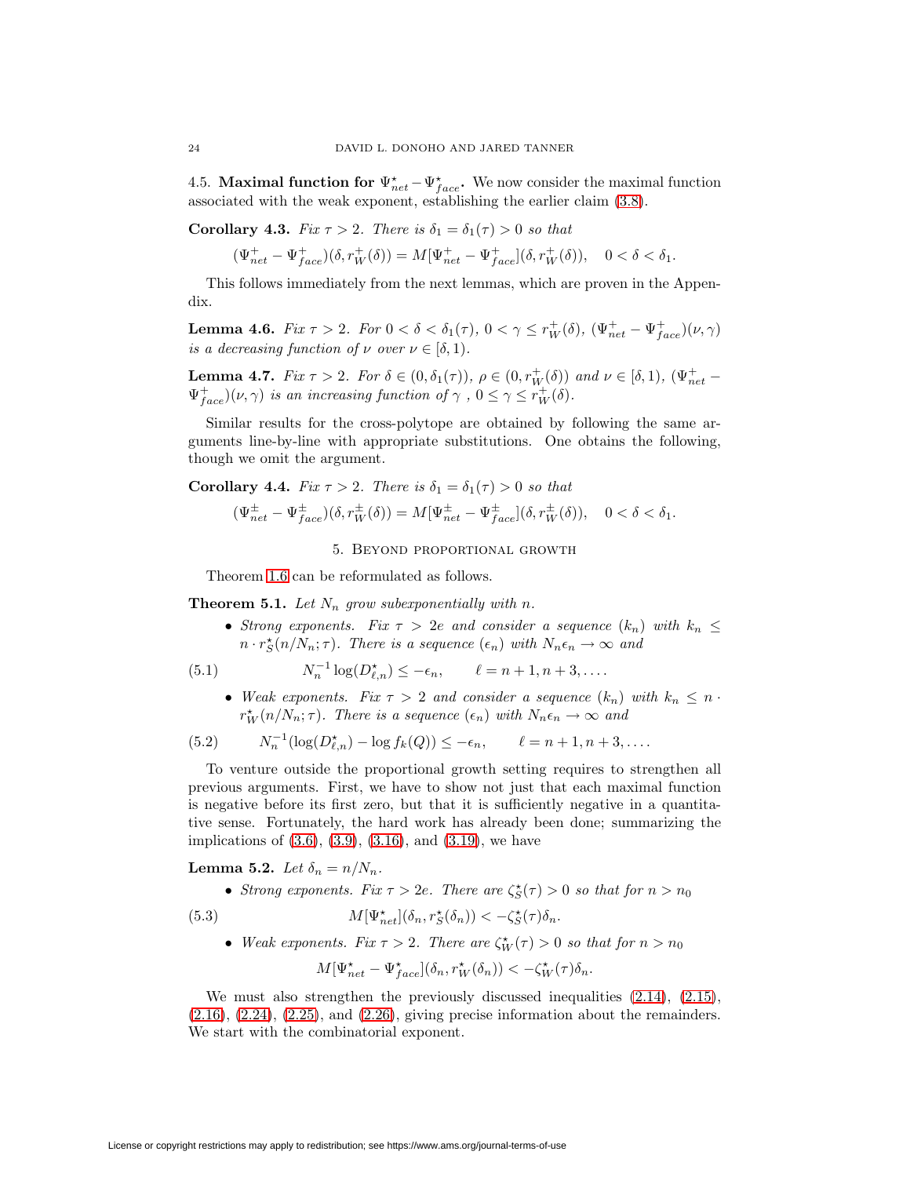<span id="page-23-0"></span>4.5. **Maximal function for**  $\Psi_{net}^* - \Psi_{face}^*$ . We now consider the maximal function associated with the weak exponent, establishing the earlier claim [\(3.8\)](#page-17-3).

**Corollary 4.3.** Fix  $\tau > 2$ . There is  $\delta_1 = \delta_1(\tau) > 0$  so that

$$
(\Psi_{net}^+ - \Psi_{face}^+) (\delta, r_W^+ (\delta)) = M[\Psi_{net}^+ - \Psi_{face}^+] (\delta, r_W^+ (\delta)), \quad 0 < \delta < \delta_1.
$$

<span id="page-23-7"></span>This follows immediately from the next lemmas, which are proven in the Appendix.

**Lemma 4.6.** Fix  $\tau > 2$ . For  $0 < \delta < \delta_1(\tau)$ ,  $0 < \gamma \leq r_W^+(\delta)$ ,  $(\Psi_{net}^+ - \Psi_{face}^+)(\nu, \gamma)$ is a decreasing function of  $\nu$  over  $\nu \in [\delta, 1)$ .

<span id="page-23-8"></span>**Lemma 4.7.** Fix  $\tau > 2$ . For  $\delta \in (0, \delta_1(\tau))$ ,  $\rho \in (0, r_W^+(\delta))$  and  $\nu \in [\delta, 1)$ ,  $(\Psi_{net}^+ \Psi^+_{face}(\nu, \gamma)$  is an increasing function of  $\gamma$ ,  $0 \leq \gamma \leq r_W^+(\delta)$ .

Similar results for the cross-polytope are obtained by following the same arguments line-by-line with appropriate substitutions. One obtains the following, though we omit the argument.

<span id="page-23-1"></span>**Corollary 4.4.** Fix  $\tau > 2$ . There is  $\delta_1 = \delta_1(\tau) > 0$  so that

$$
(\Psi_{net}^{\pm} - \Psi_{face}^{\pm})(\delta, r_W^{\pm}(\delta)) = M[\Psi_{net}^{\pm} - \Psi_{face}^{\pm}](\delta, r_W^{\pm}(\delta)), \quad 0 < \delta < \delta_1.
$$

<span id="page-23-5"></span><span id="page-23-3"></span>5. Beyond proportional growth

Theorem [1.6](#page-8-2) can be reformulated as follows.

<span id="page-23-2"></span>**Theorem 5.1.** Let  $N_n$  grow subexponentially with n.

• Strong exponents. Fix  $\tau > 2e$  and consider a sequence  $(k_n)$  with  $k_n \leq$  $n \cdot r_S^{\star}(n/N_n; \tau)$ . There is a sequence  $(\epsilon_n)$  with  $N_n \epsilon_n \to \infty$  and

(5.1) 
$$
N_n^{-1} \log(D_{\ell,n}^*) \le -\epsilon_n, \qquad \ell = n+1, n+3, ....
$$

• Weak exponents. Fix  $\tau > 2$  and consider a sequence  $(k_n)$  with  $k_n \leq n$ .  $r_W^{\star}(n/N_n; \tau)$ . There is a sequence  $(\epsilon_n)$  with  $N_n \epsilon_n \to \infty$  and

(5.2) 
$$
N_n^{-1}(\log(D_{\ell,n}^*) - \log f_k(Q)) \le -\epsilon_n, \qquad \ell = n+1, n+3, \dots
$$

To venture outside the proportional growth setting requires to strengthen all previous arguments. First, we have to show not just that each maximal function is negative before its first zero, but that it is sufficiently negative in a quantitative sense. Fortunately, the hard work has already been done; summarizing the implications of  $(3.6)$ ,  $(3.9)$ ,  $(3.16)$ , and  $(3.19)$ , we have

**Lemma 5.2.** Let  $\delta_n = n/N_n$ .

• Strong exponents. Fix  $\tau > 2e$ . There are  $\zeta_{S}^{\star}(\tau) > 0$  so that for  $n > n_0$ 

(5.3) 
$$
M[\Psi_{net}^{\star}](\delta_n, r_S^{\star}(\delta_n)) < -\zeta_S^{\star}(\tau)\delta_n.
$$

• Weak exponents. Fix  $\tau > 2$ . There are  $\zeta_W^{\star}(\tau) > 0$  so that for  $n > n_0$ 

<span id="page-23-4"></span>
$$
M[\Psi_{net}^\star-\Psi_{face}^\star](\delta_n,r_W^\star(\delta_n))<-\zeta_W^\star(\tau)\delta_n.
$$

<span id="page-23-6"></span>We must also strengthen the previously discussed inequalities [\(2.14\)](#page-13-2), [\(2.15\)](#page-13-5),  $(2.16), (2.24), (2.25), \text{ and } (2.26),$  $(2.16), (2.24), (2.25), \text{ and } (2.26),$  $(2.16), (2.24), (2.25), \text{ and } (2.26),$  $(2.16), (2.24), (2.25), \text{ and } (2.26),$  $(2.16), (2.24), (2.25), \text{ and } (2.26),$  $(2.16), (2.24), (2.25), \text{ and } (2.26),$  $(2.16), (2.24), (2.25), \text{ and } (2.26),$  $(2.16), (2.24), (2.25), \text{ and } (2.26),$  giving precise information about the remainders. We start with the combinatorial exponent.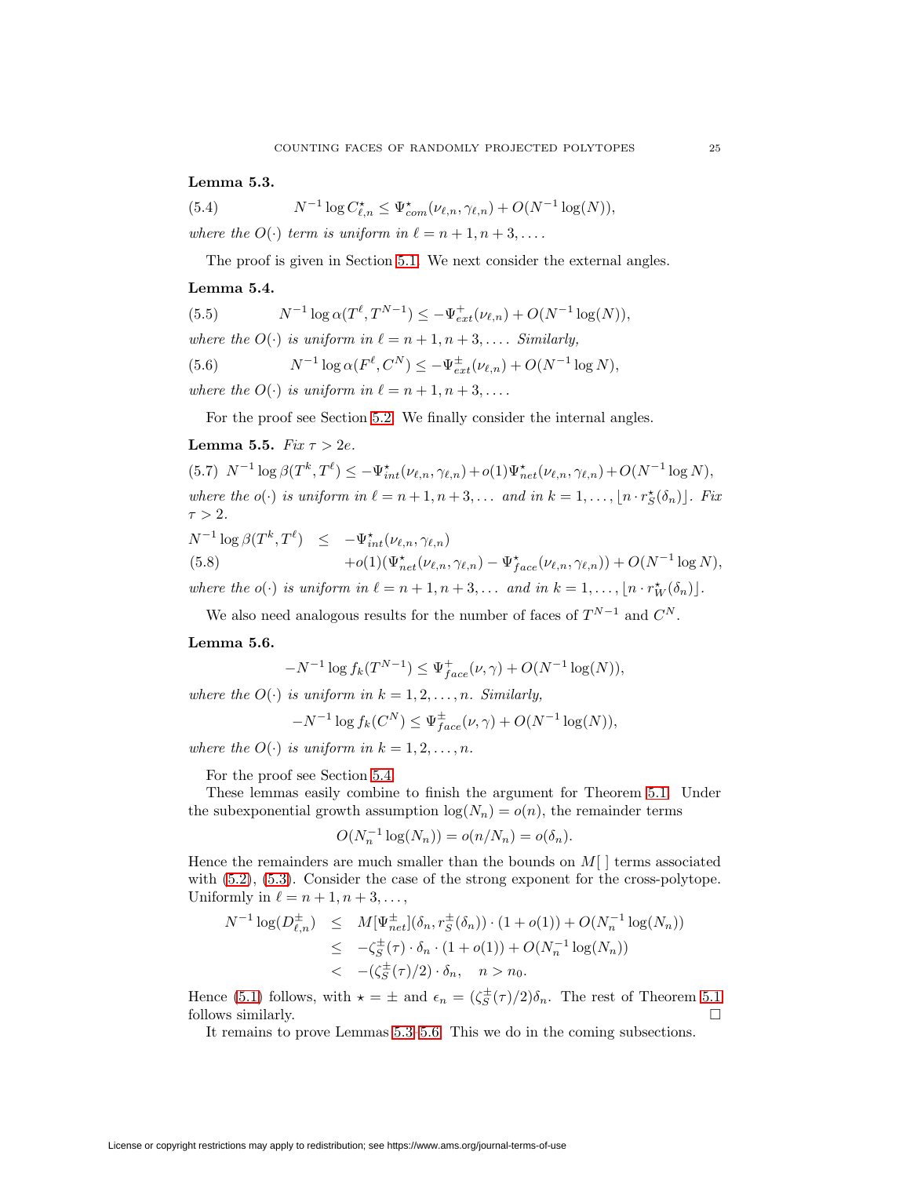<span id="page-24-1"></span>**Lemma 5.3.**

(5.4) 
$$
N^{-1}\log C_{\ell,n}^{\star} \leq \Psi_{com}^{\star}(\nu_{\ell,n},\gamma_{\ell,n}) + O(N^{-1}\log(N)),
$$

where the  $O(\cdot)$  term is uniform in  $\ell = n + 1, n + 3, \ldots$ .

<span id="page-24-3"></span>The proof is given in Section [5.1.](#page-25-1) We next consider the external angles.

## **Lemma 5.4.**

| (5.5) | $N^{-1} \log \alpha(T^{\ell}, T^{N-1}) \leq -\Psi_{ext}^{+}(\nu_{\ell,n}) + O(N^{-1} \log(N)),$ |
|-------|-------------------------------------------------------------------------------------------------|
|       | where the $O(\cdot)$ is uniform in $\ell = n+1, n+3, \ldots$ . Similarly,                       |
| (5.6) | $N^{-1} \log \alpha(F^{\ell}, C^N) \leq -\Psi_{ext}^{\pm}(\nu_{\ell,n}) + O(N^{-1} \log N),$    |
|       | where the $O(\cdot)$ is uniform in $\ell = n + 1, n + 3, \ldots$                                |

<span id="page-24-4"></span>For the proof see Section [5.2.](#page-25-2) We finally consider the internal angles.

## <span id="page-24-2"></span>**Lemma 5.5.** Fix  $\tau > 2e$ .

(5.7)  $N^{-1} \log \beta(T^k, T^{\ell}) \le -\Psi_{int}^{\star}(\nu_{\ell,n}, \gamma_{\ell,n}) + o(1)\Psi_{net}^{\star}(\nu_{\ell,n}, \gamma_{\ell,n}) + O(N^{-1} \log N),$ where the  $o(\cdot)$  is uniform in  $\ell = n + 1, n + 3, \ldots$  and in  $k = 1, \ldots, \lfloor n \cdot r_S^{\star}(\delta_n) \rfloor$ . Fix  $\tau > 2$ .

<span id="page-24-5"></span>
$$
N^{-1} \log \beta(T^k, T^{\ell}) \le -\Psi_{int}^{\star} (\nu_{\ell,n}, \gamma_{\ell,n}) +o(1)(\Psi_{net}^{\star}(\nu_{\ell,n}, \gamma_{\ell,n}) - \Psi_{face}^{\star}(\nu_{\ell,n}, \gamma_{\ell,n})) + O(N^{-1} \log N),
$$
  
where the  $o(\cdot)$  is uniform in  $\ell = n + 1, n + 3, ...$  and in  $k = 1, ..., \lfloor n \cdot r_W^{\star}(\delta_n) \rfloor$ .

We also need analogous results for the number of faces of  $T^{N-1}$  and  $C^N$ .

#### <span id="page-24-0"></span>**Lemma 5.6.**

$$
-N^{-1}\log f_k(T^{N-1}) \le \Psi_{face}^+(\nu, \gamma) + O(N^{-1}\log(N)),
$$

where the  $O(\cdot)$  is uniform in  $k = 1, 2, \ldots, n$ . Similarly,

$$
-N^{-1}\log f_k(C^N) \le \Psi_{face}^{\pm}(\nu, \gamma) + O(N^{-1}\log(N)),
$$

where the  $O(\cdot)$  is uniform in  $k = 1, 2, \ldots, n$ .

For the proof see Section [5.4.](#page-28-0)

These lemmas easily combine to finish the argument for Theorem [5.1.](#page-23-2) Under the subexponential growth assumption  $log(N_n) = o(n)$ , the remainder terms

$$
O(N_n^{-1}\log(N_n)) = o(n/N_n) = o(\delta_n).
$$

Hence the remainders are much smaller than the bounds on  $M[\ ]$  terms associated with [\(5.2\)](#page-23-3), [\(5.3\)](#page-23-4). Consider the case of the strong exponent for the cross-polytope. Uniformly in  $\ell = n + 1, n + 3, \ldots$ ,

$$
N^{-1} \log(D_{\ell,n}^{\pm}) \leq M[\Psi_{net}^{\pm}](\delta_n, r_S^{\pm}(\delta_n)) \cdot (1 + o(1)) + O(N_n^{-1} \log(N_n))
$$
  

$$
\leq -\zeta_S^{\pm}(\tau) \cdot \delta_n \cdot (1 + o(1)) + O(N_n^{-1} \log(N_n))
$$
  

$$
< -(\zeta_S^{\pm}(\tau)/2) \cdot \delta_n, \quad n > n_0.
$$

Hence [\(5.1\)](#page-23-5) follows, with  $\star = \pm$  and  $\epsilon_n = (\zeta_S^{\pm}(\tau)/2)\delta_n$ . The rest of Theorem [5.1](#page-23-2) follows similarly.  $\Box$ 

It remains to prove Lemmas [5.3–](#page-23-6)[5.6.](#page-24-0) This we do in the coming subsections.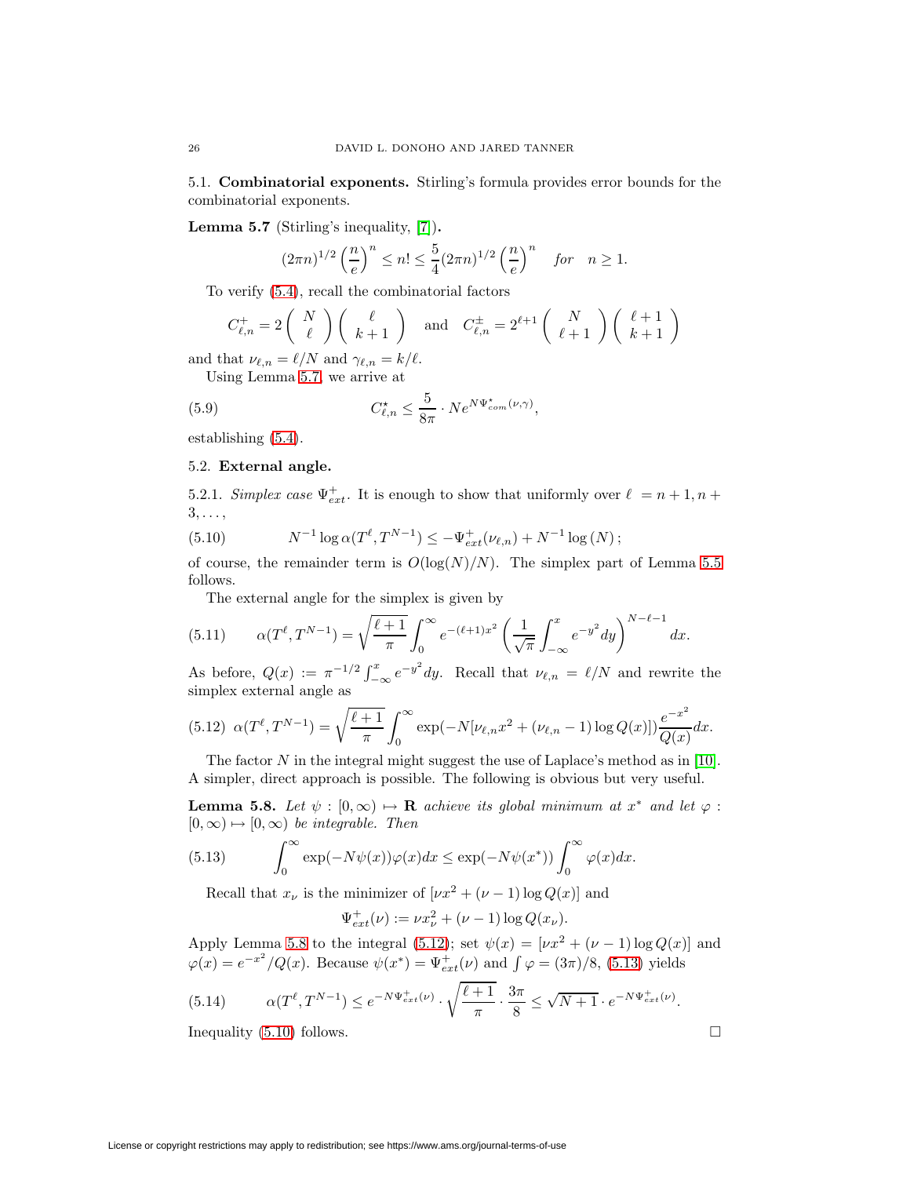<span id="page-25-3"></span><span id="page-25-1"></span>5.1. **Combinatorial exponents.** Stirling's formula provides error bounds for the combinatorial exponents.

**Lemma 5.7** (Stirling's inequality, [\[7\]](#page-51-13))**.**

$$
(2\pi n)^{1/2} \left(\frac{n}{e}\right)^n \le n! \le \frac{5}{4} (2\pi n)^{1/2} \left(\frac{n}{e}\right)^n \quad \text{for} \quad n \ge 1.
$$

To verify [\(5.4\)](#page-24-1), recall the combinatorial factors

$$
C_{\ell,n}^+ = 2\left(\begin{array}{c} N \\ \ell \end{array}\right)\left(\begin{array}{c} \ell \\ k+1 \end{array}\right) \quad \text{and} \quad C_{\ell,n}^\pm = 2^{\ell+1}\left(\begin{array}{c} N \\ \ell+1 \end{array}\right)\left(\begin{array}{c} \ell+1 \\ k+1 \end{array}\right)
$$

and that  $\nu_{\ell,n} = \ell/N$  and  $\gamma_{\ell,n} = k/\ell$ .

Using Lemma [5.7,](#page-25-3) we arrive at

(5.9) 
$$
C_{\ell,n}^{\star} \leq \frac{5}{8\pi} \cdot Ne^{N\Psi_{com}^{\star}(\nu,\gamma)},
$$

<span id="page-25-2"></span>establishing [\(5.4\)](#page-24-1).

## 5.2. **External angle.**

<span id="page-25-7"></span>5.2.1. Simplex case  $\Psi_{ext}^+$ . It is enough to show that uniformly over  $\ell = n + 1, n + 1$  $3, \ldots$ 

(5.10) 
$$
N^{-1} \log \alpha(T^{\ell}, T^{N-1}) \leq -\Psi_{ext}^{+}(\nu_{\ell,n}) + N^{-1} \log (N);
$$

of course, the remainder term is  $O(log(N)/N)$ . The simplex part of Lemma [5.5](#page-24-2) follows.

<span id="page-25-0"></span>The external angle for the simplex is given by

(5.11) 
$$
\alpha(T^{\ell}, T^{N-1}) = \sqrt{\frac{\ell+1}{\pi}} \int_0^{\infty} e^{-(\ell+1)x^2} \left(\frac{1}{\sqrt{\pi}} \int_{-\infty}^x e^{-y^2} dy\right)^{N-\ell-1} dx.
$$

As before,  $Q(x) := \pi^{-1/2} \int_{-\infty}^{x} e^{-y^2} dy$ . Recall that  $\nu_{\ell,n} = \ell/N$  and rewrite the simplex external angle as

<span id="page-25-5"></span>
$$
(5.12) \ \alpha(T^{\ell}, T^{N-1}) = \sqrt{\frac{\ell+1}{\pi}} \int_0^{\infty} \exp(-N[\nu_{\ell,n}x^2 + (\nu_{\ell,n} - 1) \log Q(x)]) \frac{e^{-x^2}}{Q(x)} dx.
$$

<span id="page-25-4"></span>The factor  $N$  in the integral might suggest the use of Laplace's method as in [\[10\]](#page-51-5). A simpler, direct approach is possible. The following is obvious but very useful.

**Lemma 5.8.** Let  $\psi : [0, \infty) \mapsto \mathbf{R}$  achieve its global minimum at  $x^*$  and let  $\varphi$ :  $[0, \infty) \mapsto [0, \infty)$  be integrable. Then

(5.13) 
$$
\int_0^\infty \exp(-N\psi(x))\varphi(x)dx \leq \exp(-N\psi(x^*))\int_0^\infty \varphi(x)dx.
$$

Recall that  $x_{\nu}$  is the minimizer of  $[\nu x^2 + (\nu - 1) \log Q(x)]$  and

<span id="page-25-6"></span>
$$
\Psi_{ext}^+(\nu) := \nu x_\nu^2 + (\nu - 1) \log Q(x_\nu).
$$

Apply Lemma [5.8](#page-25-4) to the integral [\(5.12\)](#page-25-5); set  $\psi(x)=[\nu x^2 + (\nu - 1) \log Q(x)]$  and  $\varphi(x) = e^{-x^2}/Q(x)$ . Because  $\psi(x^*) = \Psi_{ext}^+(\nu)$  and  $\int \varphi = (3\pi)/8$ , [\(5.13\)](#page-25-6) yields

(5.14) 
$$
\alpha(T^{\ell}, T^{N-1}) \le e^{-N\Psi_{ext}^{+}(\nu)} \cdot \sqrt{\frac{\ell+1}{\pi}} \cdot \frac{3\pi}{8} \le \sqrt{N+1} \cdot e^{-N\Psi_{ext}^{+}(\nu)}.
$$

Inequality  $(5.10)$  follows.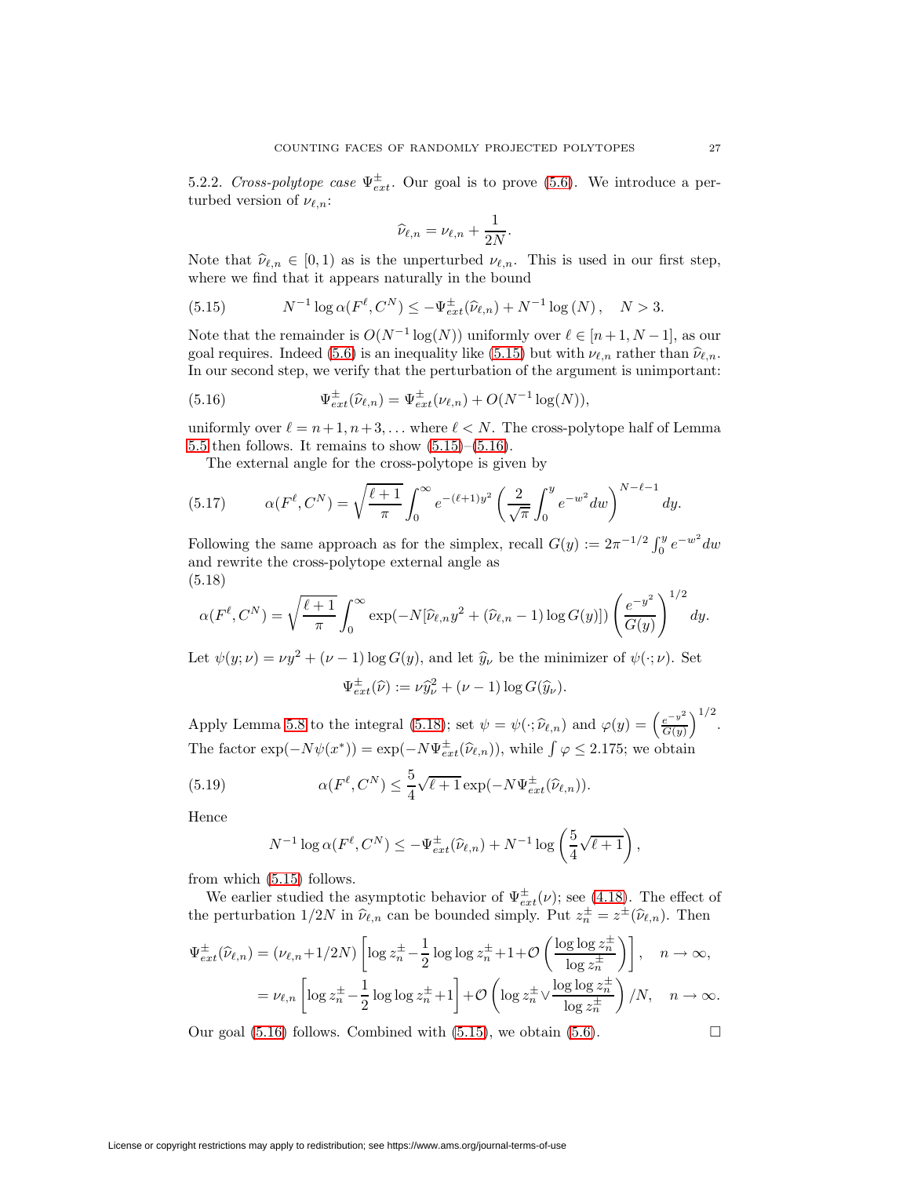5.2.2. Cross-polytope case  $\Psi_{ext}^{\pm}$ . Our goal is to prove [\(5.6\)](#page-24-3). We introduce a perturbed version of  $\nu_{\ell,n}$ :

<span id="page-26-1"></span><span id="page-26-0"></span>
$$
\widehat{\nu}_{\ell,n} = \nu_{\ell,n} + \frac{1}{2N}.
$$

Note that  $\hat{\nu}_{\ell,n} \in [0,1)$  as is the unperturbed  $\nu_{\ell,n}$ . This is used in our first step, where we find that it appears naturally in the bound

(5.15) 
$$
N^{-1} \log \alpha(F^{\ell}, C^N) \le -\Psi_{ext}^{\pm}(\hat{\nu}_{\ell,n}) + N^{-1} \log (N), \quad N > 3.
$$

Note that the remainder is  $O(N^{-1} \log(N))$  uniformly over  $\ell \in [n+1, N-1]$ , as our goal requires. Indeed [\(5.6\)](#page-24-3) is an inequality like [\(5.15\)](#page-26-0) but with  $\nu_{\ell,n}$  rather than  $\hat{\nu}_{\ell,n}$ . In our second step, we verify that the perturbation of the argument is unimportant:

(5.16) 
$$
\Psi_{ext}^{\pm}(\hat{\nu}_{\ell,n}) = \Psi_{ext}^{\pm}(\nu_{\ell,n}) + O(N^{-1}\log(N)),
$$

uniformly over  $\ell = n+1, n+3, \ldots$  where  $\ell < N$ . The cross-polytope half of Lemma [5.5](#page-24-2) then follows. It remains to show  $(5.15)$ – $(5.16)$ .

The external angle for the cross-polytope is given by

(5.17) 
$$
\alpha(F^{\ell}, C^N) = \sqrt{\frac{\ell+1}{\pi}} \int_0^{\infty} e^{-(\ell+1)y^2} \left(\frac{2}{\sqrt{\pi}} \int_0^y e^{-w^2} dw\right)^{N-\ell-1} dy.
$$

Following the same approach as for the simplex, recall  $G(y) := 2\pi^{-1/2} \int_0^y e^{-w^2} dw$ and rewrite the cross-polytope external angle as (5.18)

<span id="page-26-2"></span>
$$
\alpha(F^{\ell},C^N)=\sqrt{\frac{\ell+1}{\pi}}\int_0^{\infty}\exp(-N[\hat{\nu}_{\ell,n}y^2+(\hat{\nu}_{\ell,n}-1)\log G(y)])\left(\frac{e^{-y^2}}{G(y)}\right)^{1/2}dy.
$$

Let  $\psi(y; \nu) = \nu y^2 + (\nu - 1) \log G(y)$ , and let  $\hat{y}_\nu$  be the minimizer of  $\psi(\cdot; \nu)$ . Set  $\Psi_{ext}^{\pm}(\widehat{\nu}) := \nu \widehat{y}_{\nu}^2 + (\nu - 1) \log G(\widehat{y}_{\nu}).$ 

Apply Lemma [5.8](#page-25-4) to the integral [\(5.18\)](#page-26-2); set  $\psi = \psi(\cdot; \hat{\nu}_{\ell,n})$  and  $\varphi(y) = \left(\frac{e^{-y^2}}{G(y)}\right)^2$  $\big)^{1/2}$ . The factor  $\exp(-N\psi(x^*)) = \exp(-N\Psi_{ext}^{\pm}(\widehat{\nu}_{\ell,n}))$ , while  $\int \varphi \leq 2.175$ ; we obtain

(5.19) 
$$
\alpha(F^{\ell}, C^N) \leq \frac{5}{4} \sqrt{\ell+1} \exp(-N \Psi_{ext}^{\pm}(\widehat{\nu}_{\ell,n})).
$$

Hence

$$
N^{-1}\log \alpha(F^{\ell}, C^N) \le -\Psi_{ext}^{\pm}(\widehat{\nu}_{\ell,n}) + N^{-1}\log\left(\frac{5}{4}\sqrt{\ell+1}\right),
$$

from which [\(5.15\)](#page-26-0) follows.

We earlier studied the asymptotic behavior of  $\Psi_{ext}^{\pm}(\nu)$ ; see [\(4.18\)](#page-22-3). The effect of the perturbation  $1/2N$  in  $\hat{\nu}_{\ell,n}$  can be bounded simply. Put  $z_n^{\pm} = z^{\pm}(\hat{\nu}_{\ell,n})$ . Then

$$
\Psi_{ext}^{\pm}(\widehat{\nu}_{\ell,n}) = (\nu_{\ell,n} + 1/2N) \left[ \log z_n^{\pm} - \frac{1}{2} \log \log z_n^{\pm} + 1 + \mathcal{O}\left(\frac{\log \log z_n^{\pm}}{\log z_n^{\pm}}\right) \right], \quad n \to \infty,
$$
  

$$
= \nu_{\ell,n} \left[ \log z_n^{\pm} - \frac{1}{2} \log \log z_n^{\pm} + 1 \right] + \mathcal{O}\left( \log z_n^{\pm} \vee \frac{\log \log z_n^{\pm}}{\log z_n^{\pm}}\right) / N, \quad n \to \infty.
$$

Our goal [\(5.16\)](#page-26-1) follows. Combined with [\(5.15\)](#page-26-0), we obtain [\(5.6\)](#page-24-3).  $\Box$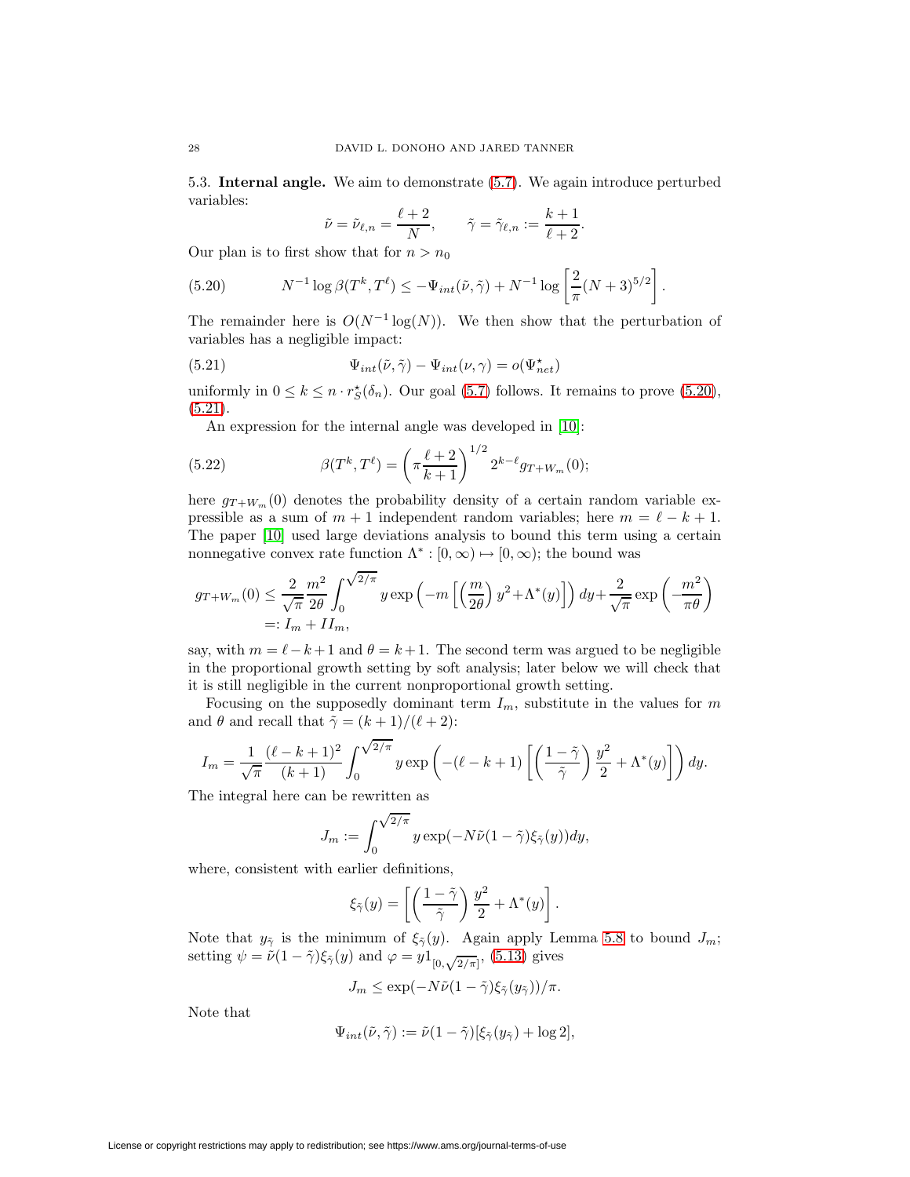5.3. **Internal angle.** We aim to demonstrate [\(5.7\)](#page-24-4). We again introduce perturbed variables:

<span id="page-27-2"></span><span id="page-27-0"></span>
$$
\tilde{\nu} = \tilde{\nu}_{\ell,n} = \frac{\ell+2}{N}, \qquad \tilde{\gamma} = \tilde{\gamma}_{\ell,n} := \frac{k+1}{\ell+2}.
$$

Our plan is to first show that for  $n>n_0$ 

(5.20) 
$$
N^{-1} \log \beta(T^k, T^{\ell}) \leq -\Psi_{int}(\tilde{\nu}, \tilde{\gamma}) + N^{-1} \log \left[\frac{2}{\pi} (N+3)^{5/2}\right].
$$

<span id="page-27-1"></span>The remainder here is  $O(N^{-1} \log(N))$ . We then show that the perturbation of variables has a negligible impact:

(5.21) 
$$
\Psi_{int}(\tilde{\nu}, \tilde{\gamma}) - \Psi_{int}(\nu, \gamma) = o(\Psi_{net}^{\star})
$$

uniformly in  $0 \le k \le n \cdot r_S^{\star}(\delta_n)$ . Our goal [\(5.7\)](#page-24-4) follows. It remains to prove [\(5.20\)](#page-27-0),  $(5.21).$  $(5.21).$ 

An expression for the internal angle was developed in [\[10\]](#page-51-5):

(5.22) 
$$
\beta(T^k, T^{\ell}) = \left(\pi \frac{\ell+2}{k+1}\right)^{1/2} 2^{k-\ell} g_{T+W_m}(0);
$$

here  $g_{T+W_m}(0)$  denotes the probability density of a certain random variable expressible as a sum of  $m + 1$  independent random variables; here  $m = \ell - k + 1$ . The paper [\[10\]](#page-51-5) used large deviations analysis to bound this term using a certain nonnegative convex rate function  $\Lambda^*: [0, \infty) \mapsto [0, \infty);$  the bound was

$$
g_{T+W_m}(0) \le \frac{2}{\sqrt{\pi}} \frac{m^2}{2\theta} \int_0^{\sqrt{2/\pi}} y \exp\left(-m\left[\left(\frac{m}{2\theta}\right) y^2 + \Lambda^*(y)\right]\right) dy + \frac{2}{\sqrt{\pi}} \exp\left(-\frac{m^2}{\pi\theta}\right)
$$
  
=:  $I_m + II_m$ ,

say, with  $m = \ell - k + 1$  and  $\theta = k + 1$ . The second term was argued to be negligible in the proportional growth setting by soft analysis; later below we will check that it is still negligible in the current nonproportional growth setting.

Focusing on the supposedly dominant term  $I_m$ , substitute in the values for m and  $\theta$  and recall that  $\tilde{\gamma} = (k+1)/(\ell+2)$ :

$$
I_m = \frac{1}{\sqrt{\pi}} \frac{(\ell - k + 1)^2}{(k+1)} \int_0^{\sqrt{2/\pi}} y \exp\left(-(\ell - k + 1)\left[\left(\frac{1 - \tilde{\gamma}}{\tilde{\gamma}}\right) \frac{y^2}{2} + \Lambda^*(y)\right]\right) dy.
$$

The integral here can be rewritten as

$$
J_m := \int_0^{\sqrt{2/\pi}} y \exp(-N\tilde{\nu}(1-\tilde{\gamma})\xi_{\tilde{\gamma}}(y)) dy,
$$

where, consistent with earlier definitions,

$$
\xi_{\tilde{\gamma}}(y) = \left[ \left( \frac{1 - \tilde{\gamma}}{\tilde{\gamma}} \right) \frac{y^2}{2} + \Lambda^*(y) \right].
$$

Note that  $y_{\tilde{\gamma}}$  is the minimum of  $\xi_{\tilde{\gamma}}(y)$ . Again apply Lemma [5.8](#page-25-4) to bound  $J_m$ ; setting  $\psi = \nu (1 - \tilde{\gamma}) \xi_{\tilde{\gamma}}(y)$  and  $\varphi = y1_{[0,\sqrt{2/\pi}]},$  [\(5.13\)](#page-25-6) gives

$$
J_m \le \exp(-N\tilde{\nu}(1-\tilde{\gamma})\xi_{\tilde{\gamma}}(y_{\tilde{\gamma}}))/\pi.
$$

Note that

$$
\Psi_{int}(\tilde{\nu}, \tilde{\gamma}) := \tilde{\nu}(1 - \tilde{\gamma})[\xi_{\tilde{\gamma}}(y_{\tilde{\gamma}}) + \log 2],
$$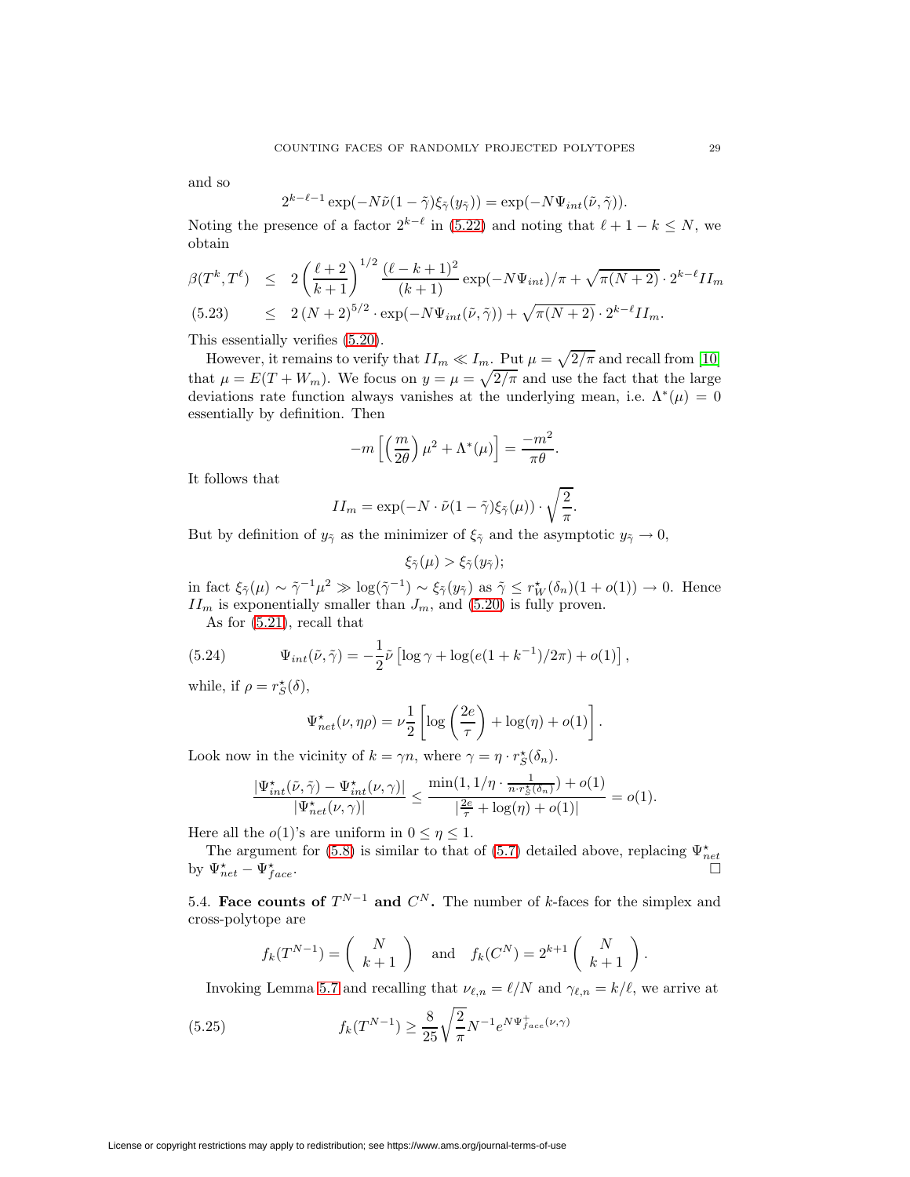and so

$$
2^{k-\ell-1}\exp(-N\tilde{\nu}(1-\tilde{\gamma})\xi_{\tilde{\gamma}}(y_{\tilde{\gamma}}))=\exp(-N\Psi_{int}(\tilde{\nu},\tilde{\gamma})).
$$

Noting the presence of a factor  $2^{k-\ell}$  in [\(5.22\)](#page-27-2) and noting that  $\ell + 1 - k \leq N$ , we obtain

$$
\beta(T^k, T^\ell) \le 2\left(\frac{\ell+2}{k+1}\right)^{1/2} \frac{(\ell-k+1)^2}{(k+1)} \exp(-N\Psi_{int})/\pi + \sqrt{\pi(N+2)} \cdot 2^{k-\ell} II_m
$$
  
(5.23) 
$$
\le 2(N+2)^{5/2} \cdot \exp(-N\Psi_{int}(\tilde{\nu}, \tilde{\gamma})) + \sqrt{\pi(N+2)} \cdot 2^{k-\ell} II_m.
$$

This essentially verifies [\(5.20\)](#page-27-0).

However, it remains to verify that  $II_m \ll I_m$ . Put  $\mu = \sqrt{2/\pi}$  and recall from [\[10\]](#page-51-5) that  $\mu = E(T + W_m)$ . We focus on  $y = \mu = \sqrt{2/\pi}$  and use the fact that the large deviations rate function always vanishes at the underlying mean, i.e.  $\Lambda^*(\mu)=0$ essentially by definition. Then

$$
-m\left[\left(\frac{m}{2\theta}\right)\mu^2 + \Lambda^*(\mu)\right] = \frac{-m^2}{\pi\theta}.
$$

It follows that

$$
II_m = \exp(-N \cdot \tilde{\nu}(1-\tilde{\gamma})\xi_{\tilde{\gamma}}(\mu)) \cdot \sqrt{\frac{2}{\pi}}.
$$

But by definition of  $y_{\tilde{\gamma}}$  as the minimizer of  $\xi_{\tilde{\gamma}}$  and the asymptotic  $y_{\tilde{\gamma}} \to 0$ ,

$$
\xi_{\tilde{\gamma}}(\mu) > \xi_{\tilde{\gamma}}(y_{\tilde{\gamma}});
$$

in fact  $\xi_{\tilde{\gamma}}(\mu) \sim \tilde{\gamma}^{-1} \mu^2 \gg \log(\tilde{\gamma}^{-1}) \sim \xi_{\tilde{\gamma}}(y_{\tilde{\gamma}})$  as  $\tilde{\gamma} \leq r_W^{\star}(\delta_n)(1 + o(1)) \to 0$ . Hence  $II_m$  is exponentially smaller than  $J_m$ , and [\(5.20\)](#page-27-0) is fully proven.

As for [\(5.21\)](#page-27-1), recall that

(5.24) 
$$
\Psi_{int}(\tilde{\nu}, \tilde{\gamma}) = -\frac{1}{2}\tilde{\nu}\left[\log \gamma + \log(e(1 + k^{-1})/2\pi) + o(1)\right],
$$

while, if  $\rho = r_S^{\star}(\delta)$ ,

$$
\Psi_{net}^{\star}(\nu,\eta\rho) = \nu \frac{1}{2} \left[ \log \left( \frac{2e}{\tau} \right) + \log(\eta) + o(1) \right].
$$

Look now in the vicinity of  $k = \gamma n$ , where  $\gamma = \eta \cdot r_S^{\star}(\delta_n)$ .

$$
\frac{|\Psi_{int}^\star(\tilde{\nu},\tilde{\gamma})-\Psi_{int}^\star(\nu,\gamma)|}{|\Psi_{net}^\star(\nu,\gamma)|}\leq \frac{\min(1,1/\eta\cdot \frac{1}{n\cdot r^{\star}_{\mathcal{S}}(\delta_n)})+o(1)}{|\frac{2e}{\tau}+\log(\eta)+o(1)|}=o(1).
$$

Here all the  $o(1)$ 's are uniform in  $0 \leq \eta \leq 1$ .

The argument for [\(5.8\)](#page-24-5) is similar to that of [\(5.7\)](#page-24-4) detailed above, replacing  $\Psi_{net}^{\star}$ by  $\Psi_{net}^{\star} - \Psi_{f}^{\star}$  $t \atop face$ .

<span id="page-28-0"></span>5.4. **Face counts of**  $T^{N-1}$  and  $C^N$ . The number of k-faces for the simplex and cross-polytope are

$$
f_k(T^{N-1}) = \begin{pmatrix} N \\ k+1 \end{pmatrix} \text{ and } f_k(C^N) = 2^{k+1} \begin{pmatrix} N \\ k+1 \end{pmatrix}.
$$

Invoking Lemma [5.7](#page-25-3) and recalling that  $\nu_{\ell,n} = \ell/N$  and  $\gamma_{\ell,n} = k/\ell$ , we arrive at

(5.25) 
$$
f_k(T^{N-1}) \ge \frac{8}{25} \sqrt{\frac{2}{\pi}} N^{-1} e^{N \Psi_{face}^{\dagger}(\nu, \gamma)}
$$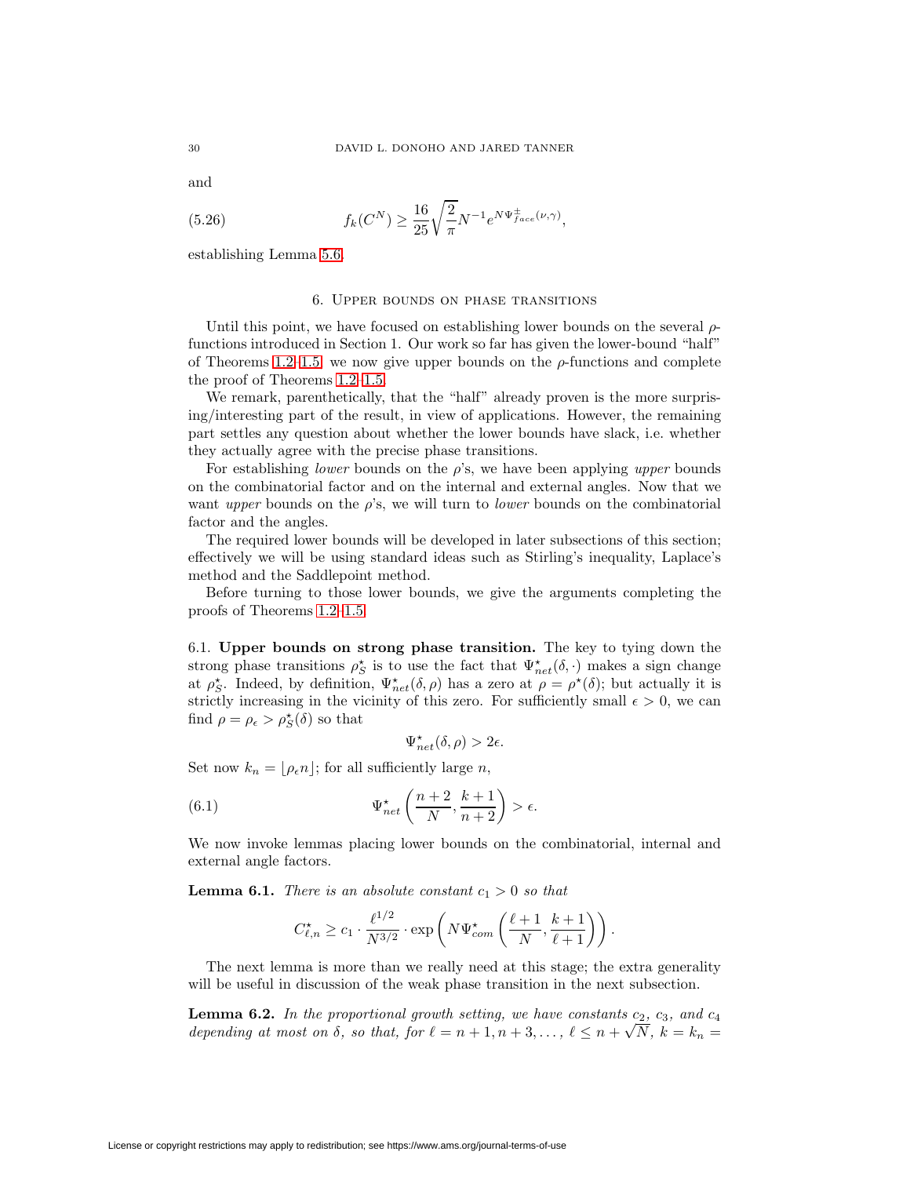and

(5.26) 
$$
f_k(C^N) \ge \frac{16}{25} \sqrt{\frac{2}{\pi}} N^{-1} e^{N \Psi_{face}^{\pm}(\nu,\gamma)},
$$

establishing Lemma [5.6.](#page-24-0)

## 6. Upper bounds on phase transitions

Until this point, we have focused on establishing lower bounds on the several  $\rho$ functions introduced in Section 1. Our work so far has given the lower-bound "half" of Theorems [1.2–](#page-7-0)[1.5;](#page-7-3) we now give upper bounds on the  $\rho$ -functions and complete the proof of Theorems [1.2–](#page-7-0)[1.5.](#page-7-3)

We remark, parenthetically, that the "half" already proven is the more surprising/interesting part of the result, in view of applications. However, the remaining part settles any question about whether the lower bounds have slack, i.e. whether they actually agree with the precise phase transitions.

For establishing *lower* bounds on the  $\rho$ 's, we have been applying *upper* bounds on the combinatorial factor and on the internal and external angles. Now that we want upper bounds on the  $\rho$ 's, we will turn to *lower* bounds on the combinatorial factor and the angles.

The required lower bounds will be developed in later subsections of this section; effectively we will be using standard ideas such as Stirling's inequality, Laplace's method and the Saddlepoint method.

Before turning to those lower bounds, we give the arguments completing the proofs of Theorems [1.2–](#page-7-0)[1.5.](#page-7-3)

6.1. **Upper bounds on strong phase transition.** The key to tying down the strong phase transitions  $\rho_S^*$  is to use the fact that  $\Psi_{net}^*(\delta, \cdot)$  makes a sign change at  $\rho_S^*$ . Indeed, by definition,  $\Psi_{net}^*(\delta,\rho)$  has a zero at  $\rho = \rho^*(\delta)$ ; but actually it is strictly increasing in the vicinity of this zero. For sufficiently small  $\epsilon > 0$ , we can find  $\rho = \rho_{\epsilon} > \rho_{S}^{\star}(\delta)$  so that

$$
\Psi_{net}^\star(\delta,\rho)>2\epsilon.
$$

Set now  $k_n = \lfloor \rho_{\epsilon} n \rfloor$ ; for all sufficiently large n,

(6.1) 
$$
\Psi_{net}^{\star}\left(\frac{n+2}{N}, \frac{k+1}{n+2}\right) > \epsilon.
$$

We now invoke lemmas placing lower bounds on the combinatorial, internal and external angle factors.

**Lemma 6.1.** There is an absolute constant  $c_1 > 0$  so that

$$
C_{\ell,n}^{\star} \ge c_1 \cdot \frac{\ell^{1/2}}{N^{3/2}} \cdot \exp\left(N\Psi_{com}^{\star}\left(\frac{\ell+1}{N}, \frac{k+1}{\ell+1}\right)\right).
$$

<span id="page-29-0"></span>The next lemma is more than we really need at this stage; the extra generality will be useful in discussion of the weak phase transition in the next subsection.

**Lemma 6.2.** In the proportional growth setting, we have constants  $c_2$ ,  $c_3$ , and  $c_4$ **Lemma 6.2.** In the proportional growth setting, we have constants  $c_2$ ,  $c_3$ , and  $c_4$  depending at most on  $\delta$ , so that, for  $\ell = n + 1, n + 3, \ldots, \ell \leq n + \sqrt{N}$ ,  $k = k_n =$ 

License or copyright restrictions may apply to redistribution; see https://www.ams.org/journal-terms-of-use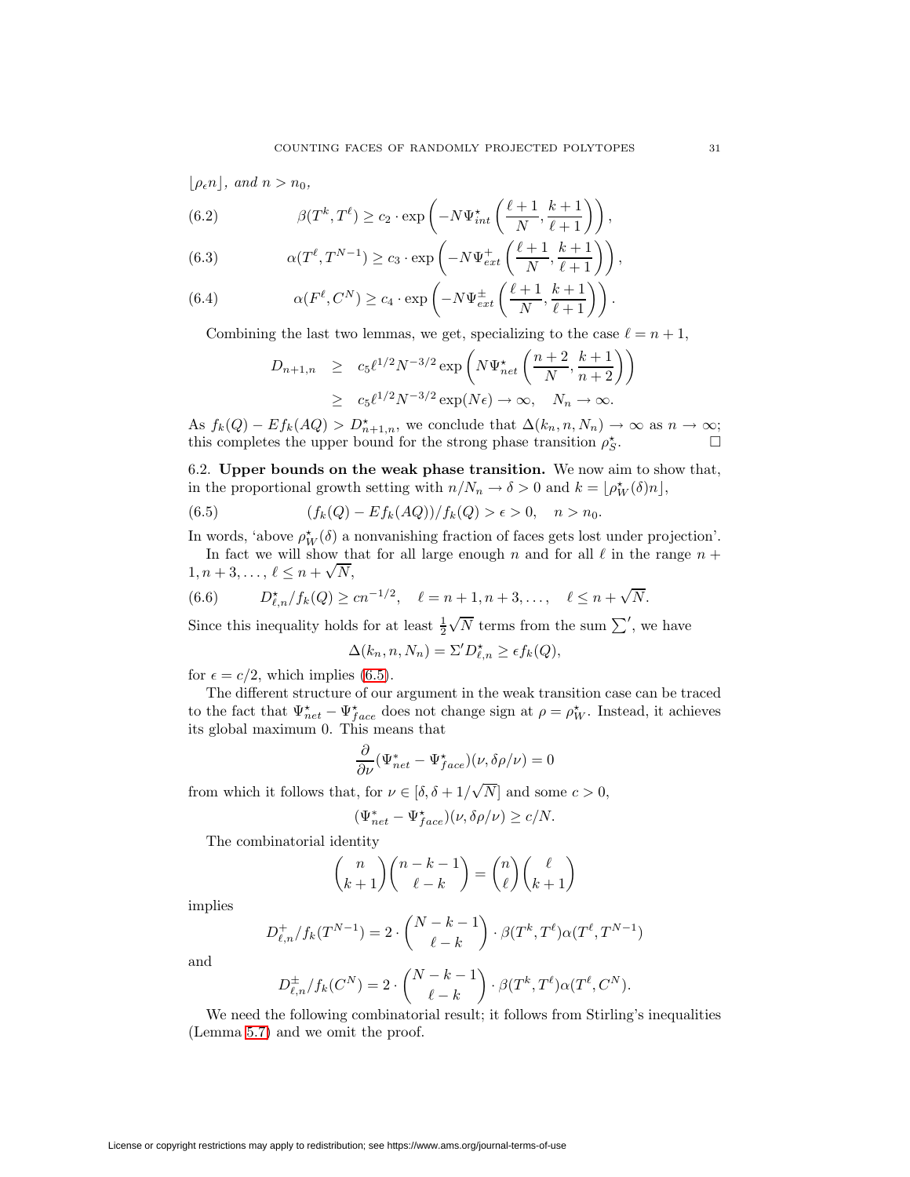$\lfloor \rho_{\epsilon} n \rfloor$ , and  $n > n_0$ ,

<span id="page-30-4"></span>(6.2) 
$$
\beta(T^k, T^{\ell}) \ge c_2 \cdot \exp\left(-N\Psi_{int}^{\star}\left(\frac{\ell+1}{N}, \frac{k+1}{\ell+1}\right)\right),
$$

<span id="page-30-3"></span>(6.3) 
$$
\alpha(T^{\ell}, T^{N-1}) \ge c_3 \cdot \exp\left(-N\Psi_{ext}^+\left(\frac{\ell+1}{N}, \frac{k+1}{\ell+1}\right)\right),
$$

<span id="page-30-2"></span>(6.4) 
$$
\alpha(F^{\ell}, C^N) \ge c_4 \cdot \exp\left(-N\Psi_{ext}^{\pm}\left(\frac{\ell+1}{N}, \frac{k+1}{\ell+1}\right)\right).
$$

Combining the last two lemmas, we get, specializing to the case  $\ell = n + 1$ ,

$$
D_{n+1,n} \ge c_5 \ell^{1/2} N^{-3/2} \exp\left(N\Psi_{net}^{\star}\left(\frac{n+2}{N}, \frac{k+1}{n+2}\right)\right)
$$
  
 
$$
\ge c_5 \ell^{1/2} N^{-3/2} \exp(N\epsilon) \to \infty, \quad N_n \to \infty.
$$

As  $f_k(Q) - Ef_k(AQ) > D_{n+1,n}^{\star}$ , we conclude that  $\Delta(k_n, n, N_n) \to \infty$  as  $n \to \infty$ ; this completes the upper bound for the strong phase transition  $\rho_S^*$ .

6.2. **Upper bounds on the weak phase transition.** We now aim to show that, in the proportional growth setting with  $n/N_n \to \delta > 0$  and  $k = \lfloor \rho_W^*(\delta)n \rfloor$ ,

(6.5) 
$$
(f_k(Q) - Ef_k(AQ))/f_k(Q) > \epsilon > 0, \quad n > n_0.
$$

In words, 'above  $\rho_W^{\star}(\delta)$  a nonvanishing fraction of faces gets lost under projection'.

In fact we will show that for all large enough  $n$  and for all  $\ell$  in the range  $n +$ In fact we will show if<br> $1, n+3, \ldots, \ell \leq n+\sqrt{N}$ ,

<span id="page-30-1"></span>(6.6) 
$$
D_{\ell,n}^{\star}/f_k(Q) \ge cn^{-1/2}, \quad \ell = n+1, n+3, ..., \quad \ell \le n+\sqrt{N}.
$$

Since this inequality holds for at least  $\frac{1}{2}$  $\sqrt{N}$  terms from the sum  $\sum'$ , we have

<span id="page-30-0"></span>
$$
\Delta(k_n, n, N_n) = \Sigma' D_{\ell,n}^* \ge \epsilon f_k(Q),
$$

for  $\epsilon = c/2$ , which implies [\(6.5\)](#page-30-0).

The different structure of our argument in the weak transition case can be traced to the fact that  $\Psi_{net}^{\star} - \Psi_{face}^{\star}$  does not change sign at  $\rho = \rho_{W}^{\star}$ . Instead, it achieves its global maximum 0. This means that

$$
\frac{\partial}{\partial \nu} (\Psi_{net}^* - \Psi_{face}^* )(\nu, \delta \rho / \nu) = 0
$$

from which it follows that, for  $\nu \in [\delta, \delta + 1]$ N and some  $c > 0$ ,

$$
(\Psi^*_{net}-\Psi^{\star}_{face})(\nu,\delta\rho/\nu)\geq c/N.
$$

The combinatorial identity

$$
\binom{n}{k+1}\binom{n-k-1}{\ell-k} = \binom{n}{\ell}\binom{\ell}{k+1}
$$

implies

$$
D_{\ell,n}^+/f_k(T^{N-1}) = 2 \cdot \binom{N-k-1}{\ell-k} \cdot \beta(T^k, T^{\ell}) \alpha(T^{\ell}, T^{N-1})
$$

and

$$
D_{\ell,n}^{\pm}/f_k(C^N) = 2 \cdot \binom{N-k-1}{\ell-k} \cdot \beta(T^k,T^{\ell}) \alpha(T^{\ell},C^N).
$$

We need the following combinatorial result; it follows from Stirling's inequalities (Lemma [5.7\)](#page-25-3) and we omit the proof.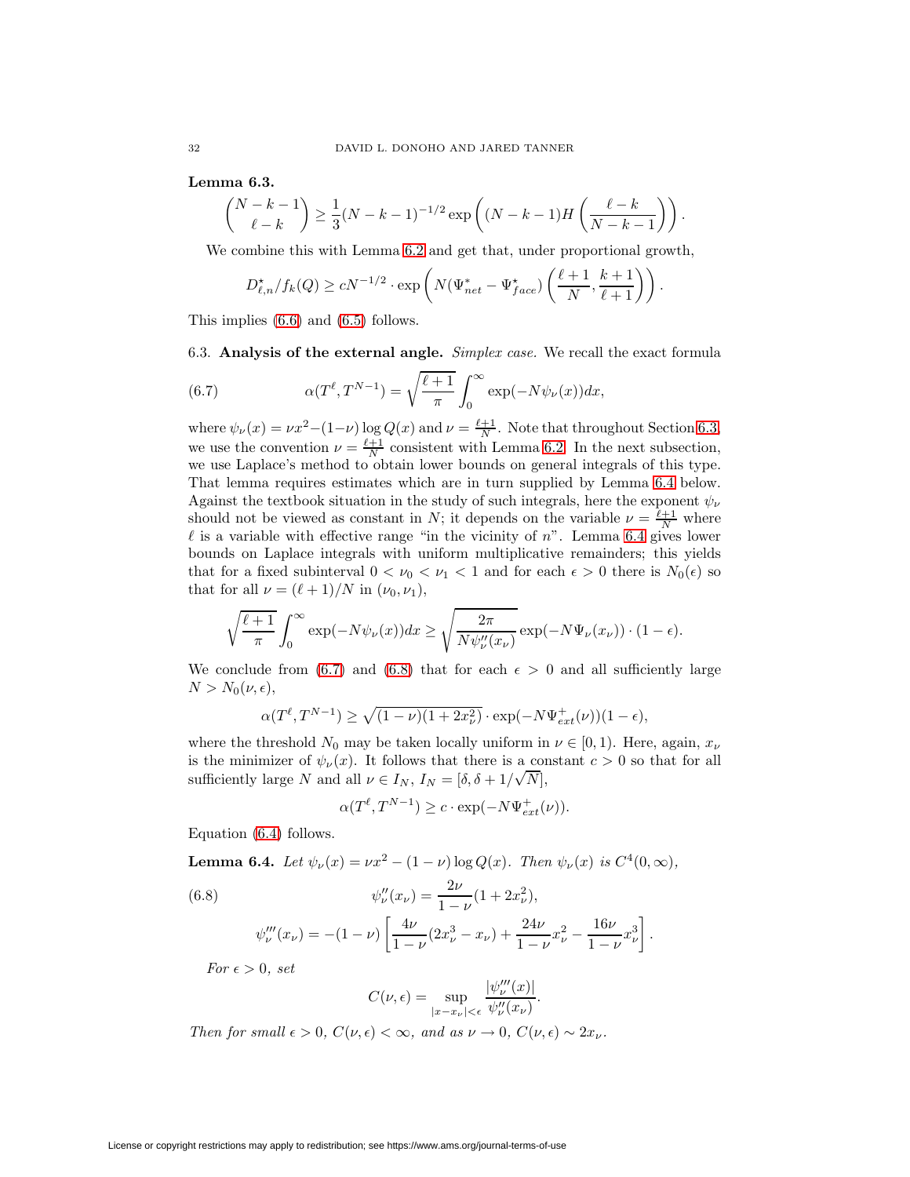**Lemma 6.3.**

$$
\binom{N-k-1}{\ell-k} \ge \frac{1}{3}(N-k-1)^{-1/2} \exp\left((N-k-1)H\left(\frac{\ell-k}{N-k-1}\right)\right).
$$

We combine this with Lemma [6.2](#page-29-0) and get that, under proportional growth,

<span id="page-31-2"></span>
$$
D_{\ell,n}^{\star}/f_k(Q) \ge cN^{-1/2} \cdot \exp\left(N(\Psi_{net}^* - \Psi_{face}^*)\left(\frac{\ell+1}{N}, \frac{k+1}{\ell+1}\right)\right).
$$

<span id="page-31-0"></span>This implies [\(6.6\)](#page-30-1) and [\(6.5\)](#page-30-0) follows.

6.3. **Analysis of the external angle.** Simplex case. We recall the exact formula

(6.7) 
$$
\alpha(T^{\ell}, T^{N-1}) = \sqrt{\frac{\ell+1}{\pi}} \int_0^{\infty} \exp(-N\psi_{\nu}(x))dx,
$$

where  $\psi_{\nu}(x) = \nu x^2 - (1 - \nu) \log Q(x)$  and  $\nu = \frac{\ell+1}{N}$ . Note that throughout Section [6.3,](#page-31-0) we use the convention  $\nu = \frac{\ell+1}{N}$  consistent with Lemma [6.2.](#page-29-0) In the next subsection, we use Laplace's method to obtain lower bounds on general integrals of this type. That lemma requires estimates which are in turn supplied by Lemma [6.4](#page-31-1) below. Against the textbook situation in the study of such integrals, here the exponent  $\psi_{\nu}$ should not be viewed as constant in N; it depends on the variable  $\nu = \frac{\ell+1}{N}$  where  $\ell$  is a variable with effective range "in the vicinity of n". Lemma [6.4](#page-31-1) gives lower bounds on Laplace integrals with uniform multiplicative remainders; this yields that for a fixed subinterval  $0 < \nu_0 < \nu_1 < 1$  and for each  $\epsilon > 0$  there is  $N_0(\epsilon)$  so that for all  $\nu = (\ell + 1)/N$  in  $(\nu_0, \nu_1)$ ,

$$
\sqrt{\frac{\ell+1}{\pi}} \int_0^\infty \exp(-N\psi_\nu(x))dx \ge \sqrt{\frac{2\pi}{N\psi_\nu''(x_\nu)}} \exp(-N\Psi_\nu(x_\nu)) \cdot (1-\epsilon).
$$

We conclude from [\(6.7\)](#page-31-2) and [\(6.8\)](#page-31-3) that for each  $\epsilon > 0$  and all sufficiently large  $N>N_0(\nu,\epsilon),$ 

$$
\alpha(T^{\ell}, T^{N-1}) \ge \sqrt{(1-\nu)(1+2x_{\nu}^2)} \cdot \exp(-N\Psi_{ext}^{+}(\nu))(1-\epsilon),
$$

where the threshold  $N_0$  may be taken locally uniform in  $\nu \in [0,1)$ . Here, again,  $x_{\nu}$ is the minimizer of  $\psi_{\nu}(x)$ . It follows that there is a constant  $c > 0$  so that for all sufficiently large N and all  $\nu \in I_N$ ,  $I_N = [\delta, \delta + 1/\sqrt{N}]$ ,

$$
\alpha(T^{\ell}, T^{N-1}) \ge c \cdot \exp(-N\Psi_{ext}^{+}(\nu)).
$$

<span id="page-31-1"></span>Equation [\(6.4\)](#page-30-2) follows.

**Lemma 6.4.** Let 
$$
\psi_{\nu}(x) = \nu x^2 - (1 - \nu) \log Q(x)
$$
. Then  $\psi_{\nu}(x)$  is  $C^4(0, \infty)$ ,

<span id="page-31-3"></span>(6.8) 
$$
\psi_{\nu}''(x_{\nu}) = \frac{2\nu}{1-\nu}(1+2x_{\nu}^2),
$$

$$
\psi_{\nu}'''(x_{\nu}) = -(1-\nu)\left[\frac{4\nu}{1-\nu}(2x_{\nu}^3 - x_{\nu}) + \frac{24\nu}{1-\nu}x_{\nu}^2 - \frac{16\nu}{1-\nu}x_{\nu}^3\right].
$$

For  $\epsilon > 0$ , set

$$
C(\nu,\epsilon) = \sup_{|x-x_{\nu}| < \epsilon} \frac{|\psi_{\nu}'''(x)|}{\psi_{\nu}''(x_{\nu})}.
$$

Then for small  $\epsilon > 0$ ,  $C(\nu, \epsilon) < \infty$ , and as  $\nu \to 0$ ,  $C(\nu, \epsilon) \sim 2x_{\nu}$ .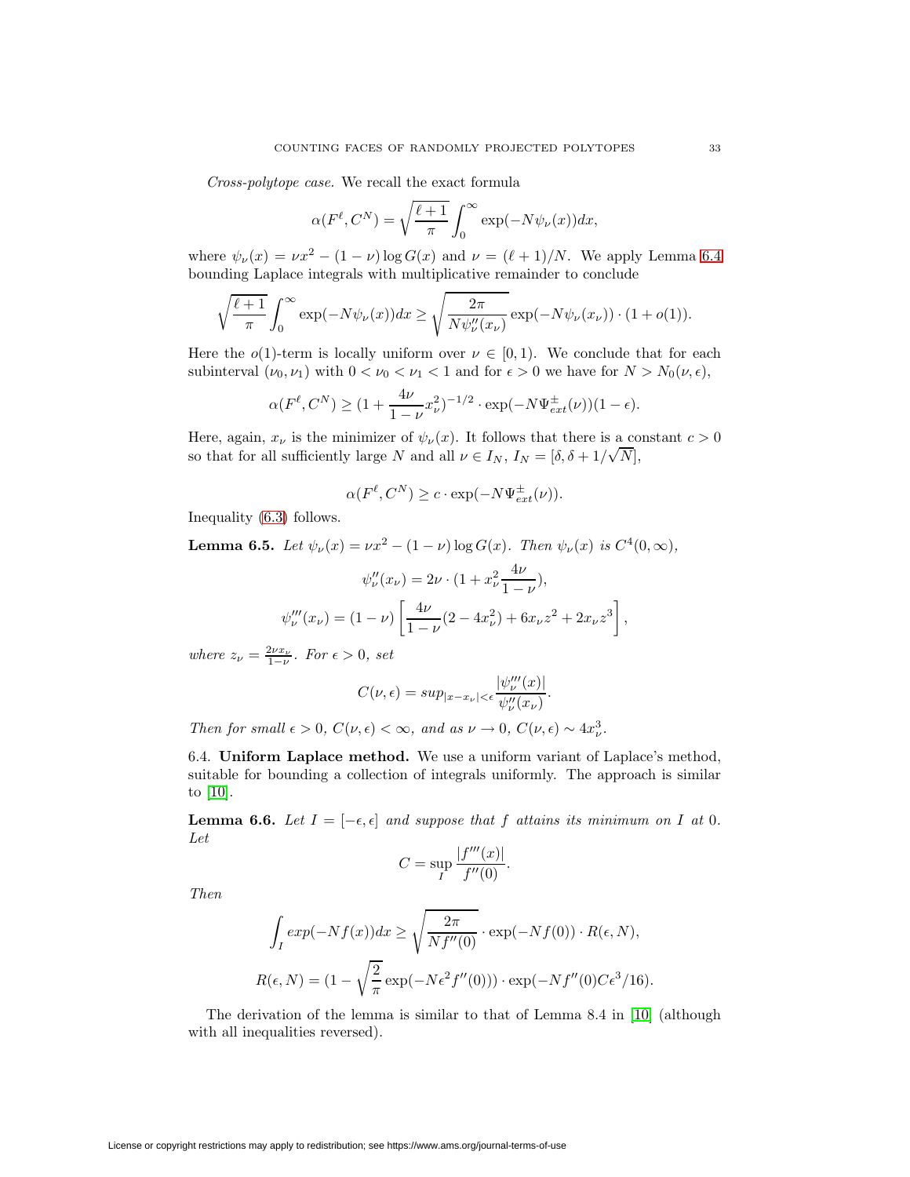Cross-polytope case. We recall the exact formula

$$
\alpha(F^{\ell}, C^N) = \sqrt{\frac{\ell+1}{\pi}} \int_0^{\infty} \exp(-N\psi_{\nu}(x))dx,
$$

where  $\psi_{\nu}(x) = \nu x^2 - (1 - \nu) \log G(x)$  and  $\nu = (\ell + 1)/N$ . We apply Lemma [6.4](#page-31-1) bounding Laplace integrals with multiplicative remainder to conclude

$$
\sqrt{\frac{\ell+1}{\pi}} \int_0^\infty \exp(-N\psi_\nu(x))dx \ge \sqrt{\frac{2\pi}{N\psi_\nu''(x_\nu)}} \exp(-N\psi_\nu(x_\nu)) \cdot (1+o(1)).
$$

Here the  $o(1)$ -term is locally uniform over  $\nu \in [0,1)$ . We conclude that for each subinterval  $(\nu_0, \nu_1)$  with  $0 < \nu_0 < \nu_1 < 1$  and for  $\epsilon > 0$  we have for  $N > N_0(\nu, \epsilon)$ ,

$$
\alpha(F^{\ell}, C^N) \ge (1 + \frac{4\nu}{1-\nu}x_{\nu}^2)^{-1/2} \cdot \exp(-N\Psi_{ext}^{\pm}(\nu))(1-\epsilon).
$$

Here, again,  $x_{\nu}$  is the minimizer of  $\psi_{\nu}(x)$ . It follows that there is a constant  $c > 0$ so that for all sufficiently large N and all  $\nu \in I_N$ ,  $I_N = [\delta, \delta + 1/\sqrt{N}]$ ,

$$
\alpha(F^{\ell}, C^N) \ge c \cdot \exp(-N\Psi_{ext}^{\pm}(\nu)).
$$

Inequality [\(6.3\)](#page-30-3) follows.

**Lemma 6.5.** Let  $\psi_{\nu}(x) = \nu x^2 - (1 - \nu) \log G(x)$ . Then  $\psi_{\nu}(x)$  is  $C^4(0, \infty)$ ,

$$
\psi_{\nu}''(x_{\nu}) = 2\nu \cdot (1 + x_{\nu}^2 \frac{4\nu}{1 - \nu}),
$$
  

$$
\psi_{\nu}'''(x_{\nu}) = (1 - \nu) \left[ \frac{4\nu}{1 - \nu} (2 - 4x_{\nu}^2) + 6x_{\nu} z^2 + 2x_{\nu} z^3 \right],
$$

where  $z_{\nu} = \frac{2\nu x_{\nu}}{1-\nu}$ . For  $\epsilon > 0$ , set

$$
C(\nu,\epsilon)=sup_{|x-x_{\nu}|<\epsilon}\frac{|\psi_{\nu}'''(x)|}{\psi_{\nu}''(x_{\nu})}.
$$

Then for small  $\epsilon > 0$ ,  $C(\nu, \epsilon) < \infty$ , and as  $\nu \to 0$ ,  $C(\nu, \epsilon) \sim 4x_{\nu}^3$ .

6.4. **Uniform Laplace method.** We use a uniform variant of Laplace's method, suitable for bounding a collection of integrals uniformly. The approach is similar to [\[10\]](#page-51-5).

<span id="page-32-1"></span>**Lemma 6.6.** Let  $I = [-\epsilon, \epsilon]$  and suppose that f attains its minimum on I at 0. Let

$$
C = \sup_{I} \frac{|f'''(x)|}{f''(0)}.
$$

Then

$$
\int_{I} exp(-Nf(x))dx \ge \sqrt{\frac{2\pi}{Nf''(0)}} \cdot exp(-Nf(0)) \cdot R(\epsilon, N),
$$
  

$$
R(\epsilon, N) = (1 - \sqrt{\frac{2}{\pi}} exp(-N\epsilon^{2}f''(0))) \cdot exp(-Nf''(0)C\epsilon^{3}/16).
$$

<span id="page-32-0"></span>The derivation of the lemma is similar to that of Lemma 8.4 in [\[10\]](#page-51-5) (although with all inequalities reversed).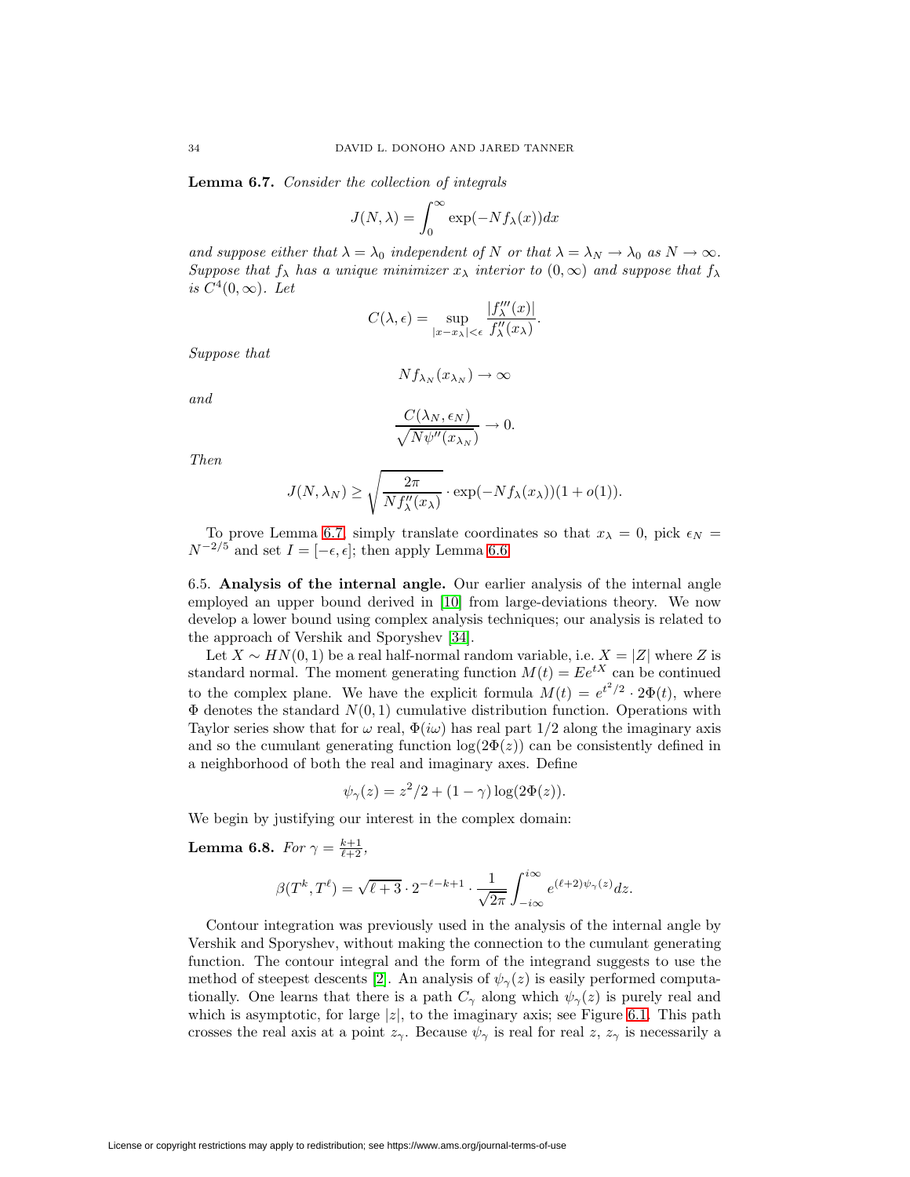**Lemma 6.7.** Consider the collection of integrals

$$
J(N, \lambda) = \int_0^\infty \exp(-Nf_\lambda(x))dx
$$

and suppose either that  $\lambda = \lambda_0$  independent of N or that  $\lambda = \lambda_N \to \lambda_0$  as  $N \to \infty$ . Suppose that  $f_{\lambda}$  has a unique minimizer  $x_{\lambda}$  interior to  $(0,\infty)$  and suppose that  $f_{\lambda}$ is  $C^4(0,\infty)$ . Let

$$
C(\lambda, \epsilon) = \sup_{|x - x_{\lambda}| < \epsilon} \frac{|f_{\lambda}'''(x)|}{f_{\lambda}''(x_{\lambda})}.
$$

Suppose that

$$
Nf_{\lambda_N}(x_{\lambda_N}) \to \infty
$$

and

$$
\frac{C(\lambda_N, \epsilon_N)}{\sqrt{N\psi''(x_{\lambda_N})}} \to 0.
$$

Then

$$
J(N, \lambda_N) \ge \sqrt{\frac{2\pi}{Nf''_{\lambda}(x_{\lambda})}} \cdot \exp(-Nf_{\lambda}(x_{\lambda}))(1+o(1)).
$$

To prove Lemma [6.7,](#page-32-0) simply translate coordinates so that  $x_{\lambda} = 0$ , pick  $\epsilon_N =$  $N^{-2/5}$  and set  $I = [-\epsilon, \epsilon]$ ; then apply Lemma [6.6.](#page-32-1)

6.5. **Analysis of the internal angle.** Our earlier analysis of the internal angle employed an upper bound derived in [\[10\]](#page-51-5) from large-deviations theory. We now develop a lower bound using complex analysis techniques; our analysis is related to the approach of Vershik and Sporyshev [\[34\]](#page-52-0).

Let  $X \sim HN(0, 1)$  be a real half-normal random variable, i.e.  $X = |Z|$  where Z is standard normal. The moment generating function  $M(t) = Ee^{tX}$  can be continued to the complex plane. We have the explicit formula  $M(t) = e^{t^2/2} \cdot 2\Phi(t)$ , where  $\Phi$  denotes the standard  $N(0, 1)$  cumulative distribution function. Operations with Taylor series show that for  $\omega$  real,  $\Phi(i\omega)$  has real part  $1/2$  along the imaginary axis and so the cumulant generating function  $log(2\Phi(z))$  can be consistently defined in a neighborhood of both the real and imaginary axes. Define

$$
\psi_{\gamma}(z) = z^2/2 + (1 - \gamma) \log(2\Phi(z)).
$$

<span id="page-33-0"></span>We begin by justifying our interest in the complex domain:

**Lemma 6.8.** For  $\gamma = \frac{k+1}{\ell+2}$ ,

$$
\beta(T^k, T^{\ell}) = \sqrt{\ell+3} \cdot 2^{-\ell-k+1} \cdot \frac{1}{\sqrt{2\pi}} \int_{-i\infty}^{i\infty} e^{(\ell+2)\psi_{\gamma}(z)} dz.
$$

Contour integration was previously used in the analysis of the internal angle by Vershik and Sporyshev, without making the connection to the cumulant generating function. The contour integral and the form of the integrand suggests to use the method of steepest descents [\[2\]](#page-50-2). An analysis of  $\psi_{\gamma}(z)$  is easily performed computationally. One learns that there is a path  $C_{\gamma}$  along which  $\psi_{\gamma}(z)$  is purely real and which is asymptotic, for large  $|z|$ , to the imaginary axis; see Figure [6.1.](#page-34-0) This path crosses the real axis at a point  $z_{\gamma}$ . Because  $\psi_{\gamma}$  is real for real z,  $z_{\gamma}$  is necessarily a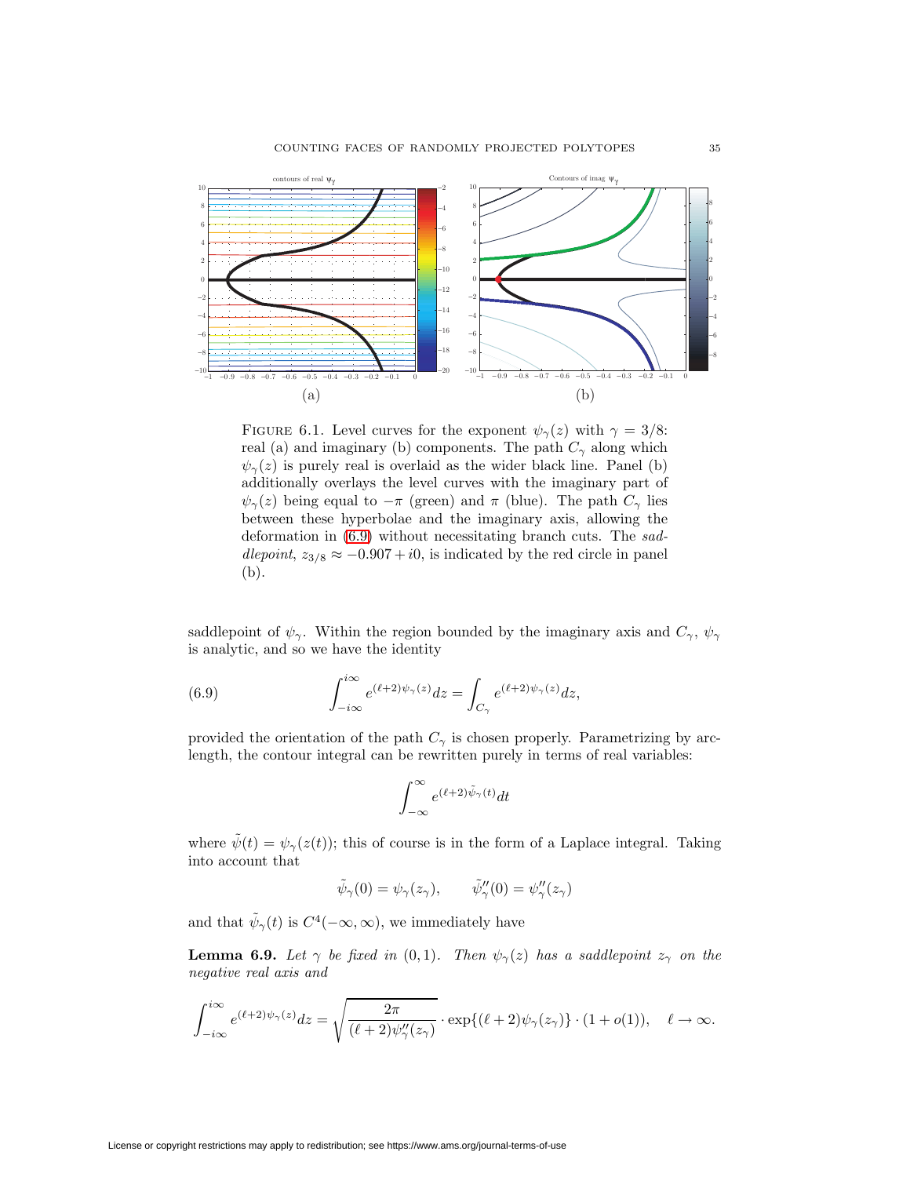

<span id="page-34-0"></span>FIGURE 6.1. Level curves for the exponent  $\psi_{\gamma}(z)$  with  $\gamma = 3/8$ : real (a) and imaginary (b) components. The path  $C_{\gamma}$  along which  $\psi_{\gamma}(z)$  is purely real is overlaid as the wider black line. Panel (b) additionally overlays the level curves with the imaginary part of  $\psi_{\gamma}(z)$  being equal to  $-\pi$  (green) and  $\pi$  (blue). The path  $C_{\gamma}$  lies between these hyperbolae and the imaginary axis, allowing the deformation in [\(6.9\)](#page-34-1) without necessitating branch cuts. The saddlepoint,  $z_{3/8} \approx -0.907 + i0$ , is indicated by the red circle in panel (b).

saddlepoint of  $\psi_{\gamma}$ . Within the region bounded by the imaginary axis and  $C_{\gamma}$ ,  $\psi_{\gamma}$ is analytic, and so we have the identity

(6.9) 
$$
\int_{-i\infty}^{i\infty} e^{(\ell+2)\psi_{\gamma}(z)} dz = \int_{C_{\gamma}} e^{(\ell+2)\psi_{\gamma}(z)} dz,
$$

provided the orientation of the path  $C_{\gamma}$  is chosen properly. Parametrizing by arclength, the contour integral can be rewritten purely in terms of real variables:

<span id="page-34-1"></span>
$$
\int_{-\infty}^{\infty} e^{(\ell+2)\tilde{\psi}_{\gamma}(t)} dt
$$

where  $\psi(t) = \psi_{\gamma}(z(t))$ ; this of course is in the form of a Laplace integral. Taking into account that

$$
\tilde{\psi}_{\gamma}(0) = \psi_{\gamma}(z_{\gamma}), \qquad \tilde{\psi}_{\gamma}''(0) = \psi_{\gamma}''(z_{\gamma})
$$

and that  $\tilde{\psi}_{\gamma}(t)$  is  $C^4(-\infty,\infty)$ , we immediately have

**Lemma 6.9.** Let  $\gamma$  be fixed in (0,1). Then  $\psi_{\gamma}(z)$  has a saddlepoint  $z_{\gamma}$  on the negative real axis and

$$
\int_{-i\infty}^{i\infty} e^{(\ell+2)\psi_{\gamma}(z)}dz = \sqrt{\frac{2\pi}{(\ell+2)\psi_{\gamma}''(z_{\gamma})}} \cdot \exp\{(\ell+2)\psi_{\gamma}(z_{\gamma})\} \cdot (1+o(1)), \quad \ell \to \infty.
$$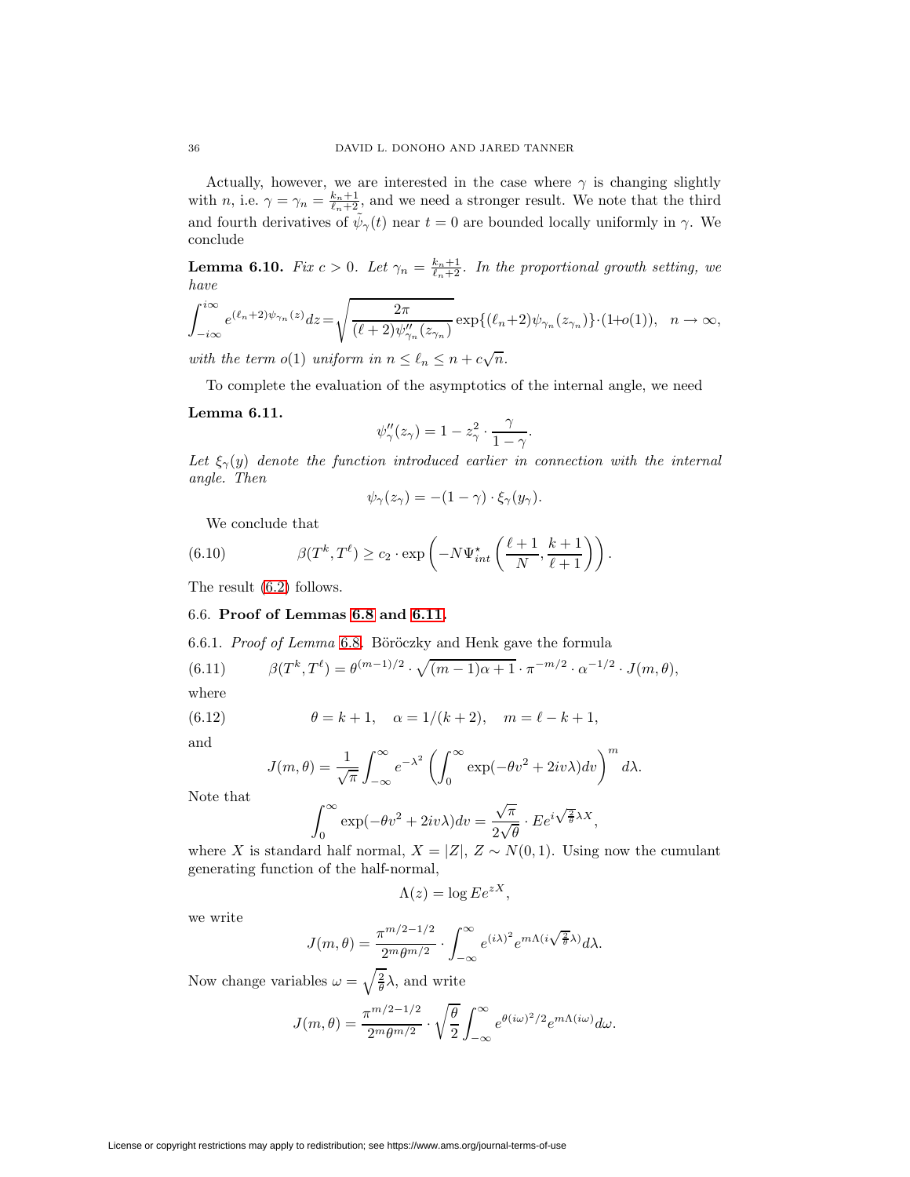Actually, however, we are interested in the case where  $\gamma$  is changing slightly with *n*, i.e.  $\gamma = \gamma_n = \frac{k_n+1}{\ell_n+2}$ , and we need a stronger result. We note that the third and fourth derivatives of  $\tilde{\psi}_{\gamma}(t)$  near  $t = 0$  are bounded locally uniformly in  $\gamma$ . We conclude

**Lemma 6.10.** Fix  $c > 0$ . Let  $\gamma_n = \frac{k_n+1}{\ell_n+2}$ . In the proportional growth setting, we have

$$
\int_{-i\infty}^{i\infty} e^{(\ell_n+2)\psi_{\gamma_n}(z)} dz = \sqrt{\frac{2\pi}{(\ell+2)\psi_{\gamma_n}''(z_{\gamma_n})}} \exp\{(\ell_n+2)\psi_{\gamma_n}(z_{\gamma_n})\} \cdot (1+o(1)), \quad n \to \infty,
$$

with the term  $o(1)$  uniform in  $n \leq \ell_n \leq n + c\sqrt{n}$ .

To complete the evaluation of the asymptotics of the internal angle, we need

## <span id="page-35-0"></span>**Lemma 6.11.**

$$
\psi''_{\gamma}(z_{\gamma}) = 1 - z_{\gamma}^{2} \cdot \frac{\gamma}{1 - \gamma}.
$$

Let  $\xi_{\gamma}(y)$  denote the function introduced earlier in connection with the internal angle. Then

<span id="page-35-1"></span>
$$
\psi_{\gamma}(z_{\gamma}) = -(1 - \gamma) \cdot \xi_{\gamma}(y_{\gamma}).
$$

We conclude that

(6.10) 
$$
\beta(T^k, T^{\ell}) \ge c_2 \cdot \exp\left(-N\Psi_{int}^{\star}\left(\frac{\ell+1}{N}, \frac{k+1}{\ell+1}\right)\right).
$$

The result [\(6.2\)](#page-30-4) follows.

## 6.6. **Proof of Lemmas [6.8](#page-33-0) and [6.11.](#page-35-0)**

6.6.1. Proof of Lemma [6.8](#page-33-0). B¨or¨oczky and Henk gave the formula

(6.11) 
$$
\beta(T^k, T^{\ell}) = \theta^{(m-1)/2} \cdot \sqrt{(m-1)\alpha + 1} \cdot \pi^{-m/2} \cdot \alpha^{-1/2} \cdot J(m, \theta),
$$

<span id="page-35-2"></span>where

(6.12) 
$$
\theta = k + 1, \quad \alpha = 1/(k+2), \quad m = \ell - k + 1,
$$

and

$$
J(m,\theta) = \frac{1}{\sqrt{\pi}} \int_{-\infty}^{\infty} e^{-\lambda^2} \left( \int_{0}^{\infty} \exp(-\theta v^2 + 2iv\lambda) dv \right)^m d\lambda.
$$

Note that

$$
\int_0^\infty \exp(-\theta v^2 + 2iv\lambda) dv = \frac{\sqrt{\pi}}{2\sqrt{\theta}} \cdot E e^{i\sqrt{\frac{2}{\theta}}\lambda X},
$$

where X is standard half normal,  $X = |Z|$ ,  $Z \sim N(0, 1)$ . Using now the cumulant generating function of the half-normal,

$$
\Lambda(z) = \log E e^{zX},
$$

we write

$$
J(m,\theta) = \frac{\pi^{m/2 - 1/2}}{2^m \theta^{m/2}} \cdot \int_{-\infty}^{\infty} e^{(i\lambda)^2} e^{m\Lambda(i\sqrt{\frac{2}{\theta}}\lambda)} d\lambda.
$$

Now change variables  $\omega = \sqrt{\frac{2}{\theta}}\lambda$ , and write

$$
J(m,\theta) = \frac{\pi^{m/2-1/2}}{2^m \theta^{m/2}} \cdot \sqrt{\frac{\theta}{2}} \int_{-\infty}^{\infty} e^{\theta(i\omega)^2/2} e^{m\Lambda(i\omega)} d\omega.
$$

License or copyright restrictions may apply to redistribution; see https://www.ams.org/journal-terms-of-use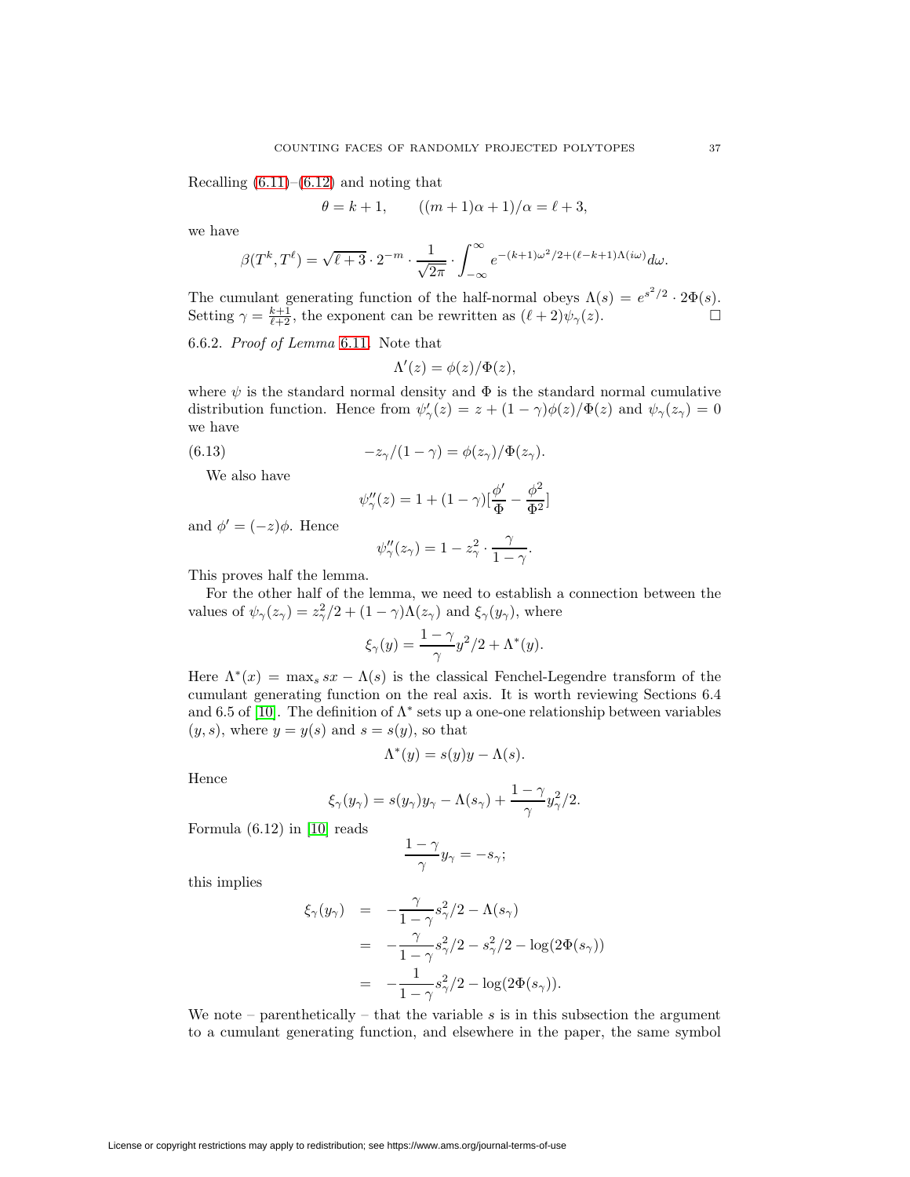Recalling  $(6.11)$ – $(6.12)$  and noting that

$$
\theta = k + 1,
$$
  $((m + 1)\alpha + 1)/\alpha = \ell + 3,$ 

we have

$$
\beta(T^k, T^{\ell}) = \sqrt{\ell+3} \cdot 2^{-m} \cdot \frac{1}{\sqrt{2\pi}} \cdot \int_{-\infty}^{\infty} e^{-(k+1)\omega^2/2 + (\ell-k+1)\Lambda(i\omega)} d\omega.
$$

The cumulant generating function of the half-normal obeys  $\Lambda(s) = e^{s^2/2} \cdot 2\Phi(s)$ . Setting  $\gamma = \frac{k+1}{\ell+2}$ , the exponent can be rewritten as  $(\ell+2)\psi_{\gamma}(z)$ .

6.6.2. Proof of Lemma [6.11](#page-35-0). Note that

$$
\Lambda'(z) = \phi(z)/\Phi(z),
$$

where  $\psi$  is the standard normal density and  $\Phi$  is the standard normal cumulative distribution function. Hence from  $\psi_{\gamma}'(z) = z + (1 - \gamma)\phi(z)/\Phi(z)$  and  $\psi_{\gamma}(z_{\gamma}) = 0$ we have

(6.13) 
$$
-z_{\gamma}/(1-\gamma) = \phi(z_{\gamma})/\Phi(z_{\gamma}).
$$

We also have

$$
\psi_{\gamma}''(z) = 1 + (1 - \gamma) \left[\frac{\phi'}{\Phi} - \frac{\phi^2}{\Phi^2}\right]
$$

and  $\phi' = (-z)\phi$ . Hence

$$
\psi''_{\gamma}(z_{\gamma}) = 1 - z_{\gamma}^{2} \cdot \frac{\gamma}{1 - \gamma}.
$$

This proves half the lemma.

For the other half of the lemma, we need to establish a connection between the values of  $\psi_{\gamma}(z_{\gamma}) = z_{\gamma}^{2}/2 + (1 - \gamma)\Lambda(z_{\gamma})$  and  $\xi_{\gamma}(y_{\gamma})$ , where

$$
\xi_{\gamma}(y) = \frac{1-\gamma}{\gamma}y^2/2 + \Lambda^*(y).
$$

Here  $\Lambda^*(x) = \max_s s x - \Lambda(s)$  is the classical Fenchel-Legendre transform of the cumulant generating function on the real axis. It is worth reviewing Sections 6.4 and 6.5 of [\[10\]](#page-51-5). The definition of  $\Lambda^*$  sets up a one-one relationship between variables  $(y, s)$ , where  $y = y(s)$  and  $s = s(y)$ , so that

$$
\Lambda^*(y) = s(y)y - \Lambda(s).
$$

Hence

$$
\xi_\gamma(y_\gamma)=s(y_\gamma)y_\gamma-\Lambda(s_\gamma)+\frac{1-\gamma}{\gamma}y_\gamma^2/2.
$$

Formula (6.12) in [\[10\]](#page-51-5) reads

$$
\frac{1-\gamma}{\gamma}y_{\gamma}=-s_{\gamma};
$$

this implies

$$
\xi_{\gamma}(y_{\gamma}) = -\frac{\gamma}{1-\gamma} s_{\gamma}^{2}/2 - \Lambda(s_{\gamma})
$$
  
=  $-\frac{\gamma}{1-\gamma} s_{\gamma}^{2}/2 - s_{\gamma}^{2}/2 - \log(2\Phi(s_{\gamma}))$   
=  $-\frac{1}{1-\gamma} s_{\gamma}^{2}/2 - \log(2\Phi(s_{\gamma})).$ 

We note – parenthetically – that the variable  $s$  is in this subsection the argument to a cumulant generating function, and elsewhere in the paper, the same symbol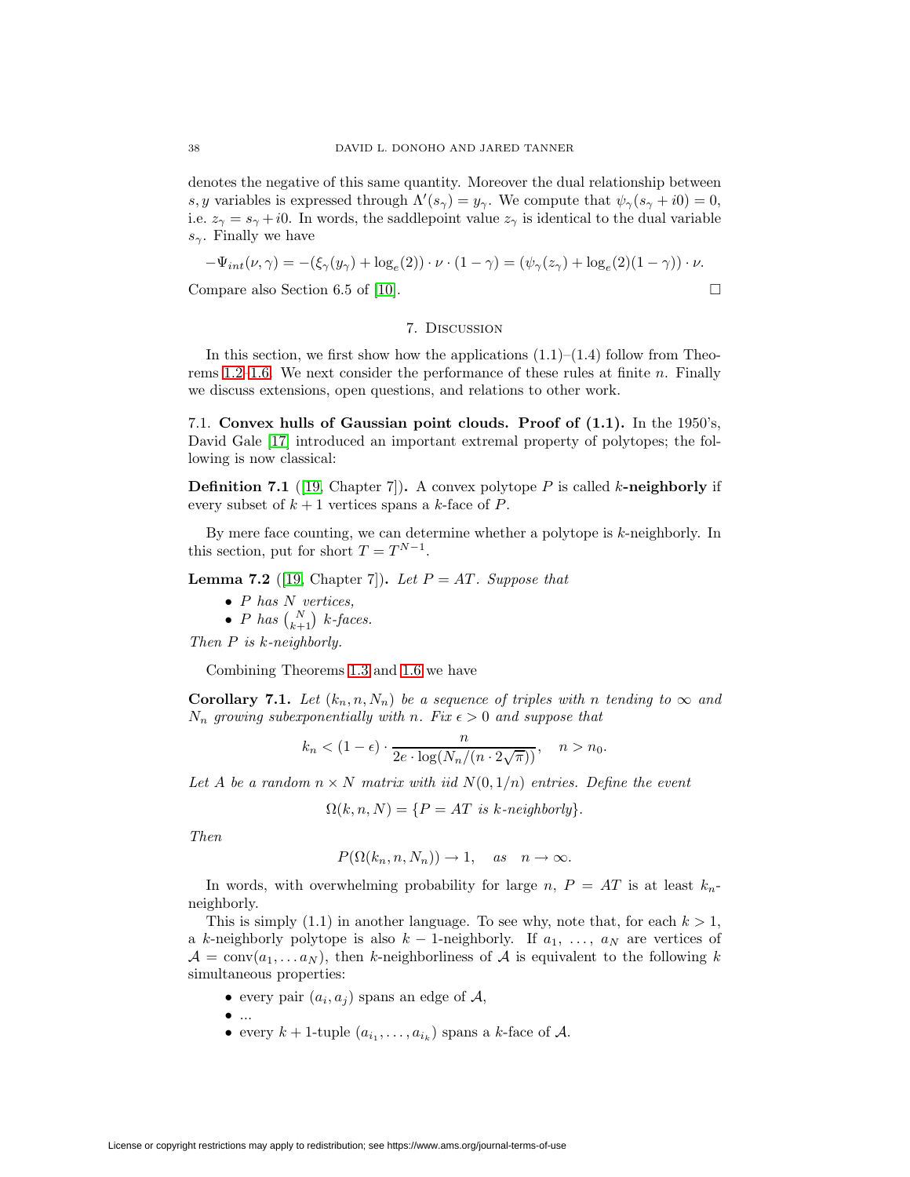denotes the negative of this same quantity. Moreover the dual relationship between s, y variables is expressed through  $\Lambda'(s_\gamma) = y_\gamma$ . We compute that  $\psi_\gamma(s_\gamma + i0) = 0$ , i.e.  $z_{\gamma} = s_{\gamma} + i0$ . In words, the saddlepoint value  $z_{\gamma}$  is identical to the dual variable  $s_{\gamma}$ . Finally we have

$$
-\Psi_{int}(\nu,\gamma) = -(\xi_{\gamma}(y_{\gamma}) + \log_e(2)) \cdot \nu \cdot (1-\gamma) = (\psi_{\gamma}(z_{\gamma}) + \log_e(2)(1-\gamma)) \cdot \nu.
$$

Compare also Section 6.5 of [\[10\]](#page-51-5).  $\Box$ 

## 7. Discussion

In this section, we first show how the applications  $(1.1)$ – $(1.4)$  follow from Theo-rems [1.2](#page-7-0)[–1.6.](#page-8-2) We next consider the performance of these rules at finite  $n$ . Finally we discuss extensions, open questions, and relations to other work.

<span id="page-37-0"></span>7.1. **Convex hulls of Gaussian point clouds. Proof of (1.1).** In the 1950's, David Gale [\[17\]](#page-51-14) introduced an important extremal property of polytopes; the following is now classical:

**Definition 7.1** ([\[19,](#page-51-10) Chapter 7]). A convex polytope  $P$  is called k-neighborly if every subset of  $k + 1$  vertices spans a k-face of P.

By mere face counting, we can determine whether a polytope is  $k$ -neighborly. In this section, put for short  $T = T^{N-1}$ .

**Lemma 7.2** ([\[19,](#page-51-10) Chapter 7]). Let  $P = AT$ . Suppose that

- $P$  has  $N$  vertices,
- P has  $\binom{N}{k+1}$  k-faces.

Then P is k-neighborly.

Combining Theorems [1.3](#page-7-4) and [1.6](#page-8-2) we have

**Corollary 7.1.** Let  $(k_n, n, N_n)$  be a sequence of triples with n tending to  $\infty$  and  $N_n$  growing subexponentially with n. Fix  $\epsilon > 0$  and suppose that

$$
k_n < (1 - \epsilon) \cdot \frac{n}{2e \cdot \log(N_n/(n \cdot 2\sqrt{\pi}))}, \quad n > n_0.
$$

Let A be a random  $n \times N$  matrix with iid  $N(0, 1/n)$  entries. Define the event

$$
\Omega(k, n, N) = \{ P = AT \text{ is } k\text{-neighborly} \}.
$$

Then

$$
P(\Omega(k_n, n, N_n)) \to 1, \text{ as } n \to \infty.
$$

In words, with overwhelming probability for large n,  $P = AT$  is at least  $k_n$ neighborly.

This is simply (1.1) in another language. To see why, note that, for each  $k > 1$ , a k-neighborly polytope is also  $k - 1$ -neighborly. If  $a_1, \ldots, a_N$  are vertices of  $\mathcal{A} = \text{conv}(a_1, \ldots a_N)$ , then k-neighborliness of  $\mathcal{A}$  is equivalent to the following k simultaneous properties:

- every pair  $(a_i, a_j)$  spans an edge of A,
- $\bullet$  ...
- every  $k + 1$ -tuple  $(a_{i_1}, \ldots, a_{i_k})$  spans a k-face of A.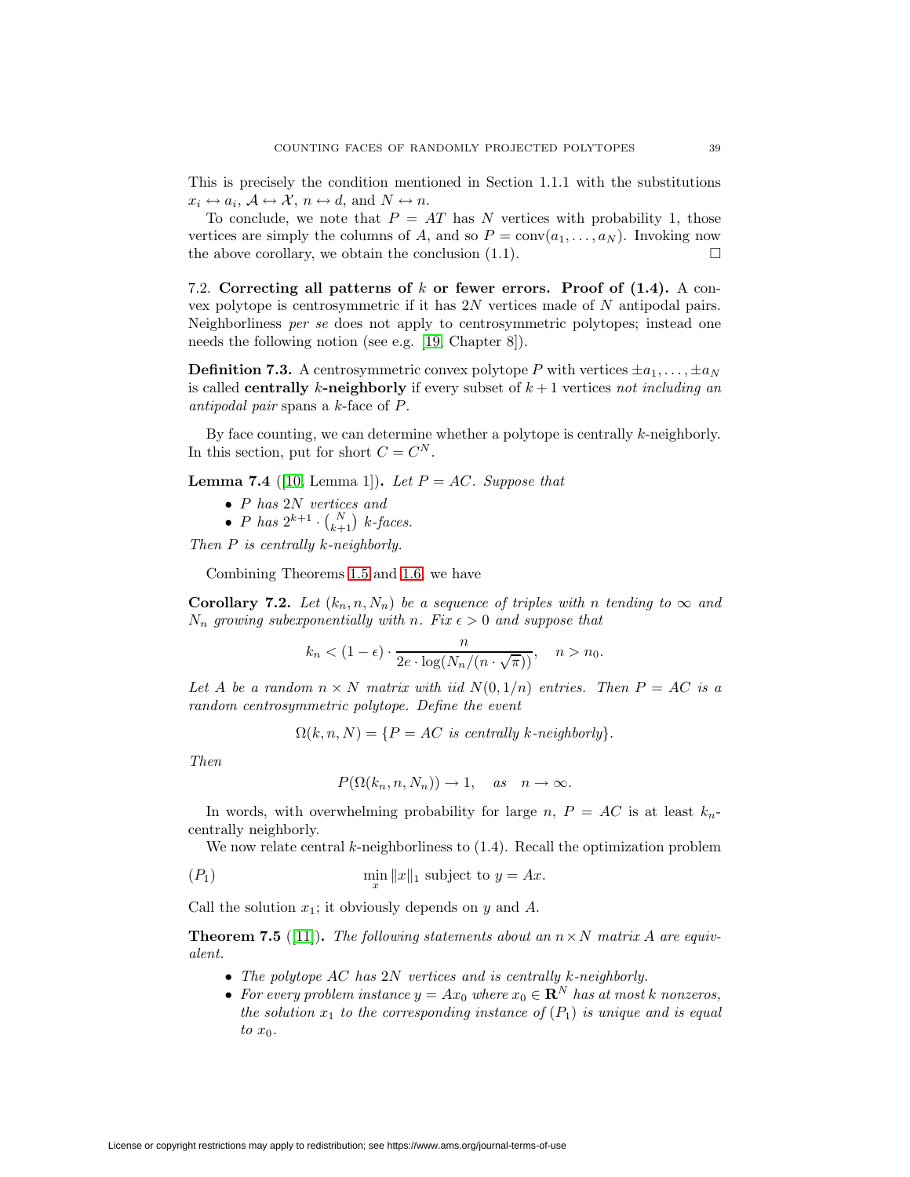This is precisely the condition mentioned in Section 1.1.1 with the substitutions  $x_i \leftrightarrow a_i$ ,  $\mathcal{A} \leftrightarrow \mathcal{X}$ ,  $n \leftrightarrow d$ , and  $N \leftrightarrow n$ .

To conclude, we note that  $P = AT$  has N vertices with probability 1, those vertices are simply the columns of A, and so  $P = \text{conv}(a_1, \ldots, a_N)$ . Invoking now the above corollary, we obtain the conclusion  $(1.1)$ .

<span id="page-38-0"></span>7.2. **Correcting all patterns of** k **or fewer errors. Proof of (1.4).** A convex polytope is centrosymmetric if it has 2N vertices made of N antipodal pairs. Neighborliness per se does not apply to centrosymmetric polytopes; instead one needs the following notion (see e.g. [\[19,](#page-51-10) Chapter 8]).

**Definition 7.3.** A centrosymmetric convex polytope P with vertices  $\pm a_1, \ldots, \pm a_N$ is called **centrally** k-neighborly if every subset of  $k + 1$  vertices not including an antipodal pair spans a k-face of P.

By face counting, we can determine whether a polytope is centrally  $k$ -neighborly. In this section, put for short  $C = C^N$ .

**Lemma 7.4** ([\[10,](#page-51-5) Lemma 1]). Let  $P = AC$ . Suppose that

- P has 2N vertices and
- *P* has  $2^{k+1} \cdot {N \choose k+1}$  k-faces.

Then P is centrally k-neighborly.

Combining Theorems [1.5](#page-7-3) and [1.6,](#page-8-2) we have

**Corollary 7.2.** Let  $(k_n, n, N_n)$  be a sequence of triples with n tending to  $\infty$  and  $N_n$  growing subexponentially with n. Fix  $\epsilon > 0$  and suppose that

$$
k_n < (1 - \epsilon) \cdot \frac{n}{2e \cdot \log(N_n/(n \cdot \sqrt{\pi}))}, \quad n > n_0.
$$

Let A be a random  $n \times N$  matrix with iid  $N(0, 1/n)$  entries. Then  $P = AC$  is a random centrosymmetric polytope. Define the event

 $\Omega(k,n,N) = \{P = AC \text{ is centrally } k\text{-neighborly}\}.$ 

Then

 $P(\Omega(k_n,n,N_n)) \to 1$ , as  $n \to \infty$ .

In words, with overwhelming probability for large n,  $P = AC$  is at least  $k_n$ centrally neighborly.

We now relate central  $k$ -neighborliness to  $(1.4)$ . Recall the optimization problem

$$
\lim_{x} \|x\|_1 \text{ subject to } y = Ax.
$$

<span id="page-38-1"></span>Call the solution  $x_1$ ; it obviously depends on y and A.

**Theorem 7.5** ([\[11\]](#page-51-15)). The following statements about an  $n \times N$  matrix A are equivalent.

- The polytope AC has 2N vertices and is centrally k-neighborly.
- For every problem instance  $y = Ax_0$  where  $x_0 \in \mathbb{R}^N$  has at most k nonzeros, the solution  $x_1$  to the corresponding instance of  $(P_1)$  is unique and is equal to  $x_0$ .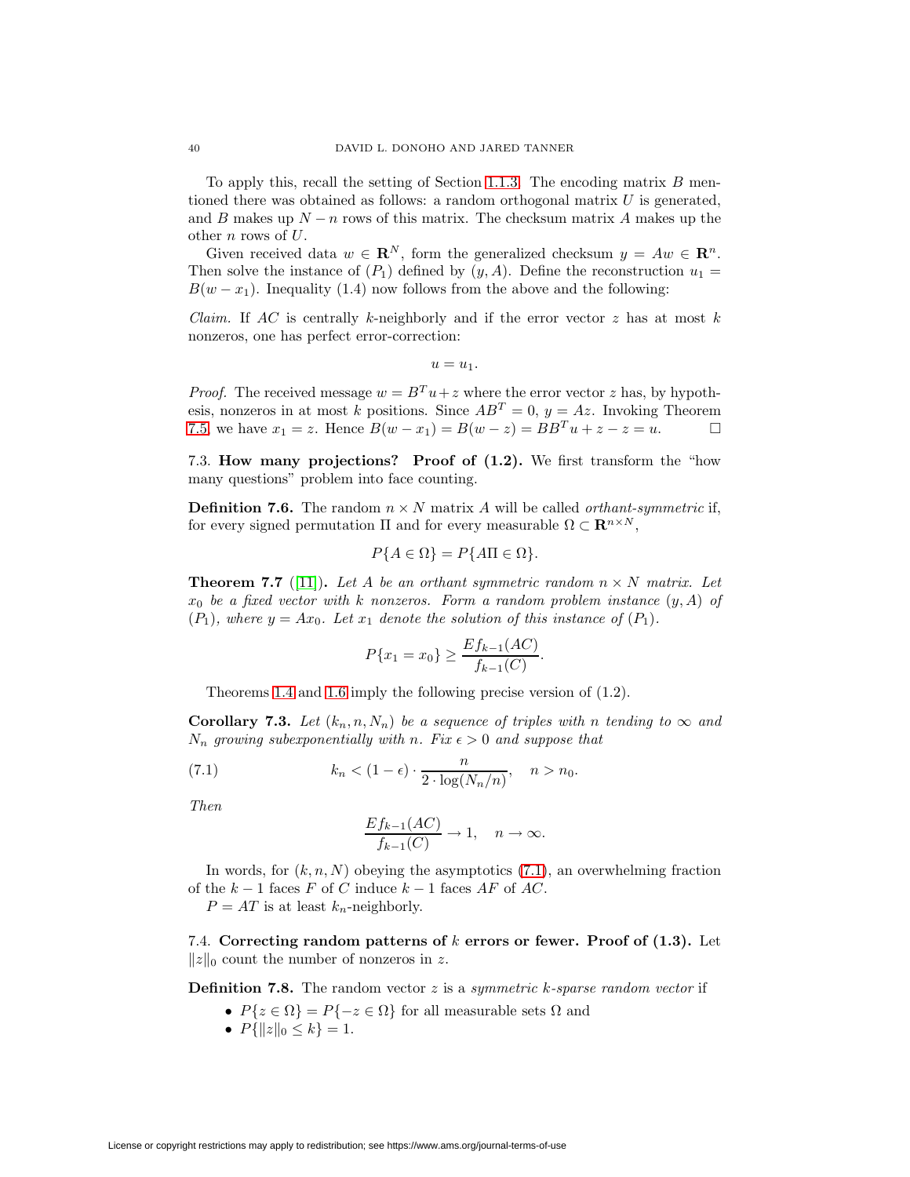To apply this, recall the setting of Section [1.1.3.](#page-2-1) The encoding matrix  $B$  mentioned there was obtained as follows: a random orthogonal matrix  $U$  is generated, and B makes up  $N - n$  rows of this matrix. The checksum matrix A makes up the other n rows of U.

Given received data  $w \in \mathbb{R}^N$ , form the generalized checksum  $y = Aw \in \mathbb{R}^n$ . Then solve the instance of  $(P_1)$  defined by  $(y, A)$ . Define the reconstruction  $u_1 =$  $B(w-x_1)$ . Inequality (1.4) now follows from the above and the following:

*Claim.* If AC is centrally k-neighborly and if the error vector  $z$  has at most  $k$ nonzeros, one has perfect error-correction:

 $u = u_1$ .

*Proof.* The received message  $w = B<sup>T</sup> u + z$  where the error vector z has, by hypothesis, nonzeros in at most  $\check{k}$  positions. Since  $AB^T = 0$ ,  $y = Az$ . Invoking Theorem [7.5,](#page-38-1) we have  $x_1 = z$ . Hence  $B(w - x_1) = B(w - z) = BB^T u + z - z = u$ .

<span id="page-39-0"></span>7.3. **How many projections? Proof of (1.2).** We first transform the "how many questions" problem into face counting.

**Definition 7.6.** The random  $n \times N$  matrix A will be called *orthant-symmetric* if, for every signed permutation  $\Pi$  and for every measurable  $\Omega \subset \mathbf{R}^{n \times N}$ ,

$$
P\{A \in \Omega\} = P\{A\Pi \in \Omega\}.
$$

<span id="page-39-2"></span>**Theorem 7.7** ([\[11\]](#page-51-15)). Let A be an orthant symmetric random  $n \times N$  matrix. Let  $x_0$  be a fixed vector with k nonzeros. Form a random problem instance  $(y, A)$  of  $(P_1)$ , where  $y = Ax_0$ . Let  $x_1$  denote the solution of this instance of  $(P_1)$ .

$$
P\{x_1 = x_0\} \ge \frac{Ef_{k-1}(AC)}{f_{k-1}(C)}.
$$

Theorems [1.4](#page-7-2) and [1.6](#page-8-2) imply the following precise version of (1.2).

<span id="page-39-3"></span>**Corollary 7.3.** Let  $(k_n, n, N_n)$  be a sequence of triples with n tending to  $\infty$  and  $N_n$  growing subexponentially with n. Fix  $\epsilon > 0$  and suppose that

(7.1) 
$$
k_n < (1 - \epsilon) \cdot \frac{n}{2 \cdot \log(N_n/n)}, \quad n > n_0.
$$

Then

<span id="page-39-1"></span>
$$
\frac{Ef_{k-1}(AC)}{f_{k-1}(C)} \to 1, \quad n \to \infty.
$$

In words, for  $(k, n, N)$  obeying the asymptotics  $(7.1)$ , an overwhelming fraction of the  $k-1$  faces F of C induce  $k-1$  faces AF of AC.

 $P = AT$  is at least  $k_n$ -neighborly.

7.4. **Correcting random patterns of** k **errors or fewer. Proof of (1.3).** Let  $||z||_0$  count the number of nonzeros in z.

**Definition 7.8.** The random vector z is a symmetric k-sparse random vector if

- $P\{z \in \Omega\} = P\{-z \in \Omega\}$  for all measurable sets  $\Omega$  and
- $P\{\|z\|_0 \leq k\} = 1.$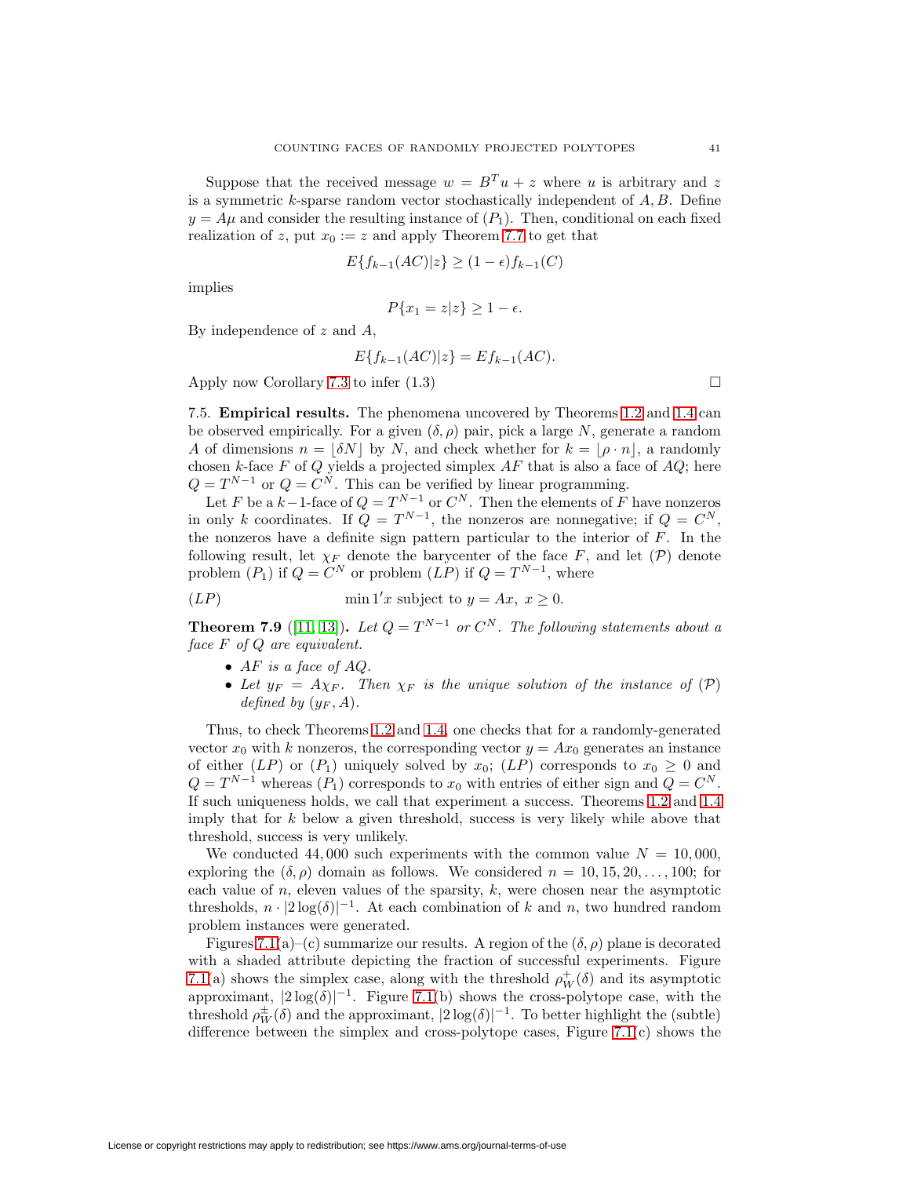Suppose that the received message  $w = B<sup>T</sup> u + z$  where u is arbitrary and z is a symmetric  $k$ -sparse random vector stochastically independent of  $A, B$ . Define  $y = A\mu$  and consider the resulting instance of  $(P_1)$ . Then, conditional on each fixed realization of z, put  $x_0 := z$  and apply Theorem [7.7](#page-39-2) to get that

$$
E\{f_{k-1}(AC)|z\} \ge (1-\epsilon)f_{k-1}(C)
$$

implies

$$
P\{x_1 = z|z\} \ge 1 - \epsilon.
$$

By independence of  $z$  and  $A$ ,

$$
E\{f_{k-1}(AC)|z\} = Ef_{k-1}(AC).
$$

<span id="page-40-0"></span>Apply now Corollary [7.3](#page-39-3) to infer  $(1.3)$ 

7.5. **Empirical results.** The phenomena uncovered by Theorems [1.2](#page-7-0) and [1.4](#page-7-2) can be observed empirically. For a given  $(\delta, \rho)$  pair, pick a large N, generate a random A of dimensions  $n = |\delta N|$  by N, and check whether for  $k = |\rho \cdot n|$ , a randomly chosen k-face F of Q yields a projected simplex  $AF$  that is also a face of  $AQ$ ; here  $Q = T^{N-1}$  or  $Q = C^N$ . This can be verified by linear programming.

Let F be a  $k-1$ -face of  $Q = T^{N-1}$  or  $C^N$ . Then the elements of F have nonzeros in only k coordinates. If  $Q = T^{N-1}$ , the nonzeros are nonnegative; if  $Q = C^N$ , the nonzeros have a definite sign pattern particular to the interior of  $F$ . In the following result, let  $\chi_F$  denote the barycenter of the face F, and let  $(\mathcal{P})$  denote problem  $(P_1)$  if  $Q = C^N$  or problem  $(LP)$  if  $Q = T^{N-1}$ , where

$$
(LP) \tmin 1'x \text{ subject to } y = Ax, \ x \ge 0.
$$

**Theorem 7.9** ([\[11,](#page-51-15) [13\]](#page-51-16))**.** Let  $Q = T^{N-1}$  or  $C^N$ . The following statements about a face F of Q are equivalent.

- $AF$  is a face of  $AO$ .
- Let  $y_F = A\chi_F$ . Then  $\chi_F$  is the unique solution of the instance of  $(\mathcal{P})$ defined by  $(y_F, A)$ .

Thus, to check Theorems [1.2](#page-7-0) and [1.4,](#page-7-2) one checks that for a randomly-generated vector  $x_0$  with k nonzeros, the corresponding vector  $y = Ax_0$  generates an instance of either (LP) or (P<sub>1</sub>) uniquely solved by  $x_0$ ; (LP) corresponds to  $x_0 \geq 0$  and  $Q = T^{N-1}$  whereas  $(P_1)$  corresponds to  $x_0$  with entries of either sign and  $Q = C^N$ . If such uniqueness holds, we call that experiment a success. Theorems [1.2](#page-7-0) and [1.4](#page-7-2) imply that for  $k$  below a given threshold, success is very likely while above that threshold, success is very unlikely.

We conducted 44,000 such experiments with the common value  $N = 10,000$ , exploring the  $(\delta, \rho)$  domain as follows. We considered  $n = 10, 15, 20, \ldots, 100$ ; for each value of  $n$ , eleven values of the sparsity,  $k$ , were chosen near the asymptotic thresholds,  $n \cdot |2 \log(\delta)|^{-1}$ . At each combination of k and n, two hundred random problem instances were generated.

Figures [7.1\(](#page-42-0)a)–(c) summarize our results. A region of the  $(\delta, \rho)$  plane is decorated with a shaded attribute depicting the fraction of successful experiments. Figure [7.1\(](#page-42-0)a) shows the simplex case, along with the threshold  $\rho_W^+(\delta)$  and its asymptotic approximant,  $|2 \log(\delta)|^{-1}$ . Figure [7.1\(](#page-42-0)b) shows the cross-polytope case, with the threshold  $\rho_W^{\pm}(\delta)$  and the approximant,  $|2 \log(\delta)|^{-1}$ . To better highlight the (subtle) difference between the simplex and cross-polytope cases, Figure [7.1\(](#page-42-0)c) shows the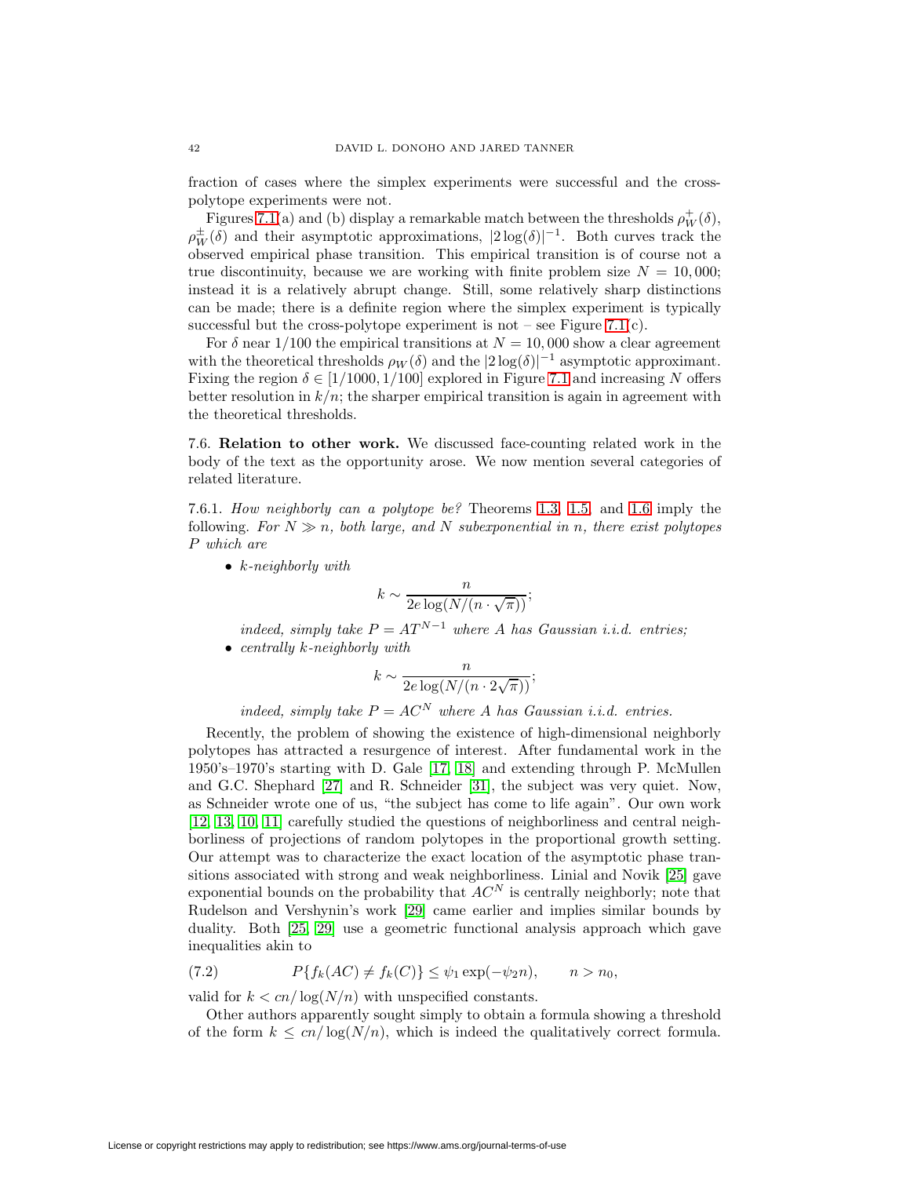fraction of cases where the simplex experiments were successful and the crosspolytope experiments were not.

Figures [7.1\(](#page-42-0)a) and (b) display a remarkable match between the thresholds  $\rho_W^+(\delta)$ ,  $\rho_W^{\pm}(\delta)$  and their asymptotic approximations,  $|2 \log(\delta)|^{-1}$ . Both curves track the observed empirical phase transition. This empirical transition is of course not a true discontinuity, because we are working with finite problem size  $N = 10,000$ ; instead it is a relatively abrupt change. Still, some relatively sharp distinctions can be made; there is a definite region where the simplex experiment is typically successful but the cross-polytope experiment is not – see Figure [7.1\(](#page-42-0)c).

For  $\delta$  near 1/100 the empirical transitions at  $N = 10,000$  show a clear agreement with the theoretical thresholds  $\rho_W(\delta)$  and the  $|2 \log(\delta)|^{-1}$  asymptotic approximant. Fixing the region  $\delta \in [1/1000, 1/100]$  explored in Figure [7.1](#page-42-0) and increasing N offers better resolution in  $k/n$ ; the sharper empirical transition is again in agreement with the theoretical thresholds.

7.6. **Relation to other work.** We discussed face-counting related work in the body of the text as the opportunity arose. We now mention several categories of related literature.

7.6.1. How neighborly can a polytope be? Theorems [1.3,](#page-7-4) [1.5,](#page-7-3) and [1.6](#page-8-2) imply the following. For  $N \gg n$ , both large, and N subexponential in n, there exist polytopes P which are

•  $k$ -neighborly with

$$
k \sim \frac{n}{2e\log(N/(n\cdot\sqrt{\pi}))};
$$

indeed, simply take  $P = AT^{N-1}$  where A has Gaussian i.i.d. entries; • centrally  $k$ -neighborly with

$$
k \sim \frac{n}{2e \log(N/(n \cdot 2\sqrt{\pi}))};
$$

indeed, simply take  $P = AC^N$  where A has Gaussian i.i.d. entries.

Recently, the problem of showing the existence of high-dimensional neighborly polytopes has attracted a resurgence of interest. After fundamental work in the 1950's–1970's starting with D. Gale [\[17,](#page-51-14) [18\]](#page-51-17) and extending through P. McMullen and G.C. Shephard [\[27\]](#page-51-18) and R. Schneider [\[31\]](#page-52-1), the subject was very quiet. Now, as Schneider wrote one of us, "the subject has come to life again". Our own work [\[12,](#page-51-4) [13,](#page-51-16) [10,](#page-51-5) [11\]](#page-51-15) carefully studied the questions of neighborliness and central neighborliness of projections of random polytopes in the proportional growth setting. Our attempt was to characterize the exact location of the asymptotic phase transitions associated with strong and weak neighborliness. Linial and Novik [\[25\]](#page-51-8) gave exponential bounds on the probability that  $AC^N$  is centrally neighborly; note that Rudelson and Vershynin's work [\[29\]](#page-51-7) came earlier and implies similar bounds by duality. Both [\[25,](#page-51-8) [29\]](#page-51-7) use a geometric functional analysis approach which gave inequalities akin to

(7.2) 
$$
P\{f_k(AC) \neq f_k(C)\} \leq \psi_1 \exp(-\psi_2 n), \qquad n > n_0,
$$

valid for  $k < cn/\log(N/n)$  with unspecified constants.

Other authors apparently sought simply to obtain a formula showing a threshold of the form  $k \leq cn/\log(N/n)$ , which is indeed the qualitatively correct formula.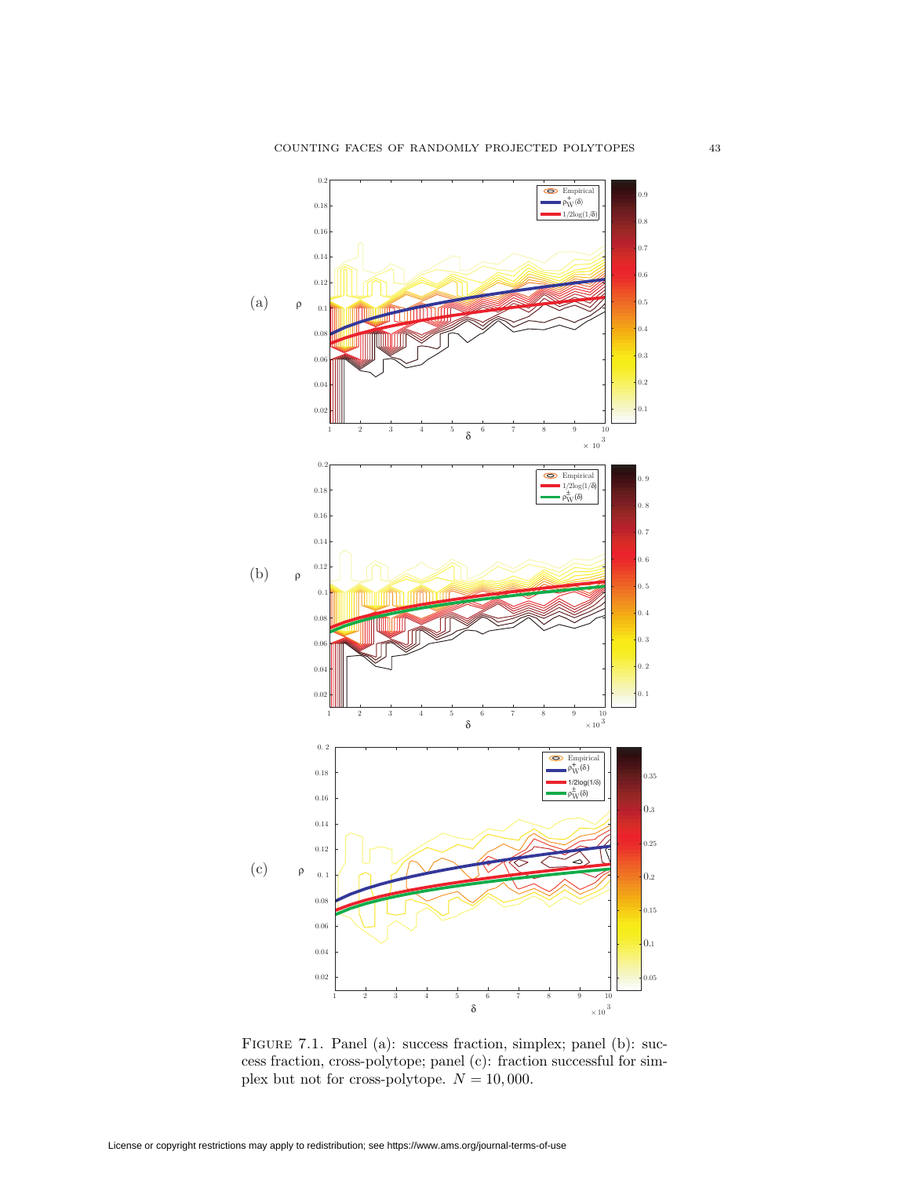

<span id="page-42-0"></span>Figure 7.1. Panel (a): success fraction, simplex; panel (b): success fraction, cross-polytope; panel (c): fraction successful for simplex but not for cross-polytope.  $N = 10,000$ .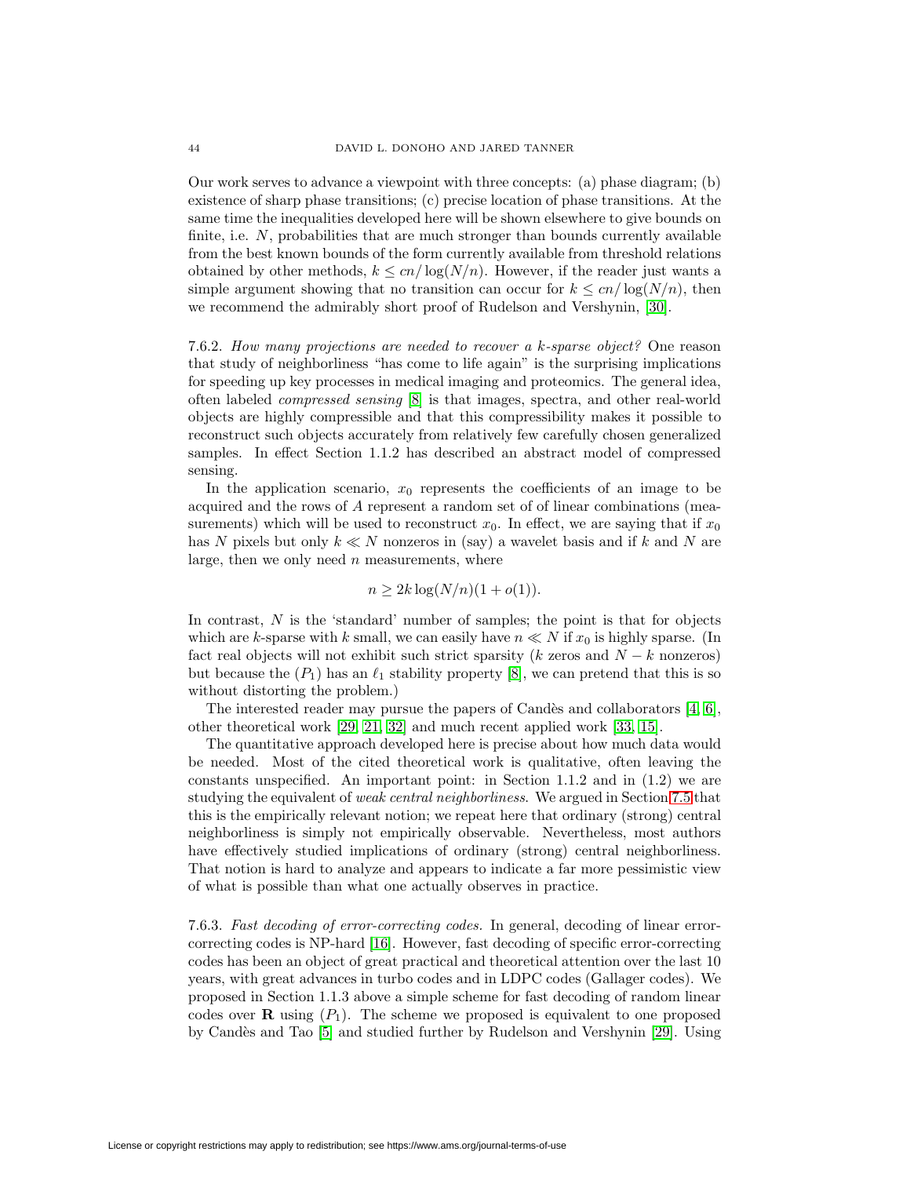Our work serves to advance a viewpoint with three concepts: (a) phase diagram; (b) existence of sharp phase transitions; (c) precise location of phase transitions. At the same time the inequalities developed here will be shown elsewhere to give bounds on finite, i.e.  $N$ , probabilities that are much stronger than bounds currently available from the best known bounds of the form currently available from threshold relations obtained by other methods,  $k \leq cn/\log(N/n)$ . However, if the reader just wants a simple argument showing that no transition can occur for  $k \leq cn/\log(N/n)$ , then we recommend the admirably short proof of Rudelson and Vershynin, [\[30\]](#page-52-2).

7.6.2. How many projections are needed to recover a k-sparse object? One reason that study of neighborliness "has come to life again" is the surprising implications for speeding up key processes in medical imaging and proteomics. The general idea, often labeled compressed sensing [\[8\]](#page-51-9) is that images, spectra, and other real-world objects are highly compressible and that this compressibility makes it possible to reconstruct such objects accurately from relatively few carefully chosen generalized samples. In effect Section 1.1.2 has described an abstract model of compressed sensing.

In the application scenario,  $x_0$  represents the coefficients of an image to be acquired and the rows of A represent a random set of of linear combinations (measurements) which will be used to reconstruct  $x_0$ . In effect, we are saying that if  $x_0$ has N pixels but only  $k \ll N$  nonzeros in (say) a wavelet basis and if k and N are large, then we only need  $n$  measurements, where

$$
n \ge 2k \log(N/n)(1 + o(1)).
$$

In contrast,  $N$  is the 'standard' number of samples; the point is that for objects which are k-sparse with k small, we can easily have  $n \ll N$  if  $x_0$  is highly sparse. (In fact real objects will not exhibit such strict sparsity (k zeros and  $N - k$  nonzeros) but because the  $(P_1)$  has an  $\ell_1$  stability property [\[8\]](#page-51-9), we can pretend that this is so without distorting the problem.)

The interested reader may pursue the papers of Candès and collaborators  $[4, 6]$  $[4, 6]$ , other theoretical work [\[29,](#page-51-7) [21,](#page-51-19) [32\]](#page-52-3) and much recent applied work [\[33,](#page-52-4) [15\]](#page-51-20).

The quantitative approach developed here is precise about how much data would be needed. Most of the cited theoretical work is qualitative, often leaving the constants unspecified. An important point: in Section 1.1.2 and in (1.2) we are studying the equivalent of weak central neighborliness. We argued in Section [7.5](#page-40-0) that this is the empirically relevant notion; we repeat here that ordinary (strong) central neighborliness is simply not empirically observable. Nevertheless, most authors have effectively studied implications of ordinary (strong) central neighborliness. That notion is hard to analyze and appears to indicate a far more pessimistic view of what is possible than what one actually observes in practice.

7.6.3. Fast decoding of error-correcting codes. In general, decoding of linear errorcorrecting codes is NP-hard [\[16\]](#page-51-21). However, fast decoding of specific error-correcting codes has been an object of great practical and theoretical attention over the last 10 years, with great advances in turbo codes and in LDPC codes (Gallager codes). We proposed in Section 1.1.3 above a simple scheme for fast decoding of random linear codes over **R** using  $(P_1)$ . The scheme we proposed is equivalent to one proposed by Candès and Tao [\[5\]](#page-51-22) and studied further by Rudelson and Vershynin [\[29\]](#page-51-7). Using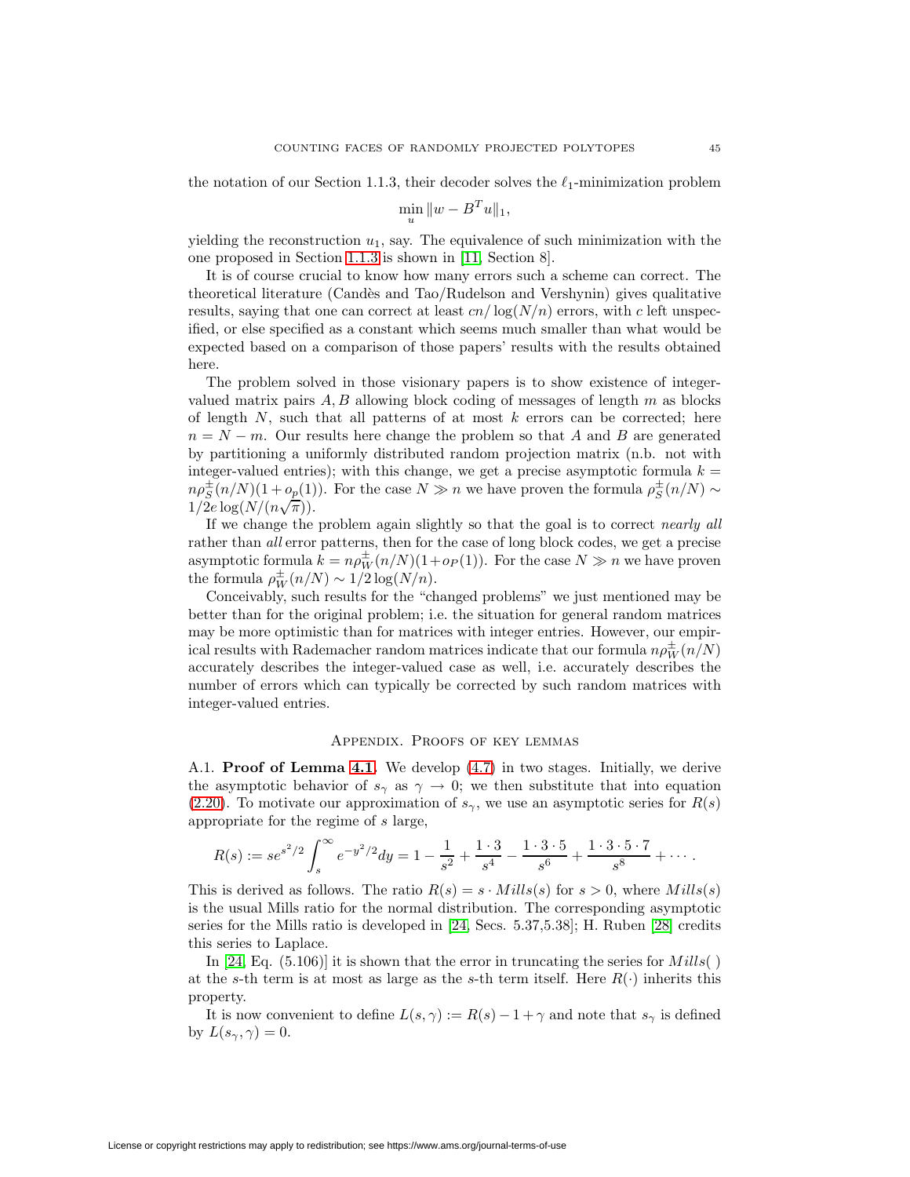the notation of our Section 1.1.3, their decoder solves the  $\ell_1$ -minimization problem

$$
\min_{u} \|w - B^{T}u\|_{1},
$$

yielding the reconstruction  $u_1$ , say. The equivalence of such minimization with the one proposed in Section [1.1.3](#page-2-1) is shown in [\[11,](#page-51-15) Section 8].

It is of course crucial to know how many errors such a scheme can correct. The theoretical literature (Cand`es and Tao/Rudelson and Vershynin) gives qualitative results, saying that one can correct at least  $cn/\log(N/n)$  errors, with c left unspecified, or else specified as a constant which seems much smaller than what would be expected based on a comparison of those papers' results with the results obtained here.

The problem solved in those visionary papers is to show existence of integervalued matrix pairs  $A, B$  allowing block coding of messages of length  $m$  as blocks of length  $N$ , such that all patterns of at most  $k$  errors can be corrected; here  $n = N - m$ . Our results here change the problem so that A and B are generated by partitioning a uniformly distributed random projection matrix (n.b. not with integer-valued entries); with this change, we get a precise asymptotic formula  $k =$  $n\rho_S^{\pm}(n/N)(1+o_{\underline{p}}(1))$ . For the case  $N \gg n$  we have proven the formula  $\rho_S^{\pm}(n/N) \sim$  $n \rho_S(n/m)(1+\nu_p(1))$ <br>1/2e log( $N/(n\sqrt{\pi})$ ).

If we change the problem again slightly so that the goal is to correct nearly all rather than all error patterns, then for the case of long block codes, we get a precise asymptotic formula  $k = n \rho_W^{\pm}(n/N)(1 + o_P(1))$ . For the case  $N \gg n$  we have proven the formula  $\rho_W^{\pm}(n/N) \sim 1/2 \log(N/n)$ .

Conceivably, such results for the "changed problems" we just mentioned may be better than for the original problem; i.e. the situation for general random matrices may be more optimistic than for matrices with integer entries. However, our empirical results with Rademacher random matrices indicate that our formula  $n\rho_W^{\pm}(n/N)$ accurately describes the integer-valued case as well, i.e. accurately describes the number of errors which can typically be corrected by such random matrices with integer-valued entries.

#### Appendix. Proofs of key lemmas

A.1. **Proof of Lemma [4.1.](#page-19-5)** We develop [\(4.7\)](#page-19-6) in two stages. Initially, we derive the asymptotic behavior of  $s_\gamma$  as  $\gamma \to 0$ ; we then substitute that into equation [\(2.20\)](#page-14-4). To motivate our approximation of  $s_{\gamma}$ , we use an asymptotic series for  $R(s)$ appropriate for the regime of s large,

$$
R(s) := se^{s^2/2} \int_s^{\infty} e^{-y^2/2} dy = 1 - \frac{1}{s^2} + \frac{1 \cdot 3}{s^4} - \frac{1 \cdot 3 \cdot 5}{s^6} + \frac{1 \cdot 3 \cdot 5 \cdot 7}{s^8} + \cdots
$$

This is derived as follows. The ratio  $R(s) = s \cdot Mills(s)$  for  $s > 0$ , where  $Mills(s)$ is the usual Mills ratio for the normal distribution. The corresponding asymptotic series for the Mills ratio is developed in [\[24,](#page-51-12) Secs. 5.37,5.38]; H. Ruben [\[28\]](#page-51-23) credits this series to Laplace.

In [\[24,](#page-51-12) Eq.  $(5.106)$ ] it is shown that the error in truncating the series for  $Mills( )$ at the s-th term is at most as large as the s-th term itself. Here  $R(\cdot)$  inherits this property.

It is now convenient to define  $L(s, \gamma) := R(s) - 1 + \gamma$  and note that  $s_{\gamma}$  is defined by  $L(s_\gamma, \gamma) = 0$ .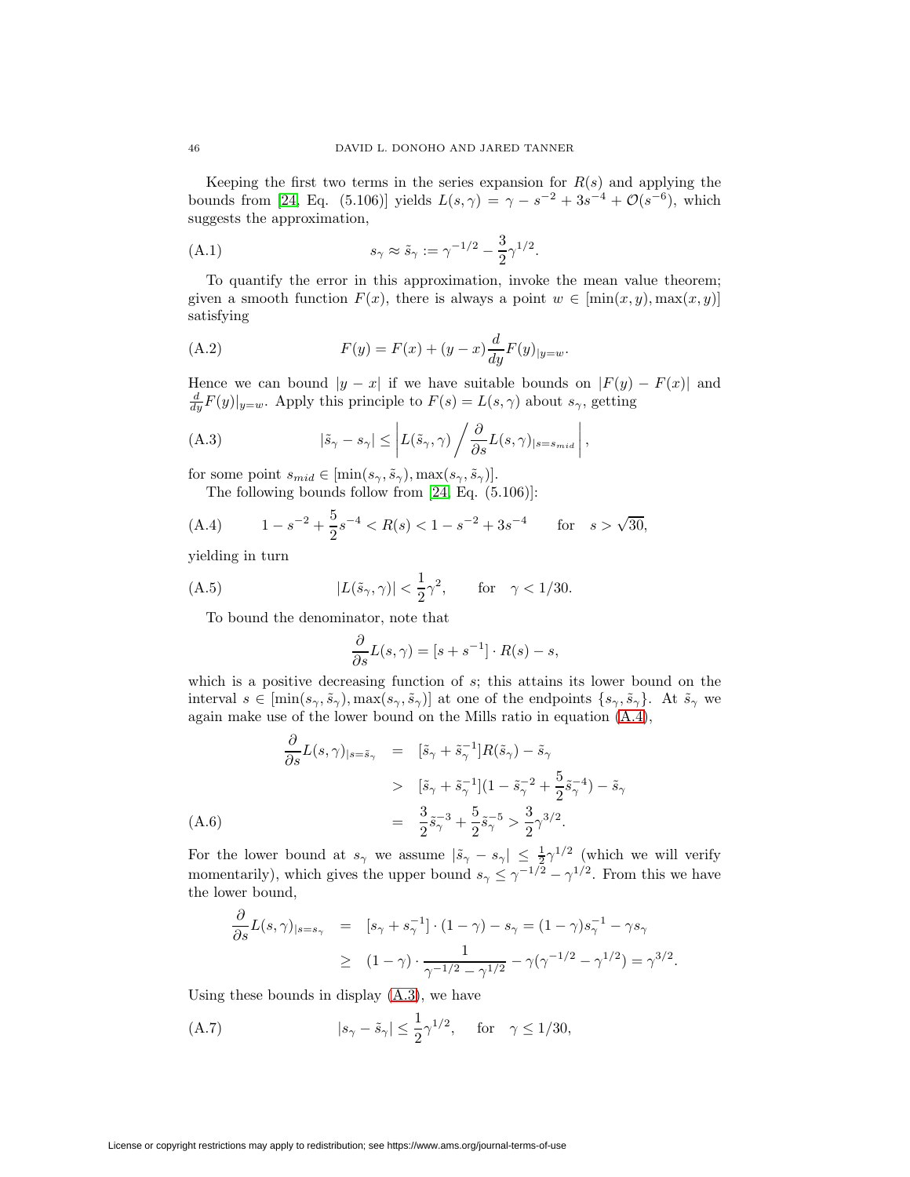Keeping the first two terms in the series expansion for  $R(s)$  and applying the bounds from [\[24,](#page-51-12) Eq. (5.106)] yields  $L(s, \gamma) = \gamma - s^{-2} + 3s^{-4} + \mathcal{O}(s^{-6})$ , which suggests the approximation,

(A.1) 
$$
s_{\gamma} \approx \tilde{s}_{\gamma} := \gamma^{-1/2} - \frac{3}{2} \gamma^{1/2}.
$$

To quantify the error in this approximation, invoke the mean value theorem; given a smooth function  $F(x)$ , there is always a point  $w \in [\min(x, y), \max(x, y)]$ satisfying

<span id="page-45-2"></span>(A.2) 
$$
F(y) = F(x) + (y - x) \frac{d}{dy} F(y)_{|y=w}.
$$

Hence we can bound  $|y - x|$  if we have suitable bounds on  $|F(y) - F(x)|$  and  $\frac{d}{dy}F(y)|_{y=w}$ . Apply this principle to  $F(s) = L(s, \gamma)$  about  $s_{\gamma}$ , getting

(A.3) 
$$
|\tilde{s}_{\gamma} - s_{\gamma}| \leq \left| L(\tilde{s}_{\gamma}, \gamma) \left/ \frac{\partial}{\partial s} L(s, \gamma) \right|_{s=s_{mid}} \right|,
$$

for some point  $s_{mid} \in [\min(s_{\gamma}, \tilde{s}_{\gamma}), \max(s_{\gamma}, \tilde{s}_{\gamma})].$ 

The following bounds follow from [\[24,](#page-51-12) Eq. (5.106)]:

(A.4) 
$$
1 - s^{-2} + \frac{5}{2}s^{-4} < R(s) < 1 - s^{-2} + 3s^{-4} \quad \text{for} \quad s > \sqrt{30},
$$

yielding in turn

(A.5) 
$$
|L(\tilde{s}_{\gamma}, \gamma)| < \frac{1}{2}\gamma^2, \quad \text{for} \quad \gamma < 1/30.
$$

To bound the denominator, note that

∂

<span id="page-45-1"></span><span id="page-45-0"></span>
$$
\frac{\partial}{\partial s}L(s,\gamma) = [s + s^{-1}] \cdot R(s) - s,
$$

which is a positive decreasing function of  $s$ ; this attains its lower bound on the interval  $s \in [\min(s_\gamma, \tilde{s}_\gamma), \max(s_\gamma, \tilde{s}_\gamma)]$  at one of the endpoints  $\{s_\gamma, \tilde{s}_\gamma\}$ . At  $\tilde{s}_\gamma$  we again make use of the lower bound on the Mills ratio in equation [\(A.4\)](#page-45-0),

$$
\frac{\partial}{\partial s} L(s,\gamma)_{|s=\tilde{s}_{\gamma}} = [\tilde{s}_{\gamma} + \tilde{s}_{\gamma}^{-1}]R(\tilde{s}_{\gamma}) - \tilde{s}_{\gamma}
$$
\n
$$
> [\tilde{s}_{\gamma} + \tilde{s}_{\gamma}^{-1}](1 - \tilde{s}_{\gamma}^{-2} + \frac{5}{2}\tilde{s}_{\gamma}^{-4}) - \tilde{s}_{\gamma}
$$
\n
$$
= \frac{3}{2}\tilde{s}_{\gamma}^{-3} + \frac{5}{2}\tilde{s}_{\gamma}^{-5} > \frac{3}{2}\gamma^{3/2}.
$$
\n(A.6)

For the lower bound at  $s_\gamma$  we assume  $|\tilde{s}_\gamma - s_\gamma| \leq \frac{1}{2}\gamma^{1/2}$  (which we will verify momentarily), which gives the upper bound  $s_{\gamma} \leq \gamma^{-1/2} - \gamma^{1/2}$ . From this we have the lower bound,

$$
\frac{\partial}{\partial s} L(s,\gamma)_{|s=s_{\gamma}} = [s_{\gamma} + s_{\gamma}^{-1}] \cdot (1-\gamma) - s_{\gamma} = (1-\gamma)s_{\gamma}^{-1} - \gamma s_{\gamma} \geq (1-\gamma) \cdot \frac{1}{\gamma^{-1/2} - \gamma^{1/2}} - \gamma(\gamma^{-1/2} - \gamma^{1/2}) = \gamma^{3/2}.
$$

Using these bounds in display [\(A.3\)](#page-45-1), we have

(A.7) 
$$
|s_{\gamma} - \tilde{s}_{\gamma}| \le \frac{1}{2} \gamma^{1/2}
$$
, for  $\gamma \le 1/30$ ,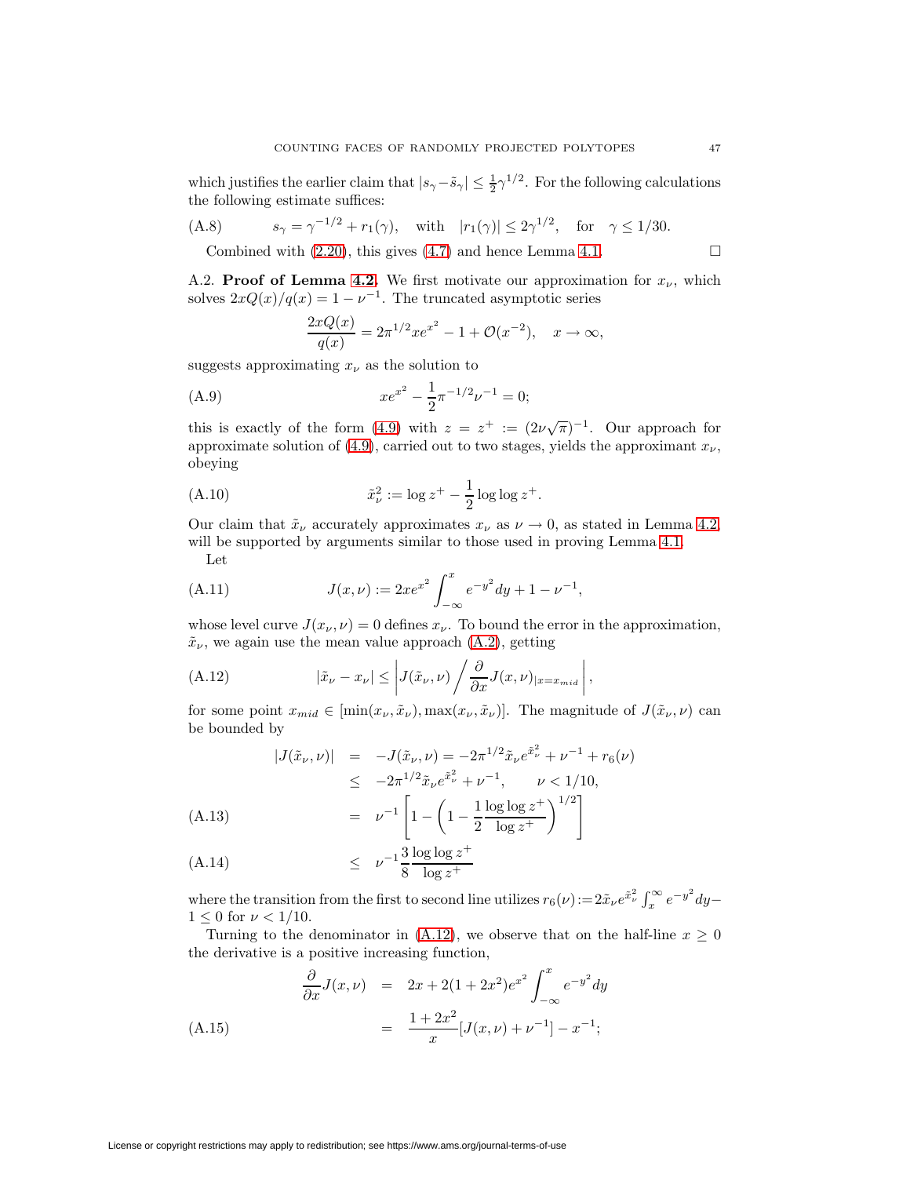which justifies the earlier claim that  $|s_{\gamma}-\tilde{s}_{\gamma}| \leq \frac{1}{2}\gamma^{1/2}$ . For the following calculations the following estimate suffices:

(A.8) 
$$
s_{\gamma} = \gamma^{-1/2} + r_1(\gamma)
$$
, with  $|r_1(\gamma)| \le 2\gamma^{1/2}$ , for  $\gamma \le 1/30$ .  
Conplied with (2.30), this gives (4.7) and hence Lemma 4.1.

Combined with  $(2.20)$ , this gives  $(4.7)$  and hence Lemma [4.1.](#page-19-5)

A.2. **Proof of Lemma [4.2.](#page-21-3)** We first motivate our approximation for  $x_{\nu}$ , which solves  $2xQ(x)/q(x)=1-\nu^{-1}$ . The truncated asymptotic series

$$
\frac{2xQ(x)}{q(x)} = 2\pi^{1/2}xe^{x^2} - 1 + \mathcal{O}(x^{-2}), \quad x \to \infty,
$$

suggests approximating  $x_{\nu}$  as the solution to

(A.9) 
$$
xe^{x^2} - \frac{1}{2}\pi^{-1/2}\nu^{-1} = 0;
$$

this is exactly of the form [\(4.9\)](#page-20-1) with  $z = z^+ := (2\nu\sqrt{\pi})^{-1}$ . Our approach for approximate solution of [\(4.9\)](#page-20-1), carried out to two stages, yields the approximant  $x_{\nu}$ , obeying

(A.10) 
$$
\tilde{x}_{\nu}^{2} := \log z^{+} - \frac{1}{2} \log \log z^{+}.
$$

Our claim that  $\tilde{x}_\nu$  accurately approximates  $x_\nu$  as  $\nu \to 0$ , as stated in Lemma [4.2,](#page-21-3) will be supported by arguments similar to those used in proving Lemma [4.1.](#page-19-5)

<span id="page-46-0"></span>Let

(A.11) 
$$
J(x,\nu) := 2xe^{x^2} \int_{-\infty}^x e^{-y^2} dy + 1 - \nu^{-1},
$$

whose level curve  $J(x_\nu, \nu) = 0$  defines  $x_\nu$ . To bound the error in the approximation,  $\tilde{x}_{\nu}$ , we again use the mean value approach [\(A.2\)](#page-45-2), getting

(A.12) 
$$
|\tilde{x}_{\nu} - x_{\nu}| \leq \left| J(\tilde{x}_{\nu}, \nu) \middle/ \frac{\partial}{\partial x} J(x, \nu) \right|_{x = x_{mid}} \right|,
$$

for some point  $x_{mid} \in [\min(x_{\nu}, \tilde{x}_{\nu}), \max(x_{\nu}, \tilde{x}_{\nu})]$ . The magnitude of  $J(\tilde{x}_{\nu}, \nu)$  can be bounded by

<span id="page-46-1"></span>
$$
|J(\tilde{x}_{\nu}, \nu)| = -J(\tilde{x}_{\nu}, \nu) = -2\pi^{1/2}\tilde{x}_{\nu}e^{\tilde{x}_{\nu}^{2}} + \nu^{-1} + r_{6}(\nu)
$$
  
\n
$$
\leq -2\pi^{1/2}\tilde{x}_{\nu}e^{\tilde{x}_{\nu}^{2}} + \nu^{-1}, \qquad \nu < 1/10,
$$
  
\n(A.13)  
\n
$$
= \nu^{-1}\left[1 - \left(1 - \frac{1}{2}\frac{\log\log z^{+}}{\log z^{+}}\right)^{1/2}\right]
$$

$$
\text{(A.14)} \quad \leq \quad \nu^{-1} \frac{3}{8} \frac{\log \log z^+}{\log z^+}
$$

where the transition from the first to second line utilizes  $r_6(\nu) := 2\tilde{x}_{\nu}e^{\tilde{x}_{\nu}^2}\int_x^{\infty}e^{-y^2}dy$  $1 \leq 0$  for  $\nu < 1/10$ .

Turning to the denominator in [\(A.12\)](#page-46-0), we observe that on the half-line  $x \geq 0$ the derivative is a positive increasing function,

$$
\frac{\partial}{\partial x}J(x,\nu) = 2x + 2(1 + 2x^2)e^{x^2} \int_{-\infty}^x e^{-y^2} dy
$$
\n
$$
(A.15) = \frac{1 + 2x^2}{x} [J(x,\nu) + \nu^{-1}] - x^{-1};
$$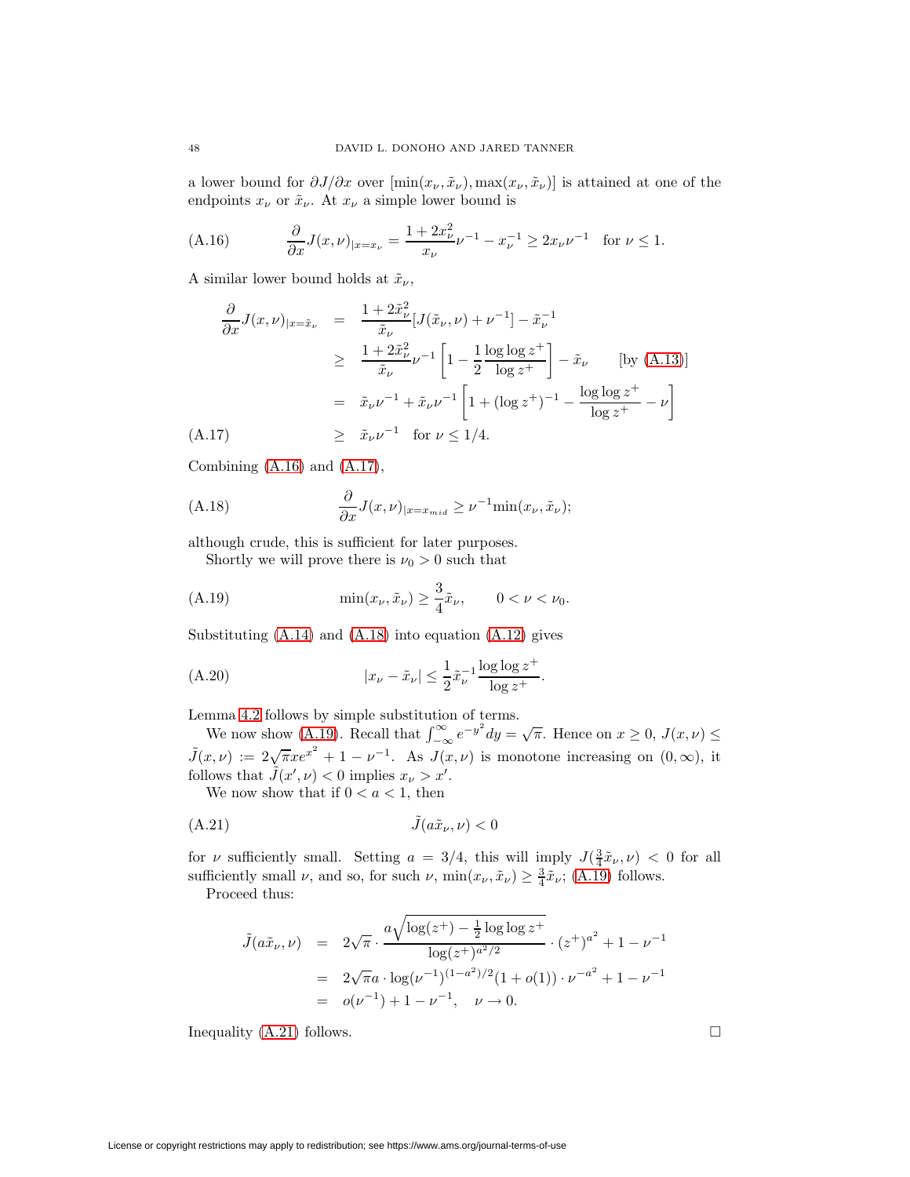<span id="page-47-0"></span>a lower bound for  $\partial J/\partial x$  over  $[\min(x_\nu, \tilde{x}_\nu), \max(x_\nu, \tilde{x}_\nu)]$  is attained at one of the endpoints  $x_{\nu}$  or  $\tilde{x}_{\nu}$ . At  $x_{\nu}$  a simple lower bound is

(A.16) 
$$
\frac{\partial}{\partial x} J(x,\nu)_{|x=x_{\nu}} = \frac{1+2x_{\nu}^2}{x_{\nu}} \nu^{-1} - x_{\nu}^{-1} \ge 2x_{\nu} \nu^{-1} \text{ for } \nu \le 1.
$$

A similar lower bound holds at  $\tilde{x}_{\nu}$ ,

<span id="page-47-1"></span>
$$
\frac{\partial}{\partial x} J(x, \nu)_{|x = \tilde{x}_{\nu}} = \frac{1 + 2\tilde{x}_{\nu}^2}{\tilde{x}_{\nu}} [J(\tilde{x}_{\nu}, \nu) + \nu^{-1}] - \tilde{x}_{\nu}^{-1}
$$
\n
$$
\geq \frac{1 + 2\tilde{x}_{\nu}^2}{\tilde{x}_{\nu}} \nu^{-1} \left[ 1 - \frac{1}{2} \frac{\log \log z^{+}}{\log z^{+}} \right] - \tilde{x}_{\nu} \qquad \text{[by (A.13)]}
$$
\n
$$
= \tilde{x}_{\nu} \nu^{-1} + \tilde{x}_{\nu} \nu^{-1} \left[ 1 + (\log z^{+})^{-1} - \frac{\log \log z^{+}}{\log z^{+}} - \nu \right]
$$
\n(A.17)\n
$$
\geq \tilde{x}_{\nu} \nu^{-1} \quad \text{for } \nu \leq 1/4.
$$

<span id="page-47-2"></span>Combining [\(A.16\)](#page-47-0) and [\(A.17\)](#page-47-1),

(A.18) 
$$
\frac{\partial}{\partial x} J(x,\nu)_{|x=x_{mid}} \geq \nu^{-1} \min(x_{\nu},\tilde{x}_{\nu});
$$

although crude, this is sufficient for later purposes.

<span id="page-47-3"></span>Shortly we will prove there is  $\nu_0 > 0$  such that

(A.19) 
$$
\min(x_{\nu}, \tilde{x}_{\nu}) \ge \frac{3}{4}\tilde{x}_{\nu}, \qquad 0 < \nu < \nu_0.
$$

Substituting [\(A.14\)](#page-46-1) and [\(A.18\)](#page-47-2) into equation [\(A.12\)](#page-46-0) gives

(A.20) 
$$
|x_{\nu} - \tilde{x}_{\nu}| \leq \frac{1}{2} \tilde{x}_{\nu}^{-1} \frac{\log \log z^{+}}{\log z^{+}}.
$$

Lemma [4.2](#page-21-3) follows by simple substitution of terms.

We now show [\(A.19\)](#page-47-3). Recall that  $\int_{-\infty}^{\infty} e^{-y^2} dy = \sqrt{\pi}$ . Hence on  $x \ge 0$ ,  $J(x,\nu) \le$  $\tilde{J}(x,\nu) := 2\sqrt{\pi}xe^{x^2} + 1 - \nu^{-1}$ . As  $J(x,\nu)$  is monotone increasing on  $(0,\infty)$ , it follows that  $\tilde{J}(x', \nu) < 0$  implies  $x_{\nu} > x'$ .

<span id="page-47-4"></span>We now show that if  $0 < a < 1$ , then

$$
(A.21)\qquad \qquad \tilde{J}(a\tilde{x}_{\nu},\nu) < 0
$$

for v sufficiently small. Setting  $a = 3/4$ , this will imply  $J(\frac{3}{4}\tilde{x}_{\nu}, \nu) < 0$  for all sufficiently small  $\nu$ , and so, for such  $\nu$ ,  $\min(x_{\nu}, \tilde{x}_{\nu}) \geq \frac{3}{4} \tilde{x}_{\nu}$ ; [\(A.19\)](#page-47-3) follows.

Proceed thus:

$$
\tilde{J}(a\tilde{x}_{\nu}, \nu) = 2\sqrt{\pi} \cdot \frac{a\sqrt{\log(z^{+}) - \frac{1}{2}\log\log z^{+}}}{\log(z^{+})^{a^{2}/2}} \cdot (z^{+})^{a^{2}} + 1 - \nu^{-1}
$$
\n
$$
= 2\sqrt{\pi}a \cdot \log(\nu^{-1})^{(1-a^{2})/2}(1+o(1)) \cdot \nu^{-a^{2}} + 1 - \nu^{-1}
$$
\n
$$
= o(\nu^{-1}) + 1 - \nu^{-1}, \quad \nu \to 0.
$$

Inequality  $(A.21)$  follows.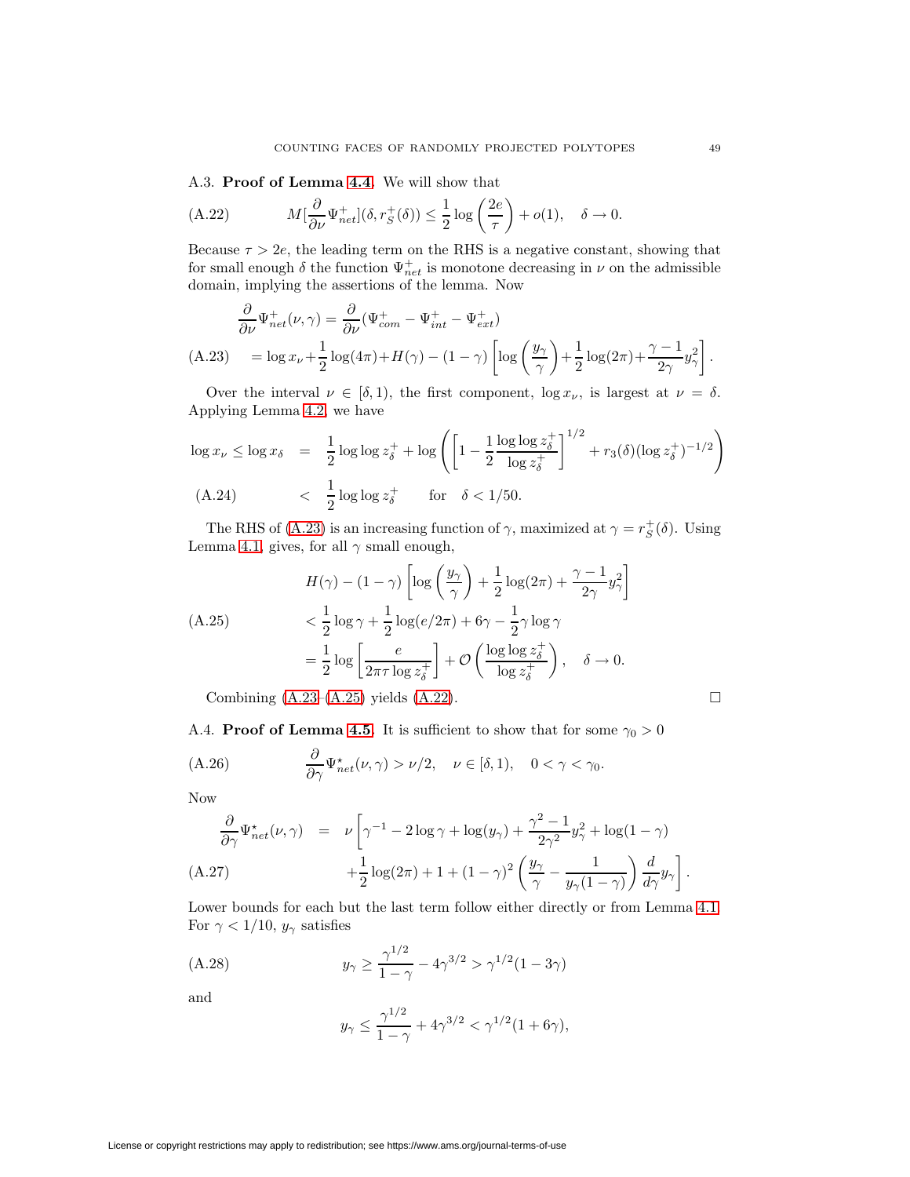<span id="page-48-2"></span>A.3. **Proof of Lemma [4.4.](#page-22-5)** We will show that

(A.22) 
$$
M[\frac{\partial}{\partial \nu} \Psi_{net}^+] (\delta, r_S^+ (\delta)) \leq \frac{1}{2} \log \left( \frac{2e}{\tau} \right) + o(1), \quad \delta \to 0.
$$

Because  $\tau > 2e$ , the leading term on the RHS is a negative constant, showing that for small enough  $\delta$  the function  $\Psi_{net}^+$  is monotone decreasing in  $\nu$  on the admissible domain, implying the assertions of the lemma. Now

<span id="page-48-0"></span>
$$
\frac{\partial}{\partial \nu} \Psi_{net}^+(\nu, \gamma) = \frac{\partial}{\partial \nu} (\Psi_{com}^+ - \Psi_{int}^+ - \Psi_{ext}^+)
$$
\n(A.23) = log  $x_\nu$  +  $\frac{1}{2}$  log(4 $\pi$ ) +  $H(\gamma)$  - (1 -  $\gamma$ )  $\left[ \log \left( \frac{y_\gamma}{\gamma} \right) + \frac{1}{2} \log(2\pi) + \frac{\gamma - 1}{2\gamma} y_\gamma^2 \right].$ 

Over the interval  $\nu \in [\delta, 1)$ , the first component,  $\log x_{\nu}$ , is largest at  $\nu = \delta$ . Applying Lemma [4.2,](#page-21-3) we have

$$
\log x_{\nu} \le \log x_{\delta} = \frac{1}{2} \log \log z_{\delta}^{+} + \log \left( \left[ 1 - \frac{1}{2} \frac{\log \log z_{\delta}^{+}}{\log z_{\delta}^{+}} \right]^{1/2} + r_{3}(\delta) (\log z_{\delta}^{+})^{-1/2} \right)
$$
  
(A.24) 
$$
< \frac{1}{2} \log \log z_{\delta}^{+} \quad \text{for} \quad \delta < 1/50.
$$

The RHS of [\(A.23\)](#page-48-0) is an increasing function of  $\gamma$ , maximized at  $\gamma = r_S^+(\delta)$ . Using Lemma [4.1,](#page-19-5) gives, for all  $\gamma$  small enough,

<span id="page-48-1"></span>
$$
H(\gamma) - (1 - \gamma) \left[ \log \left( \frac{y_{\gamma}}{\gamma} \right) + \frac{1}{2} \log(2\pi) + \frac{\gamma - 1}{2\gamma} y_{\gamma}^2 \right]
$$
  
(A.25)  

$$
< \frac{1}{2} \log \gamma + \frac{1}{2} \log(e/2\pi) + 6\gamma - \frac{1}{2}\gamma \log \gamma
$$

$$
= \frac{1}{2} \log \left[ \frac{e}{2\pi \tau \log z_{\delta}^+} \right] + \mathcal{O}\left( \frac{\log \log z_{\delta}^+}{\log z_{\delta}^+} \right), \quad \delta \to 0.
$$

Combining  $(A.23-(A.25))$  $(A.23-(A.25))$  $(A.23-(A.25))$  yields  $(A.22)$ .

<span id="page-48-5"></span>
$$
\Box
$$

A.4. **Proof of Lemma [4.5.](#page-22-6)** It is sufficient to show that for some  $\gamma_0 > 0$ 

(A.26) 
$$
\frac{\partial}{\partial \gamma} \Psi_{net}^{\star}(\nu, \gamma) > \nu/2, \quad \nu \in [\delta, 1), \quad 0 < \gamma < \gamma_0.
$$

Now

<span id="page-48-3"></span>
$$
\frac{\partial}{\partial \gamma} \Psi_{net}^{\star}(\nu, \gamma) = \nu \left[ \gamma^{-1} - 2 \log \gamma + \log(y_{\gamma}) + \frac{\gamma^2 - 1}{2\gamma^2} y_{\gamma}^2 + \log(1 - \gamma) + \frac{1}{2} \log(2\pi) + 1 + (1 - \gamma)^2 \left( \frac{y_{\gamma}}{\gamma} - \frac{1}{y_{\gamma}(1 - \gamma)} \right) \frac{d}{d\gamma} y_{\gamma} \right].
$$
\n(A.27)

<span id="page-48-4"></span>Lower bounds for each but the last term follow either directly or from Lemma [4.1.](#page-19-5) For  $\gamma < 1/10$ ,  $y_{\gamma}$  satisfies

(A.28) 
$$
y_{\gamma} \ge \frac{\gamma^{1/2}}{1-\gamma} - 4\gamma^{3/2} > \gamma^{1/2} (1-3\gamma)
$$

and

$$
y_{\gamma} \le \frac{\gamma^{1/2}}{1-\gamma} + 4\gamma^{3/2} < \gamma^{1/2}(1+6\gamma),
$$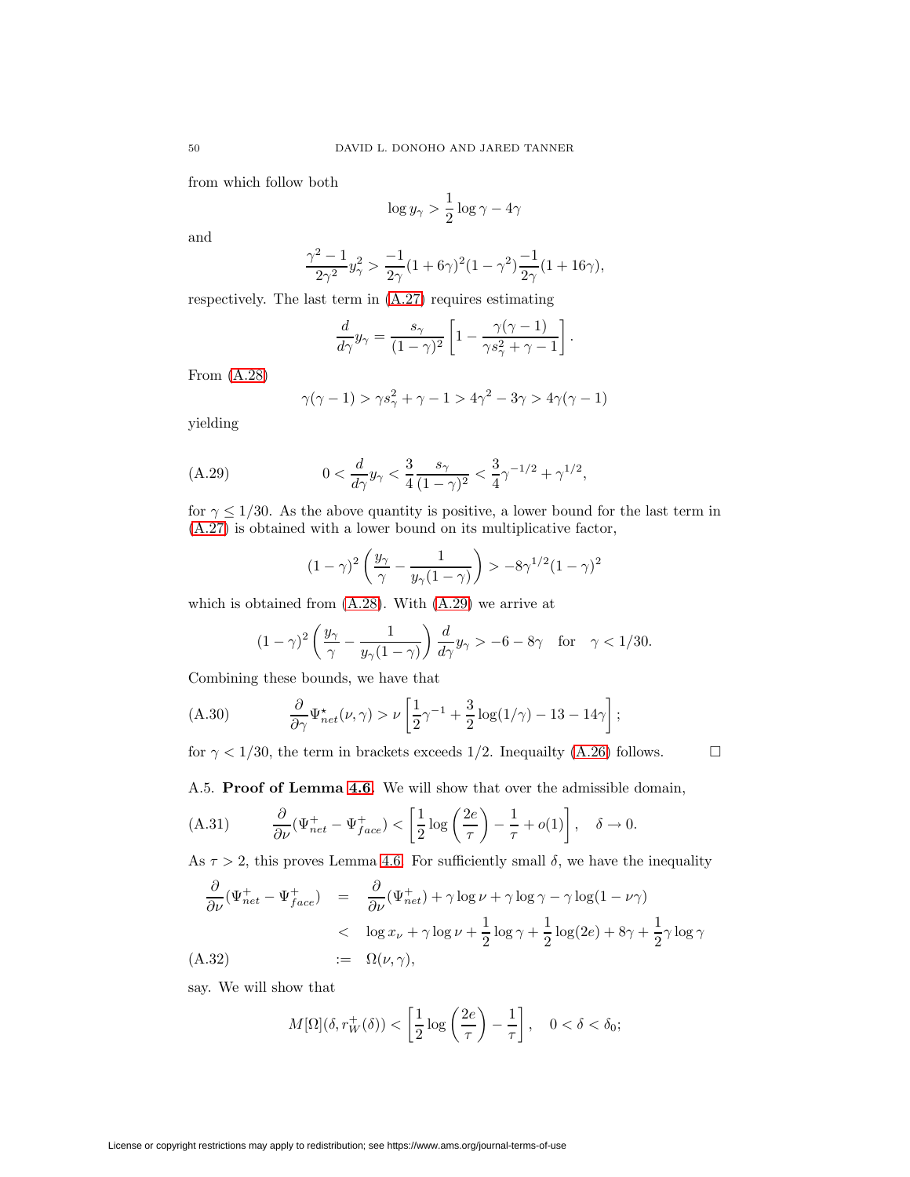from which follow both

$$
\log y_{\gamma} > \frac{1}{2} \log \gamma - 4\gamma
$$

and

$$
\frac{\gamma^2-1}{2\gamma^2}y_{\gamma}^2 > \frac{-1}{2\gamma}(1+6\gamma)^2(1-\gamma^2)\frac{-1}{2\gamma}(1+16\gamma),
$$

respectively. The last term in [\(A.27\)](#page-48-3) requires estimating

$$
\frac{d}{d\gamma}y_{\gamma} = \frac{s_{\gamma}}{(1-\gamma)^2} \left[1 - \frac{\gamma(\gamma-1)}{\gamma s_{\gamma}^2 + \gamma - 1}\right].
$$

From [\(A.28\)](#page-48-4)

$$
\gamma(\gamma - 1) > \gamma s_{\gamma}^2 + \gamma - 1 > 4\gamma^2 - 3\gamma > 4\gamma(\gamma - 1)
$$

<span id="page-49-0"></span>yielding

(A.29) 
$$
0 < \frac{d}{d\gamma} y_{\gamma} < \frac{3}{4} \frac{s_{\gamma}}{(1 - \gamma)^2} < \frac{3}{4} \gamma^{-1/2} + \gamma^{1/2},
$$

for  $\gamma \leq 1/30$ . As the above quantity is positive, a lower bound for the last term in [\(A.27\)](#page-48-3) is obtained with a lower bound on its multiplicative factor,

$$
(1-\gamma)^2\left(\frac{y_\gamma}{\gamma}-\frac{1}{y_\gamma(1-\gamma)}\right)>-8\gamma^{1/2}(1-\gamma)^2
$$

which is obtained from [\(A.28\)](#page-48-4). With [\(A.29\)](#page-49-0) we arrive at

<span id="page-49-2"></span>
$$
(1-\gamma)^2\left(\frac{y_\gamma}{\gamma}-\frac{1}{y_\gamma(1-\gamma)}\right)\frac{d}{d\gamma}y_\gamma > -6-8\gamma \quad \text{for} \quad \gamma < 1/30.
$$

Combining these bounds, we have that

(A.30) 
$$
\frac{\partial}{\partial \gamma} \Psi_{net}^{\star}(\nu, \gamma) > \nu \left[ \frac{1}{2} \gamma^{-1} + \frac{3}{2} \log(1/\gamma) - 13 - 14\gamma \right];
$$

for  $\gamma$  < 1/30, the term in brackets exceeds 1/2. Inequality [\(A.26\)](#page-48-5) follows.  $\Box$ 

<span id="page-49-1"></span>

A.5. **Proof of Lemma [4.6.](#page-23-7)** We will show that over the admissible domain,

(A.31) 
$$
\frac{\partial}{\partial \nu} (\Psi_{net}^+ - \Psi_{face}^+) < \left[\frac{1}{2}\log\left(\frac{2e}{\tau}\right) - \frac{1}{\tau} + o(1)\right], \quad \delta \to 0.
$$

As  $\tau > 2$ , this proves Lemma [4.6.](#page-23-7) For sufficiently small  $\delta$ , we have the inequality

$$
\frac{\partial}{\partial \nu} (\Psi_{net}^+ - \Psi_{face}^+) = \frac{\partial}{\partial \nu} (\Psi_{net}^+) + \gamma \log \nu + \gamma \log \gamma - \gamma \log (1 - \nu \gamma)
$$
\n
$$
< \log x_{\nu} + \gamma \log \nu + \frac{1}{2} \log \gamma + \frac{1}{2} \log (2e) + 8\gamma + \frac{1}{2} \gamma \log \gamma
$$
\n(A.32)\n
$$
:= \Omega(\nu, \gamma),
$$

say. We will show that

$$
M[\Omega](\delta, r_W^+(\delta)) < \left[\frac{1}{2}\log\left(\frac{2e}{\tau}\right) - \frac{1}{\tau}\right], \quad 0 < \delta < \delta_0;
$$

License or copyright restrictions may apply to redistribution; see https://www.ams.org/journal-terms-of-use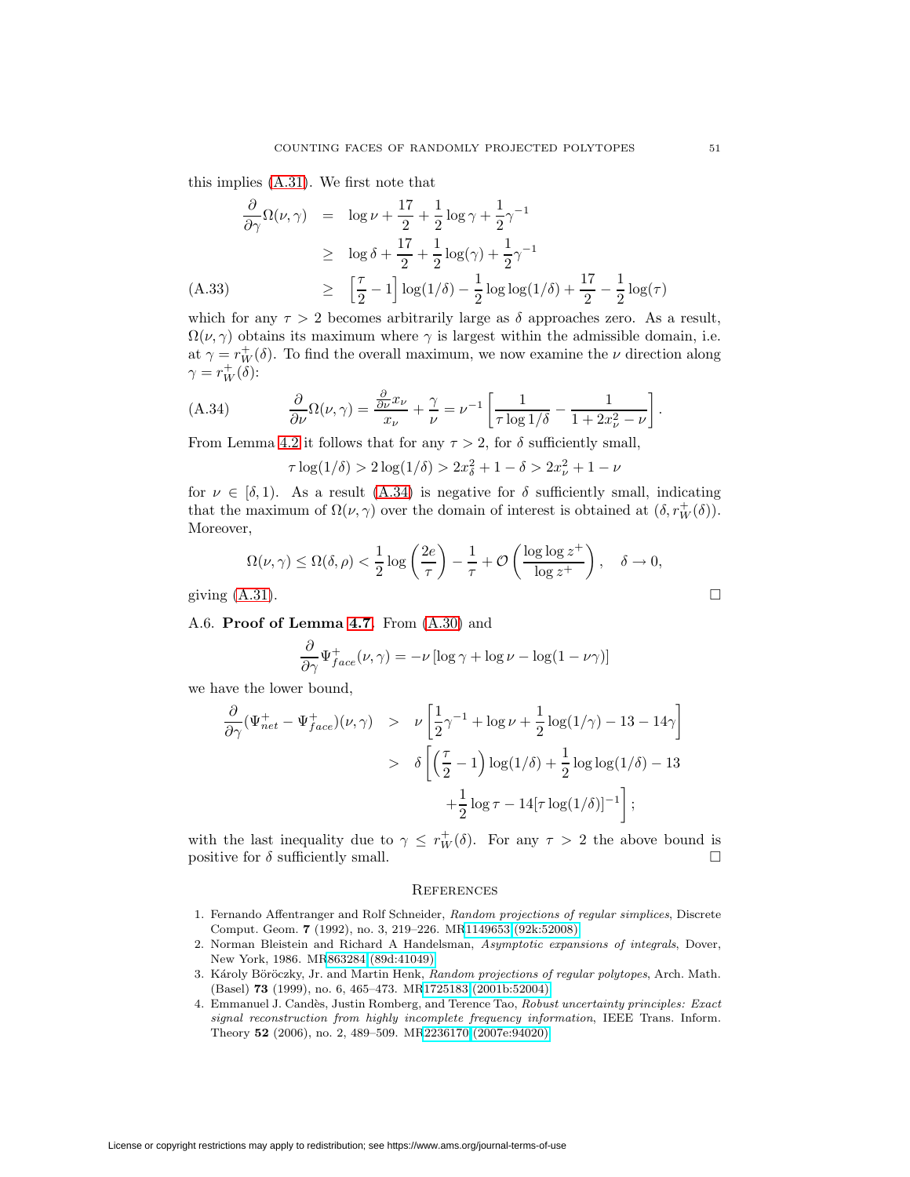this implies [\(A.31\)](#page-49-1). We first note that

$$
\frac{\partial}{\partial \gamma} \Omega(\nu, \gamma) = \log \nu + \frac{17}{2} + \frac{1}{2} \log \gamma + \frac{1}{2} \gamma^{-1}
$$
  
\n
$$
\geq \log \delta + \frac{17}{2} + \frac{1}{2} \log(\gamma) + \frac{1}{2} \gamma^{-1}
$$
  
\n(A.33) 
$$
\geq \left[ \frac{\tau}{2} - 1 \right] \log(1/\delta) - \frac{1}{2} \log \log(1/\delta) + \frac{17}{2} - \frac{1}{2} \log(\tau)
$$

which for any  $\tau > 2$  becomes arbitrarily large as  $\delta$  approaches zero. As a result,  $\Omega(\nu, \gamma)$  obtains its maximum where  $\gamma$  is largest within the admissible domain, i.e. at  $\gamma = r_W^+(\delta)$ . To find the overall maximum, we now examine the  $\nu$  direction along  $\gamma = r_W^+(\delta)$ :

<span id="page-50-4"></span>(A.34) 
$$
\frac{\partial}{\partial \nu} \Omega(\nu, \gamma) = \frac{\frac{\partial}{\partial \nu} x_{\nu}}{x_{\nu}} + \frac{\gamma}{\nu} = \nu^{-1} \left[ \frac{1}{\tau \log 1/\delta} - \frac{1}{1 + 2x_{\nu}^2 - \nu} \right].
$$

From Lemma [4.2](#page-21-3) it follows that for any  $\tau > 2$ , for  $\delta$  sufficiently small,

 $\tau \log(1/\delta) > 2 \log(1/\delta) > 2x_{\delta}^2 + 1 - \delta > 2x_{\nu}^2 + 1 - \nu$ 

for  $\nu \in [\delta, 1]$ . As a result [\(A.34\)](#page-50-4) is negative for  $\delta$  sufficiently small, indicating that the maximum of  $\Omega(\nu, \gamma)$  over the domain of interest is obtained at  $(\delta, r_W^+(\delta))$ . Moreover,

$$
\Omega(\nu,\gamma) \le \Omega(\delta,\rho) < \frac{1}{2}\log\left(\frac{2e}{\tau}\right) - \frac{1}{\tau} + \mathcal{O}\left(\frac{\log\log z^+}{\log z^+}\right), \quad \delta \to 0,
$$
\ngiving (A.31).

A.6. **Proof of Lemma [4.7.](#page-23-8)** From [\(A.30\)](#page-49-2) and

$$
\frac{\partial}{\partial \gamma} \Psi_{face}^+(\nu, \gamma) = -\nu \left[ \log \gamma + \log \nu - \log(1 - \nu \gamma) \right]
$$

we have the lower bound,

$$
\frac{\partial}{\partial \gamma} (\Psi_{net}^+ - \Psi_{face}^+)(\nu, \gamma) > \nu \left[ \frac{1}{2} \gamma^{-1} + \log \nu + \frac{1}{2} \log(1/\gamma) - 13 - 14\gamma \right]
$$
  
>  $\delta \left[ \left( \frac{\tau}{2} - 1 \right) \log(1/\delta) + \frac{1}{2} \log \log(1/\delta) - 13 + \frac{1}{2} \log \tau - 14[\tau \log(1/\delta)]^{-1} \right];$ 

with the last inequality due to  $\gamma \leq r_W^+(\delta)$ . For any  $\tau > 2$  the above bound is positive for  $\delta$  sufficiently small.

### **REFERENCES**

- <span id="page-50-0"></span>1. Fernando Affentranger and Rolf Schneider, Random projections of regular simplices, Discrete Comput. Geom. **7** (1992), no. 3, 219–226. M[R1149653 \(92k:52008\)](http://www.ams.org/mathscinet-getitem?mr=1149653)
- <span id="page-50-2"></span>2. Norman Bleistein and Richard A Handelsman, Asymptotic expansions of integrals, Dover, New York, 1986. M[R863284 \(89d:41049\)](http://www.ams.org/mathscinet-getitem?mr=863284)
- <span id="page-50-1"></span>3. Károly Böröczky, Jr. and Martin Henk, Random projections of regular polytopes, Arch. Math. (Basel) **73** (1999), no. 6, 465–473. M[R1725183 \(2001b:52004\)](http://www.ams.org/mathscinet-getitem?mr=1725183)
- <span id="page-50-3"></span>4. Emmanuel J. Candès, Justin Romberg, and Terence Tao, Robust uncertainty principles: Exact signal reconstruction from highly incomplete frequency information, IEEE Trans. Inform. Theory **52** (2006), no. 2, 489–509. M[R2236170 \(2007e:94020\)](http://www.ams.org/mathscinet-getitem?mr=2236170)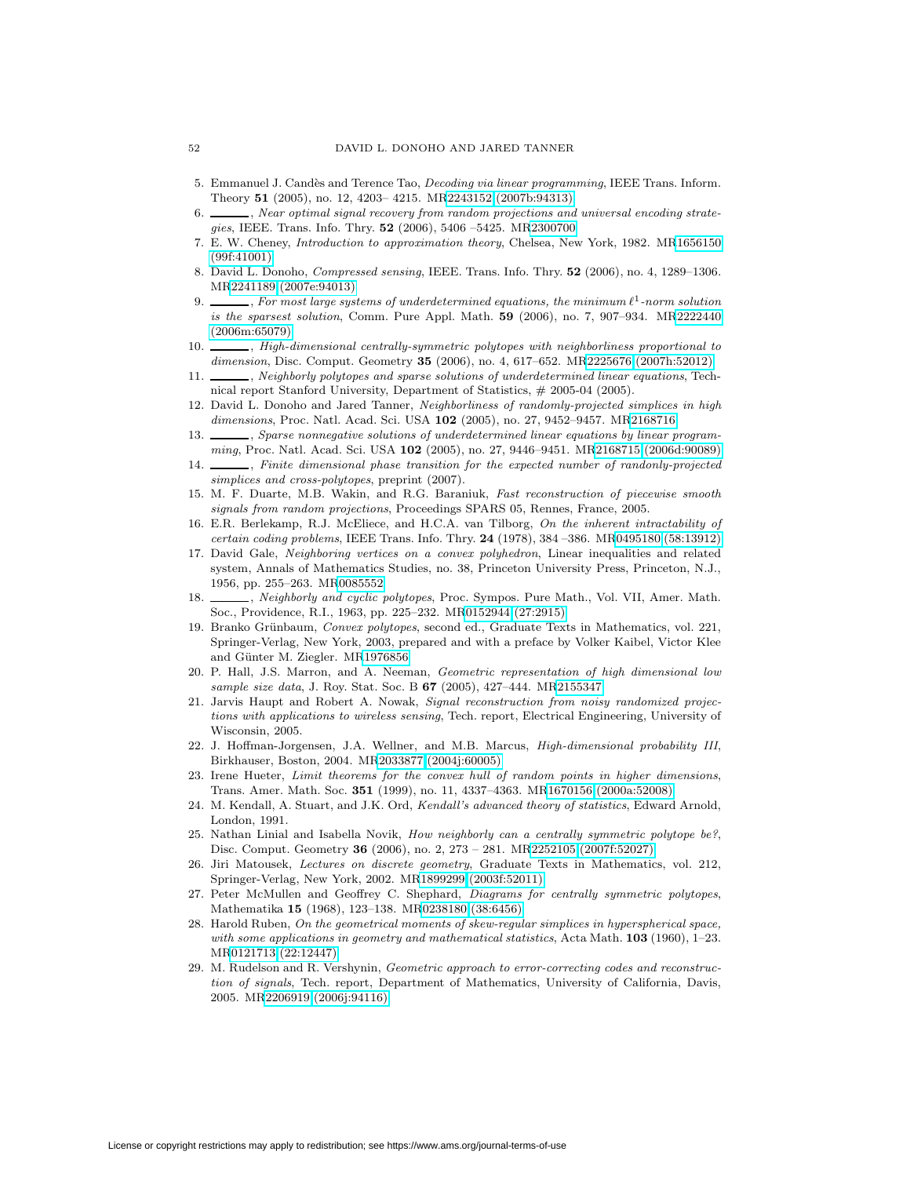- <span id="page-51-22"></span>5. Emmanuel J. Candès and Terence Tao, *Decoding via linear programming*, IEEE Trans. Inform. Theory **51** (2005), no. 12, 4203– 4215. M[R2243152 \(2007b:94313\)](http://www.ams.org/mathscinet-getitem?mr=2243152)
- <span id="page-51-6"></span>6. Superson team optimal signal recovery from random projections and universal encoding strategies, IEEE. Trans. Info. Thry. **52** (2006), 5406 –5425. M[R2300700](http://www.ams.org/mathscinet-getitem?mr=2300700)
- <span id="page-51-13"></span>7. E. W. Cheney, Introduction to approximation theory, Chelsea, New York, 1982. M[R1656150](http://www.ams.org/mathscinet-getitem?mr=1656150) [\(99f:41001\)](http://www.ams.org/mathscinet-getitem?mr=1656150)
- <span id="page-51-9"></span>8. David L. Donoho, Compressed sensing, IEEE. Trans. Info. Thry. **52** (2006), no. 4, 1289–1306. M[R2241189 \(2007e:94013\)](http://www.ams.org/mathscinet-getitem?mr=2241189)
- <span id="page-51-3"></span> $\Box$ , For most large systems of underdetermined equations, the minimum  $\ell^1$ -norm solution is the sparsest solution, Comm. Pure Appl. Math. **59** (2006), no. 7, 907–934. M[R2222440](http://www.ams.org/mathscinet-getitem?mr=2222440) [\(2006m:65079\)](http://www.ams.org/mathscinet-getitem?mr=2222440)
- <span id="page-51-5"></span>10.  $\_\_\_\_\$  High-dimensional centrally-symmetric polytopes with neighborliness proportional to dimension, Disc. Comput. Geometry **35** (2006), no. 4, 617–652. M[R2225676 \(2007h:52012\)](http://www.ams.org/mathscinet-getitem?mr=2225676)
- <span id="page-51-15"></span>11.  $\_\_\_\$ , Neighborly polytopes and sparse solutions of underdetermined linear equations, Technical report Stanford University, Department of Statistics, # 2005-04 (2005).
- <span id="page-51-4"></span>12. David L. Donoho and Jared Tanner, Neighborliness of randomly-projected simplices in high dimensions, Proc. Natl. Acad. Sci. USA **102** (2005), no. 27, 9452–9457. M[R2168716](http://www.ams.org/mathscinet-getitem?mr=2168716)
- <span id="page-51-16"></span>13.  $\_\_\_\_\$ garse nonnegative solutions of underdetermined linear equations by linear programming, Proc. Natl. Acad. Sci. USA **102** (2005), no. 27, 9446–9451. M[R2168715 \(2006d:90089\)](http://www.ams.org/mathscinet-getitem?mr=2168715)
- 14.  $\Box$ , Finite dimensional phase transition for the expected number of randonly-projected simplices and cross-polytopes, preprint (2007).
- <span id="page-51-20"></span>15. M. F. Duarte, M.B. Wakin, and R.G. Baraniuk, Fast reconstruction of piecewise smooth signals from random projections, Proceedings SPARS 05, Rennes, France, 2005.
- <span id="page-51-21"></span>16. E.R. Berlekamp, R.J. McEliece, and H.C.A. van Tilborg, On the inherent intractability of certain coding problems, IEEE Trans. Info. Thry. **24** (1978), 384 –386. M[R0495180 \(58:13912\)](http://www.ams.org/mathscinet-getitem?mr=0495180)
- <span id="page-51-14"></span>17. David Gale, Neighboring vertices on a convex polyhedron, Linear inequalities and related system, Annals of Mathematics Studies, no. 38, Princeton University Press, Princeton, N.J., 1956, pp. 255–263. M[R0085552](http://www.ams.org/mathscinet-getitem?mr=0085552)
- <span id="page-51-17"></span>18. , Neighborly and cyclic polytopes, Proc. Sympos. Pure Math., Vol. VII, Amer. Math. Soc., Providence, R.I., 1963, pp. 225–232. M[R0152944 \(27:2915\)](http://www.ams.org/mathscinet-getitem?mr=0152944)
- <span id="page-51-10"></span>19. Branko Grünbaum, Convex polytopes, second ed., Graduate Texts in Mathematics, vol. 221, Springer-Verlag, New York, 2003, prepared and with a preface by Volker Kaibel, Victor Klee and Günter M. Ziegler. M[R1976856](http://www.ams.org/mathscinet-getitem?mr=1976856)
- <span id="page-51-1"></span>20. P. Hall, J.S. Marron, and A. Neeman, Geometric representation of high dimensional low sample size data, J. Roy. Stat. Soc. B **67** (2005), 427–444. M[R2155347](http://www.ams.org/mathscinet-getitem?mr=2155347)
- <span id="page-51-19"></span>21. Jarvis Haupt and Robert A. Nowak, Signal reconstruction from noisy randomized projections with applications to wireless sensing, Tech. report, Electrical Engineering, University of Wisconsin, 2005.
- <span id="page-51-2"></span>22. J. Hoffman-Jorgensen, J.A. Wellner, and M.B. Marcus, High-dimensional probability III, Birkhauser, Boston, 2004. M[R2033877 \(2004j:60005\)](http://www.ams.org/mathscinet-getitem?mr=2033877)
- <span id="page-51-0"></span>23. Irene Hueter, Limit theorems for the convex hull of random points in higher dimensions, Trans. Amer. Math. Soc. **351** (1999), no. 11, 4337–4363. M[R1670156 \(2000a:52008\)](http://www.ams.org/mathscinet-getitem?mr=1670156)
- <span id="page-51-12"></span>24. M. Kendall, A. Stuart, and J.K. Ord, Kendall's advanced theory of statistics, Edward Arnold, London, 1991.
- <span id="page-51-8"></span>25. Nathan Linial and Isabella Novik, How neighborly can a centrally symmetric polytope be?, Disc. Comput. Geometry **36** (2006), no. 2, 273 – 281. M[R2252105 \(2007f:52027\)](http://www.ams.org/mathscinet-getitem?mr=2252105)
- <span id="page-51-11"></span>26. Jiri Matousek, Lectures on discrete geometry, Graduate Texts in Mathematics, vol. 212, Springer-Verlag, New York, 2002. M[R1899299 \(2003f:52011\)](http://www.ams.org/mathscinet-getitem?mr=1899299)
- <span id="page-51-18"></span>27. Peter McMullen and Geoffrey C. Shephard, Diagrams for centrally symmetric polytopes, Mathematika **15** (1968), 123–138. M[R0238180 \(38:6456\)](http://www.ams.org/mathscinet-getitem?mr=0238180)
- <span id="page-51-23"></span>28. Harold Ruben, On the geometrical moments of skew-regular simplices in hyperspherical space, with some applications in geometry and mathematical statistics, Acta Math. **103** (1960), 1–23. M[R0121713 \(22:12447\)](http://www.ams.org/mathscinet-getitem?mr=0121713)
- <span id="page-51-7"></span>29. M. Rudelson and R. Vershynin, Geometric approach to error-correcting codes and reconstruction of signals, Tech. report, Department of Mathematics, University of California, Davis, 2005. M[R2206919 \(2006j:94116\)](http://www.ams.org/mathscinet-getitem?mr=2206919)